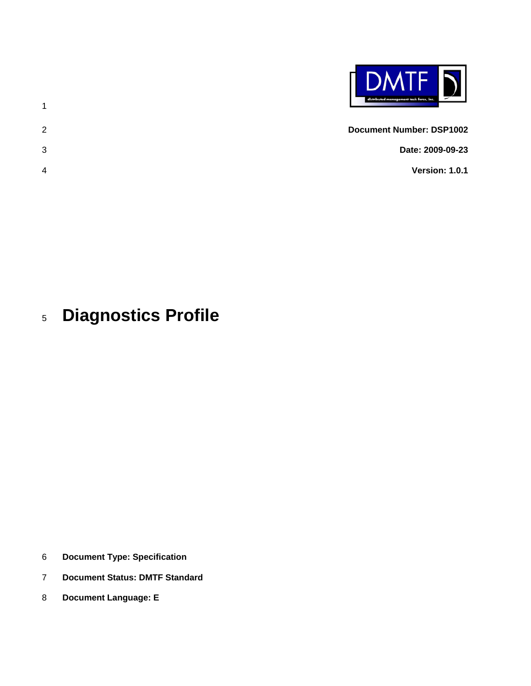

- 2 3 **Document Number: DSP1002 Date: 2009-09-23 Version: 1.0.1**
- 4

### 5 **Diagnostics Profile**

1

- 6 **Document Type: Specification**
- 7 **Document Status: DMTF Standard**
- 8 **Document Language: E**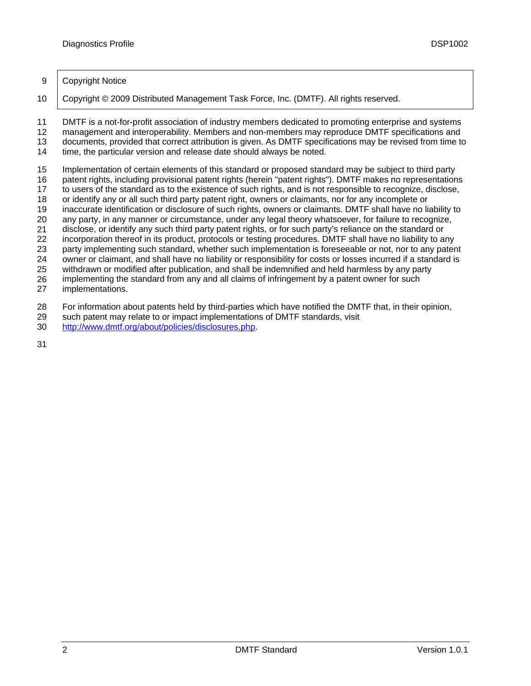### 9 Copyright Notice

10 Copyright © 2009 Distributed Management Task Force, Inc. (DMTF). All rights reserved.

11 DMTF is a not-for-profit association of industry members dedicated to promoting enterprise and systems

12 13 management and interoperability. Members and non-members may reproduce DMTF specifications and documents, provided that correct attribution is given. As DMTF specifications may be revised from time to

14 time, the particular version and release date should always be noted.

15 Implementation of certain elements of this standard or proposed standard may be subject to third party

16 patent rights, including provisional patent rights (herein "patent rights"). DMTF makes no representations

17 to users of the standard as to the existence of such rights, and is not responsible to recognize, disclose,

18 19 or identify any or all such third party patent right, owners or claimants, nor for any incomplete or inaccurate identification or disclosure of such rights, owners or claimants. DMTF shall have no liability to

20 any party, in any manner or circumstance, under any legal theory whatsoever, for failure to recognize,

21 disclose, or identify any such third party patent rights, or for such party's reliance on the standard or

22 incorporation thereof in its product, protocols or testing procedures. DMTF shall have no liability to any

23 party implementing such standard, whether such implementation is foreseeable or not, nor to any patent

24 owner or claimant, and shall have no liability or responsibility for costs or losses incurred if a standard is

25 withdrawn or modified after publication, and shall be indemnified and held harmless by any party

26 implementing the standard from any and all claims of infringement by a patent owner for such

27 implementations.

28 For information about patents held by third-parties which have notified the DMTF that, in their opinion,

- 29 such patent may relate to or impact implementations of DMTF standards, visit
- 30 <http://www.dmtf.org/about/policies/disclosures.php>.

31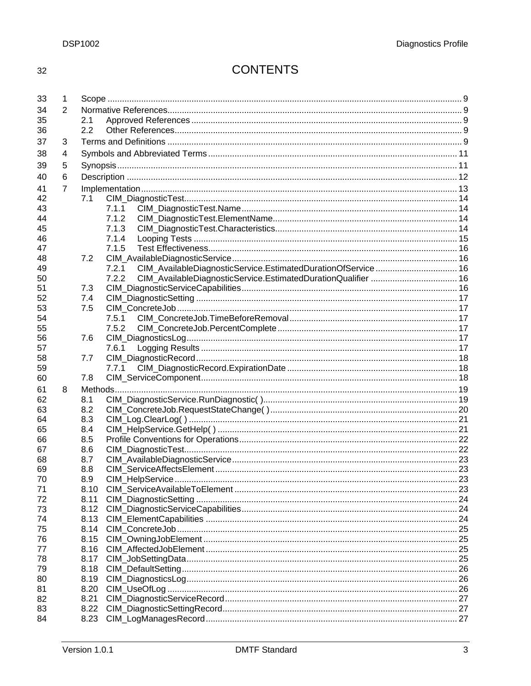# **CONTENTS**

| 34<br>2<br>35<br>2.1<br>2.2<br>36<br>37<br>3<br>38<br>4<br>39<br>5<br>6<br>40<br>7<br>41<br>42<br>7.1<br>7.1.1<br>43<br>7.1.2<br>44<br>45<br>7.1.3<br>7.1.4<br>46<br>7.1.5<br>47<br>48<br>7.2<br>CIM_AvailableDiagnosticService.EstimatedDurationOfService 16<br>7.2.1<br>49<br>7.2.2<br>CIM_AvailableDiagnosticService.EstimatedDurationQualifier  16<br>50<br>51<br>7.3<br>52<br>7.4<br>7.5<br>53<br>54<br>7.5.1<br>7.5.2<br>55<br>56<br>7.6<br>57<br>7.6.1<br>58<br>7.7<br>59<br>7.7.1<br>7.8<br>60<br>8<br>61<br>62<br>8.1<br>8.2<br>63<br>64<br>8.3<br>65<br>8.4<br>66<br>8.5<br>8.6<br>67<br>68<br>8.7<br>69<br>8.8<br>CIM HelpService<br>$\cdots$ . 23<br>70<br>8.9<br>71<br>72<br>8.11<br>73<br>8.12<br>8.13<br>74<br>75<br>8.14<br>76<br>8.15<br>77<br>8.16<br>78<br>8.17<br>79<br>8.18<br>80<br>8.19<br>8.20<br>81<br>8.21<br>82<br>8.22<br>83<br>84<br>8.23 | 33 | 1 |  |  |  |
|------------------------------------------------------------------------------------------------------------------------------------------------------------------------------------------------------------------------------------------------------------------------------------------------------------------------------------------------------------------------------------------------------------------------------------------------------------------------------------------------------------------------------------------------------------------------------------------------------------------------------------------------------------------------------------------------------------------------------------------------------------------------------------------------------------------------------------------------------------------------|----|---|--|--|--|
|                                                                                                                                                                                                                                                                                                                                                                                                                                                                                                                                                                                                                                                                                                                                                                                                                                                                        |    |   |  |  |  |
|                                                                                                                                                                                                                                                                                                                                                                                                                                                                                                                                                                                                                                                                                                                                                                                                                                                                        |    |   |  |  |  |
|                                                                                                                                                                                                                                                                                                                                                                                                                                                                                                                                                                                                                                                                                                                                                                                                                                                                        |    |   |  |  |  |
|                                                                                                                                                                                                                                                                                                                                                                                                                                                                                                                                                                                                                                                                                                                                                                                                                                                                        |    |   |  |  |  |
|                                                                                                                                                                                                                                                                                                                                                                                                                                                                                                                                                                                                                                                                                                                                                                                                                                                                        |    |   |  |  |  |
|                                                                                                                                                                                                                                                                                                                                                                                                                                                                                                                                                                                                                                                                                                                                                                                                                                                                        |    |   |  |  |  |
|                                                                                                                                                                                                                                                                                                                                                                                                                                                                                                                                                                                                                                                                                                                                                                                                                                                                        |    |   |  |  |  |
|                                                                                                                                                                                                                                                                                                                                                                                                                                                                                                                                                                                                                                                                                                                                                                                                                                                                        |    |   |  |  |  |
|                                                                                                                                                                                                                                                                                                                                                                                                                                                                                                                                                                                                                                                                                                                                                                                                                                                                        |    |   |  |  |  |
|                                                                                                                                                                                                                                                                                                                                                                                                                                                                                                                                                                                                                                                                                                                                                                                                                                                                        |    |   |  |  |  |
|                                                                                                                                                                                                                                                                                                                                                                                                                                                                                                                                                                                                                                                                                                                                                                                                                                                                        |    |   |  |  |  |
|                                                                                                                                                                                                                                                                                                                                                                                                                                                                                                                                                                                                                                                                                                                                                                                                                                                                        |    |   |  |  |  |
|                                                                                                                                                                                                                                                                                                                                                                                                                                                                                                                                                                                                                                                                                                                                                                                                                                                                        |    |   |  |  |  |
|                                                                                                                                                                                                                                                                                                                                                                                                                                                                                                                                                                                                                                                                                                                                                                                                                                                                        |    |   |  |  |  |
|                                                                                                                                                                                                                                                                                                                                                                                                                                                                                                                                                                                                                                                                                                                                                                                                                                                                        |    |   |  |  |  |
|                                                                                                                                                                                                                                                                                                                                                                                                                                                                                                                                                                                                                                                                                                                                                                                                                                                                        |    |   |  |  |  |
|                                                                                                                                                                                                                                                                                                                                                                                                                                                                                                                                                                                                                                                                                                                                                                                                                                                                        |    |   |  |  |  |
|                                                                                                                                                                                                                                                                                                                                                                                                                                                                                                                                                                                                                                                                                                                                                                                                                                                                        |    |   |  |  |  |
|                                                                                                                                                                                                                                                                                                                                                                                                                                                                                                                                                                                                                                                                                                                                                                                                                                                                        |    |   |  |  |  |
|                                                                                                                                                                                                                                                                                                                                                                                                                                                                                                                                                                                                                                                                                                                                                                                                                                                                        |    |   |  |  |  |
|                                                                                                                                                                                                                                                                                                                                                                                                                                                                                                                                                                                                                                                                                                                                                                                                                                                                        |    |   |  |  |  |
|                                                                                                                                                                                                                                                                                                                                                                                                                                                                                                                                                                                                                                                                                                                                                                                                                                                                        |    |   |  |  |  |
|                                                                                                                                                                                                                                                                                                                                                                                                                                                                                                                                                                                                                                                                                                                                                                                                                                                                        |    |   |  |  |  |
|                                                                                                                                                                                                                                                                                                                                                                                                                                                                                                                                                                                                                                                                                                                                                                                                                                                                        |    |   |  |  |  |
|                                                                                                                                                                                                                                                                                                                                                                                                                                                                                                                                                                                                                                                                                                                                                                                                                                                                        |    |   |  |  |  |
|                                                                                                                                                                                                                                                                                                                                                                                                                                                                                                                                                                                                                                                                                                                                                                                                                                                                        |    |   |  |  |  |
|                                                                                                                                                                                                                                                                                                                                                                                                                                                                                                                                                                                                                                                                                                                                                                                                                                                                        |    |   |  |  |  |
|                                                                                                                                                                                                                                                                                                                                                                                                                                                                                                                                                                                                                                                                                                                                                                                                                                                                        |    |   |  |  |  |
|                                                                                                                                                                                                                                                                                                                                                                                                                                                                                                                                                                                                                                                                                                                                                                                                                                                                        |    |   |  |  |  |
|                                                                                                                                                                                                                                                                                                                                                                                                                                                                                                                                                                                                                                                                                                                                                                                                                                                                        |    |   |  |  |  |
|                                                                                                                                                                                                                                                                                                                                                                                                                                                                                                                                                                                                                                                                                                                                                                                                                                                                        |    |   |  |  |  |
|                                                                                                                                                                                                                                                                                                                                                                                                                                                                                                                                                                                                                                                                                                                                                                                                                                                                        |    |   |  |  |  |
|                                                                                                                                                                                                                                                                                                                                                                                                                                                                                                                                                                                                                                                                                                                                                                                                                                                                        |    |   |  |  |  |
|                                                                                                                                                                                                                                                                                                                                                                                                                                                                                                                                                                                                                                                                                                                                                                                                                                                                        |    |   |  |  |  |
|                                                                                                                                                                                                                                                                                                                                                                                                                                                                                                                                                                                                                                                                                                                                                                                                                                                                        |    |   |  |  |  |
|                                                                                                                                                                                                                                                                                                                                                                                                                                                                                                                                                                                                                                                                                                                                                                                                                                                                        |    |   |  |  |  |
|                                                                                                                                                                                                                                                                                                                                                                                                                                                                                                                                                                                                                                                                                                                                                                                                                                                                        |    |   |  |  |  |
|                                                                                                                                                                                                                                                                                                                                                                                                                                                                                                                                                                                                                                                                                                                                                                                                                                                                        |    |   |  |  |  |
|                                                                                                                                                                                                                                                                                                                                                                                                                                                                                                                                                                                                                                                                                                                                                                                                                                                                        |    |   |  |  |  |
|                                                                                                                                                                                                                                                                                                                                                                                                                                                                                                                                                                                                                                                                                                                                                                                                                                                                        |    |   |  |  |  |
|                                                                                                                                                                                                                                                                                                                                                                                                                                                                                                                                                                                                                                                                                                                                                                                                                                                                        |    |   |  |  |  |
|                                                                                                                                                                                                                                                                                                                                                                                                                                                                                                                                                                                                                                                                                                                                                                                                                                                                        |    |   |  |  |  |
|                                                                                                                                                                                                                                                                                                                                                                                                                                                                                                                                                                                                                                                                                                                                                                                                                                                                        |    |   |  |  |  |
|                                                                                                                                                                                                                                                                                                                                                                                                                                                                                                                                                                                                                                                                                                                                                                                                                                                                        |    |   |  |  |  |
|                                                                                                                                                                                                                                                                                                                                                                                                                                                                                                                                                                                                                                                                                                                                                                                                                                                                        |    |   |  |  |  |
|                                                                                                                                                                                                                                                                                                                                                                                                                                                                                                                                                                                                                                                                                                                                                                                                                                                                        |    |   |  |  |  |
|                                                                                                                                                                                                                                                                                                                                                                                                                                                                                                                                                                                                                                                                                                                                                                                                                                                                        |    |   |  |  |  |
|                                                                                                                                                                                                                                                                                                                                                                                                                                                                                                                                                                                                                                                                                                                                                                                                                                                                        |    |   |  |  |  |
|                                                                                                                                                                                                                                                                                                                                                                                                                                                                                                                                                                                                                                                                                                                                                                                                                                                                        |    |   |  |  |  |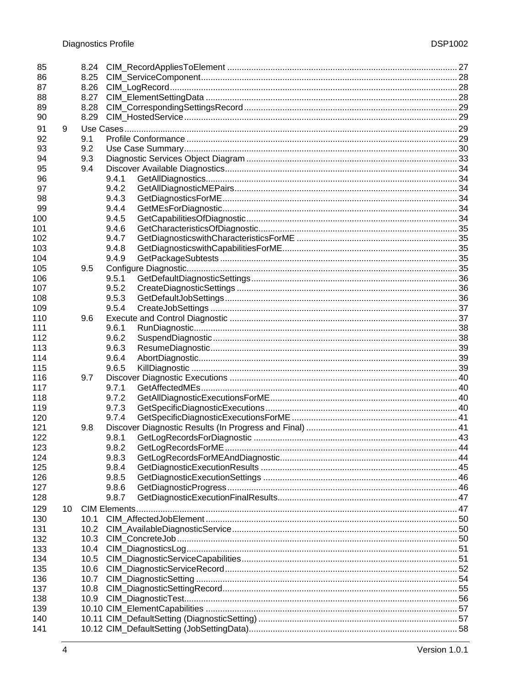| 85  |    | 8.24              |       |  |
|-----|----|-------------------|-------|--|
| 86  |    | 8.25              |       |  |
| 87  |    | 8.26              |       |  |
| 88  |    | 8.27              |       |  |
| 89  |    | 8.28              |       |  |
| 90  |    | 8.29              |       |  |
| 91  | 9  |                   |       |  |
| 92  |    | 9.1               |       |  |
| 93  |    | 9.2               |       |  |
| 94  |    | 9.3               |       |  |
| 95  |    | 9.4               |       |  |
| 96  |    |                   | 9.4.1 |  |
| 97  |    |                   | 9.4.2 |  |
| 98  |    |                   | 9.4.3 |  |
| 99  |    |                   | 9.4.4 |  |
| 100 |    |                   | 9.4.5 |  |
| 101 |    |                   | 9.4.6 |  |
| 102 |    |                   | 9.4.7 |  |
| 103 |    |                   | 9.4.8 |  |
| 104 |    |                   | 9.4.9 |  |
| 105 |    | 9.5               |       |  |
| 106 |    |                   | 9.5.1 |  |
| 107 |    |                   | 9.5.2 |  |
| 108 |    |                   | 9.5.3 |  |
| 109 |    |                   | 9.5.4 |  |
| 110 |    | 9.6               |       |  |
| 111 |    |                   | 9.6.1 |  |
| 112 |    |                   | 9.6.2 |  |
| 113 |    |                   | 9.6.3 |  |
| 114 |    |                   | 9.6.4 |  |
| 115 |    |                   | 9.6.5 |  |
| 116 |    | 9.7               |       |  |
| 117 |    |                   | 9.7.1 |  |
| 118 |    |                   | 9.7.2 |  |
| 119 |    |                   | 9.7.3 |  |
| 120 |    |                   | 9.7.4 |  |
| 121 |    | 9.8               |       |  |
| 122 |    |                   | 9.8.1 |  |
| 123 |    |                   | 9.8.2 |  |
| 124 |    |                   | 9.8.3 |  |
| 125 |    |                   | 9.8.4 |  |
| 126 |    |                   | 9.8.5 |  |
| 127 |    |                   | 9.8.6 |  |
| 128 |    |                   | 9.8.7 |  |
| 129 | 10 |                   |       |  |
| 130 |    | 10.1              |       |  |
| 131 |    | 10.2 <sub>1</sub> |       |  |
| 132 |    | 10.3              |       |  |
| 133 |    | 10.4              |       |  |
| 134 |    | 10.5              |       |  |
| 135 |    | 10.6              |       |  |
| 136 |    | 10.7              |       |  |
| 137 |    | 10.8              |       |  |
| 138 |    |                   |       |  |
| 139 |    |                   |       |  |
| 140 |    |                   |       |  |
| 141 |    |                   |       |  |
|     |    |                   |       |  |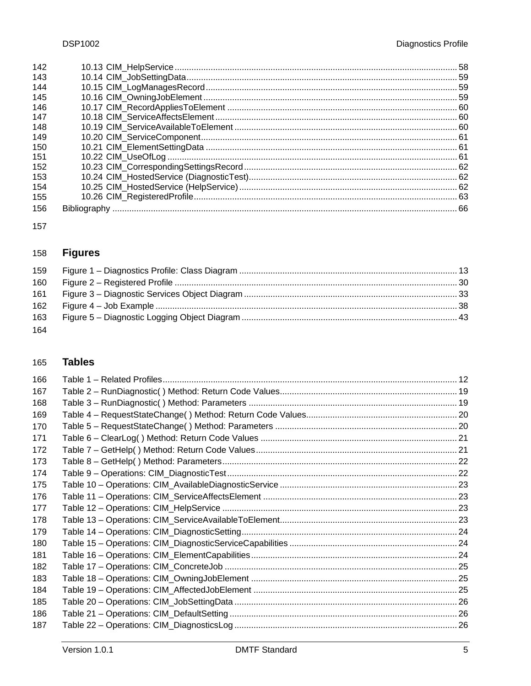| 142 |  |
|-----|--|
| 143 |  |
| 144 |  |
| 145 |  |
| 146 |  |
| 147 |  |
| 148 |  |
| 149 |  |
| 150 |  |
| 151 |  |
| 152 |  |
| 153 |  |
| 154 |  |
| 155 |  |
| 156 |  |
|     |  |

### **Figures** 158

| 159 |  |
|-----|--|
| 160 |  |
| 161 |  |
| 162 |  |
| 163 |  |
| 164 |  |

#### **Tables** 165

| 166 |  |
|-----|--|
| 167 |  |
| 168 |  |
| 169 |  |
| 170 |  |
| 171 |  |
| 172 |  |
| 173 |  |
| 174 |  |
| 175 |  |
| 176 |  |
| 177 |  |
| 178 |  |
| 179 |  |
| 180 |  |
| 181 |  |
| 182 |  |
| 183 |  |
| 184 |  |
| 185 |  |
| 186 |  |
| 187 |  |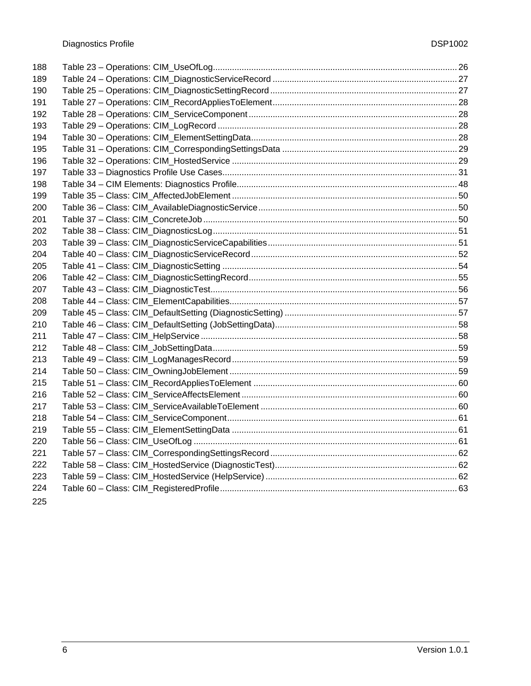| 188 |  |
|-----|--|
| 189 |  |
| 190 |  |
| 191 |  |
| 192 |  |
| 193 |  |
| 194 |  |
| 195 |  |
| 196 |  |
| 197 |  |
| 198 |  |
| 199 |  |
| 200 |  |
| 201 |  |
| 202 |  |
| 203 |  |
| 204 |  |
| 205 |  |
| 206 |  |
| 207 |  |
| 208 |  |
| 209 |  |
| 210 |  |
| 211 |  |
| 212 |  |
| 213 |  |
| 214 |  |
| 215 |  |
| 216 |  |
| 217 |  |
| 218 |  |
| 219 |  |
| 220 |  |
| 221 |  |
| 222 |  |
| 223 |  |
| 224 |  |
|     |  |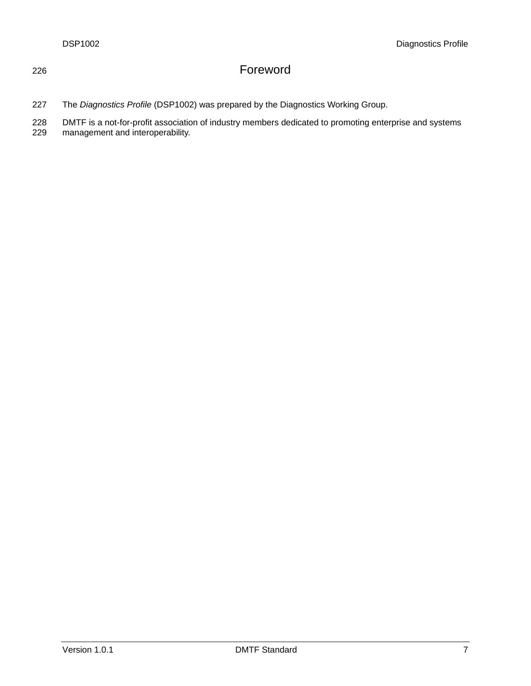# 226 Foreword

227 The *Diagnostics Profile* (DSP1002) was prepared by the Diagnostics Working Group.

228 DMTF is a not-for-profit association of industry members dedicated to promoting enterprise and systems

229 management and interoperability.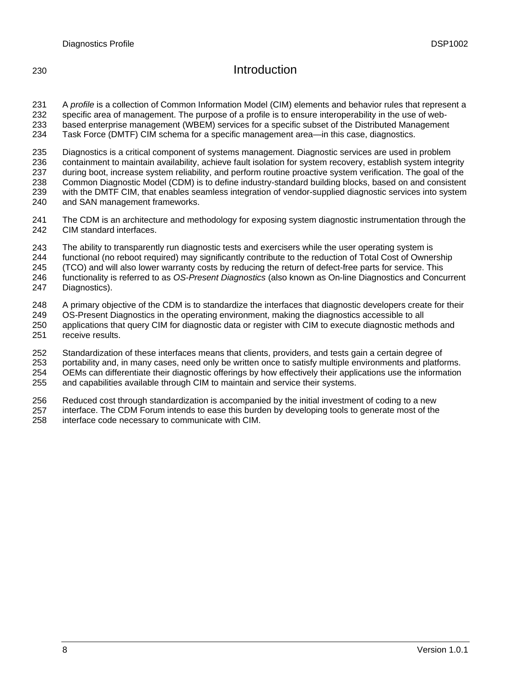# 230 Introduction

231 232 233 234 A *profile* is a collection of Common Information Model (CIM) elements and behavior rules that represent a specific area of management. The purpose of a profile is to ensure interoperability in the use of webbased enterprise management (WBEM) services for a specific subset of the Distributed Management Task Force (DMTF) CIM schema for a specific management area—in this case, diagnostics.

235 236 237 238 239 240 Diagnostics is a critical component of systems management. Diagnostic services are used in problem containment to maintain availability, achieve fault isolation for system recovery, establish system integrity during boot, increase system reliability, and perform routine proactive system verification. The goal of the Common Diagnostic Model (CDM) is to define industry-standard building blocks, based on and consistent with the DMTF CIM, that enables seamless integration of vendor-supplied diagnostic services into system and SAN management frameworks.

- 241 242 The CDM is an architecture and methodology for exposing system diagnostic instrumentation through the CIM standard interfaces.
- 243 The ability to transparently run diagnostic tests and exercisers while the user operating system is
- 244 functional (no reboot required) may significantly contribute to the reduction of Total Cost of Ownership
- 245 (TCO) and will also lower warranty costs by reducing the return of defect-free parts for service. This
- 246 functionality is referred to as *OS-Present Diagnostics* (also known as On-line Diagnostics and Concurrent
- 247 Diagnostics).
- 248 A primary objective of the CDM is to standardize the interfaces that diagnostic developers create for their
- 249 OS-Present Diagnostics in the operating environment, making the diagnostics accessible to all
- 250 251 applications that query CIM for diagnostic data or register with CIM to execute diagnostic methods and receive results.
- 252 Standardization of these interfaces means that clients, providers, and tests gain a certain degree of
- 253 254 portability and, in many cases, need only be written once to satisfy multiple environments and platforms. OEMs can differentiate their diagnostic offerings by how effectively their applications use the information
- 255 and capabilities available through CIM to maintain and service their systems.
- 256 Reduced cost through standardization is accompanied by the initial investment of coding to a new
- 257 258 interface. The CDM Forum intends to ease this burden by developing tools to generate most of the interface code necessary to communicate with CIM.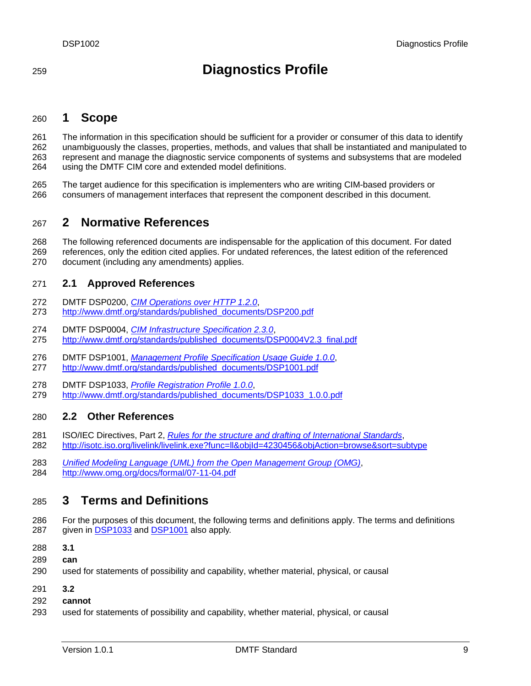# <span id="page-8-0"></span><sup>259</sup>**Diagnostics Profile**

#### 260 **1 Scope**

261 262 263 264 The information in this specification should be sufficient for a provider or consumer of this data to identify unambiguously the classes, properties, methods, and values that shall be instantiated and manipulated to represent and manage the diagnostic service components of systems and subsystems that are modeled using the DMTF CIM core and extended model definitions.

265 266 The target audience for this specification is implementers who are writing CIM-based providers or consumers of management interfaces that represent the component described in this document.

### 267 **2 Normative References**

- 268 The following referenced documents are indispensable for the application of this document. For dated
- 269 270 references, only the edition cited applies. For undated references, the latest edition of the referenced document (including any amendments) applies.

#### 271 **2.1 Approved References**

- 272 DMTF DSP0200, *[CIM Operations over HTTP 1.2.0](http://www.dmtf.org/standards/published_documents/DSP200.pdf)*,
- 273 http://www.dmtf.org/standards/published\_documents/DSP200.pdf
- 274 DMTF DSP0004, *[CIM Infrastructure Specification 2.3.0](http://www.dmtf.org/standards/published_documents/DSP0004V2.3_final.pdf)*,
- 275 http://www.dmtf.org/standards/published\_documents/DSP0004V2.3\_final.pdf
- 276 DMTF DSP1001, *[Management Profile Specification Usage Guide 1.0.0](http://www.dmtf.org/standards/published_documents/DSP1001.pdf)*, 277 http://www.dmtf.org/standards/published\_documents/DSP1001.pdf
- 278 DMTF DSP1033, *[Profile Registration Profile 1.0.0](http://www.dmtf.org/standards/published_documents/DSP1033_1.0.0.pdf)*,
- 279 http://www.dmtf.org/standards/published\_documents/DSP1033\_1.0.0.pdf

# 280 **2.2 Other References**

- 281 ISO/IEC Directives, Part 2, *[Rules for the structure and drafting of International Standards](http://isotc.iso.org/livelink/livelink.exe?func=ll&objId=4230456&objAction=browse&sort=subtype)*, 282 <http://isotc.iso.org/livelink/livelink.exe?func=ll&objId=4230456&objAction=browse&sort=subtype>
- 283 *[Unified Modeling Language \(UML\) from the Open Management Group \(OMG\)](http://www.uml.org/)*, 284 http://www.omg.org/docs/formal/07-11-04.pdf

### 285 **3 Terms and Definitions**

- 286 For the purposes of this document, the following terms and definitions apply. The terms and definitions 287 given in **DSP1033** and **DSP1001** also apply.
- 288 **3.1**
- 289 **can**
- 290 used for statements of possibility and capability, whether material, physical, or causal
- 291 **3.2**
- 292 **cannot**
- 293 used for statements of possibility and capability, whether material, physical, or causal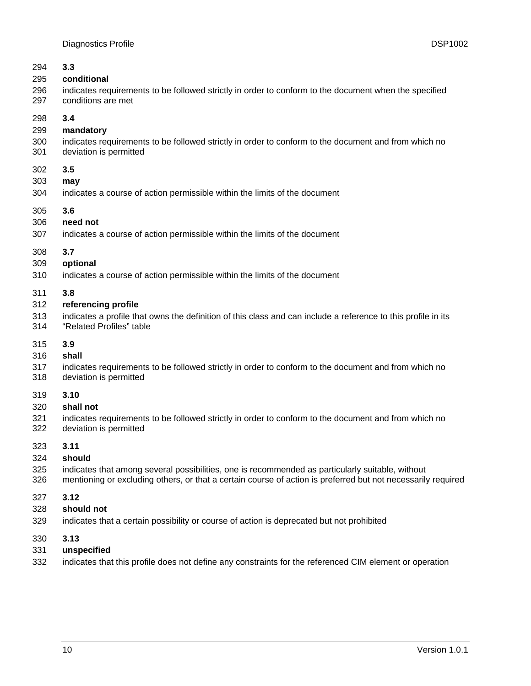| 294 | 3.3                                                                                                           |
|-----|---------------------------------------------------------------------------------------------------------------|
| 295 | conditional                                                                                                   |
| 296 | indicates requirements to be followed strictly in order to conform to the document when the specified         |
| 297 | conditions are met                                                                                            |
| 298 | 3.4                                                                                                           |
| 299 | mandatory                                                                                                     |
| 300 | indicates requirements to be followed strictly in order to conform to the document and from which no          |
| 301 | deviation is permitted                                                                                        |
| 302 | 3.5                                                                                                           |
| 303 | may                                                                                                           |
| 304 | indicates a course of action permissible within the limits of the document                                    |
| 305 | 3.6                                                                                                           |
| 306 | need not                                                                                                      |
| 307 | indicates a course of action permissible within the limits of the document                                    |
| 308 | 3.7                                                                                                           |
| 309 | optional                                                                                                      |
| 310 | indicates a course of action permissible within the limits of the document                                    |
| 311 | 3.8                                                                                                           |
| 312 | referencing profile                                                                                           |
| 313 | indicates a profile that owns the definition of this class and can include a reference to this profile in its |
| 314 | "Related Profiles" table                                                                                      |
| 315 | 3.9                                                                                                           |
| 316 | shall                                                                                                         |
| 317 | indicates requirements to be followed strictly in order to conform to the document and from which no          |
| 318 | deviation is permitted                                                                                        |
| 319 | 3.10                                                                                                          |
| 320 | shall not                                                                                                     |
| 321 | indicates requirements to be followed strictly in order to conform to the document and from which no          |
| 322 | deviation is permitted                                                                                        |
| 323 | 3.11                                                                                                          |
| 324 | should                                                                                                        |
| 325 | indicates that among several possibilities, one is recommended as particularly suitable, without              |
| 326 | mentioning or excluding others, or that a certain course of action is preferred but not necessarily required  |
| 327 | 3.12                                                                                                          |
| 328 | should not                                                                                                    |
| 329 | indicates that a certain possibility or course of action is deprecated but not prohibited                     |
| 330 | 3.13                                                                                                          |
| 331 | unspecified                                                                                                   |
| 332 | indicates that this profile does not define any constraints for the referenced CIM element or operation       |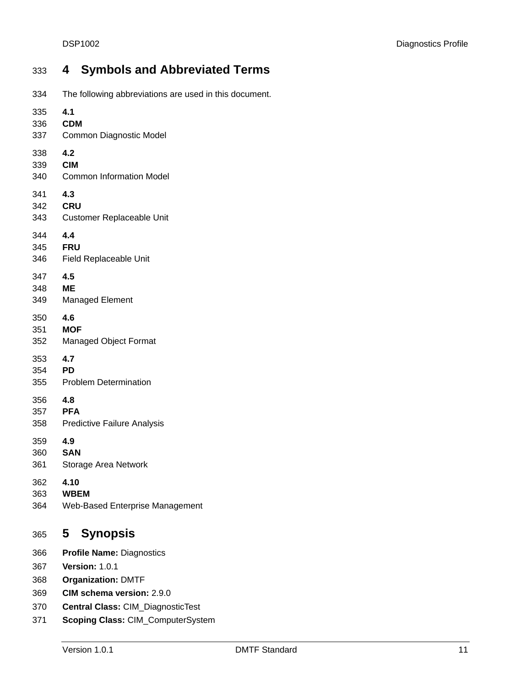### <span id="page-10-0"></span>333 **4 Symbols and Abbreviated Terms**  334 335 336 337 338 339 340 341 342 The following abbreviations are used in this document. **4.1 CDM**  Common Diagnostic Model **4.2 CIM**  Common Information Model **4.3 CRU**

- 343 Customer Replaceable Unit
- 344 **4.4**
- 345 **FRU**
- 346 Field Replaceable Unit
- 347 **4.5**
- 348 **ME**
- 349 Managed Element
- 350 **4.6**
- 351 **MOF**
- 352 Managed Object Format
- 353 **4.7**
- 354 **PD**
- 355 Problem Determination
- 356 **4.8**
- 357 **PFA**
- 358 Predictive Failure Analysis
- 359 **4.9**
- 360 **SAN**
- 361 Storage Area Network
- 362 **4.10**
- 363 **WBEM**
- 364 Web-Based Enterprise Management

#### 365 **5 Synopsis**

- 366 **Profile Name:** Diagnostics
- 367 **Version:** 1.0.1
- 368 **Organization:** DMTF
- 369 **CIM schema version:** 2.9.0
- 370 **Central Class:** CIM\_DiagnosticTest
- 371 **Scoping Class:** CIM\_ComputerSystem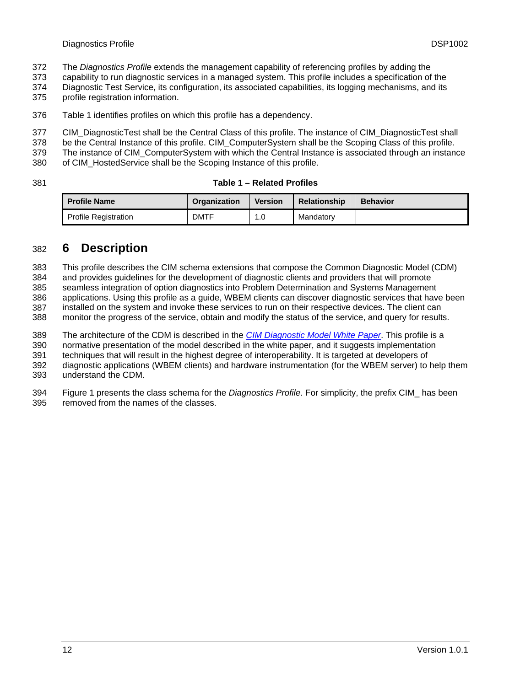- <span id="page-11-0"></span>The *Diagnostics Profile* extends the management capability of referencing profiles by adding the 372
- capability to run diagnostic services in a managed system. This profile includes a specification of the 373
- Diagnostic Test Service, its configuration, its associated capabilities, its logging mechanisms, and its 374
- profile registration information. 375
- 376 [Table 1](#page-11-1) identifies profiles on which this profile has a dependency.

377 CIM\_DiagnosticTest shall be the Central Class of this profile. The instance of CIM\_DiagnosticTest shall

- 378 be the Central Instance of this profile. CIM\_ComputerSystem shall be the Scoping Class of this profile.
- 379 The instance of CIM\_ComputerSystem with which the Central Instance is associated through an instance
- 380 of CIM\_HostedService shall be the Scoping Instance of this profile.
- <span id="page-11-1"></span>381

### **Table 1 – Related Profiles**

| <b>Profile Name</b>         | <b>Organization</b> | <b>Version</b> | <b>Relationship</b> | <b>Behavior</b> |
|-----------------------------|---------------------|----------------|---------------------|-----------------|
| <b>Profile Registration</b> | <b>DMTF</b>         | 1.0            | Mandatorv           |                 |

# 382 **6 Description**

383 This profile describes the CIM schema extensions that compose the Common Diagnostic Model (CDM)

384 and provides guidelines for the development of diagnostic clients and providers that will promote

385 seamless integration of option diagnostics into Problem Determination and Systems Management

386 387 applications. Using this profile as a guide, WBEM clients can discover diagnostic services that have been installed on the system and invoke these services to run on their respective devices. The client can

388 monitor the progress of the service, obtain and modify the status of the service, and query for results.

The architecture of the CDM is described in the *[CIM Diagnostic Model White Paper](http://www.dmtf.org/standards/published_documents/DSP2000.pdf)*. This profile is a 389

normative presentation of the model described in the white paper, and it suggests implementation 390

techniques that will result in the highest degree of interoperability. It is targeted at developers of 391

diagnostic applications (WBEM clients) and hardware instrumentation (for the WBEM server) to help them understand the CDM. 392 393

394 395 [Figure 1](#page-12-1) presents the class schema for the *Diagnostics Profile*. For simplicity, the prefix CIM\_ has been removed from the names of the classes.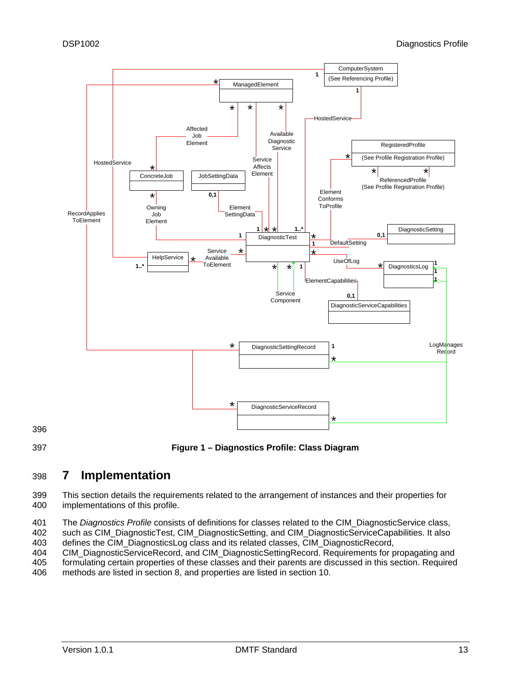<span id="page-12-0"></span>

**Figure 1 – Diagnostics Profile: Class Diagram** 

### <span id="page-12-1"></span>398 **7 Implementation**

399 400 This section details the requirements related to the arrangement of instances and their properties for implementations of this profile.

401 402 403 The *Diagnostics Profile* consists of definitions for classes related to the CIM\_DiagnosticService class, such as CIM\_DiagnosticTest, CIM\_DiagnosticSetting, and CIM\_DiagnosticServiceCapabilities. It also defines the CIM\_DiagnosticsLog class and its related classes, CIM\_DiagnosticRecord,

404 CIM\_DiagnosticServiceRecord, and CIM\_DiagnosticSettingRecord. Requirements for propagating and

405 406 formulating certain properties of these classes and their parents are discussed in this section. Required methods are listed in section [8](#page-18-1), and properties are listed in section [10.](#page-46-1)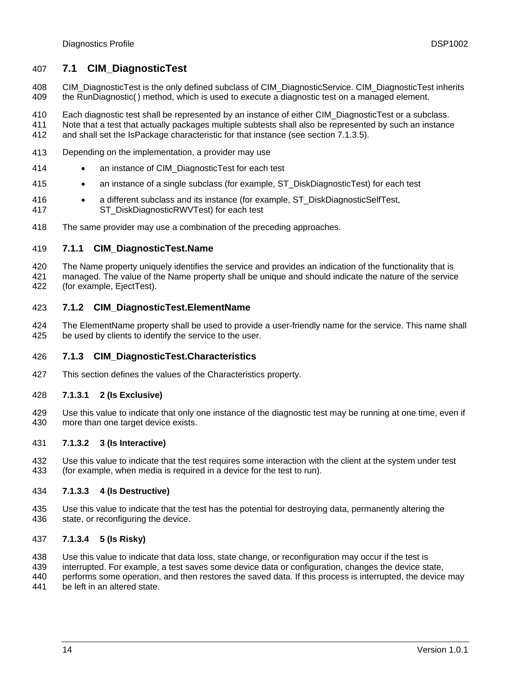# <span id="page-13-0"></span>407 **7.1 CIM\_DiagnosticTest**

- 408 409 CIM\_DiagnosticTest is the only defined subclass of CIM\_DiagnosticService. CIM\_DiagnosticTest inherits the RunDiagnostic( ) method, which is used to execute a diagnostic test on a managed element.
- 410 Each diagnostic test shall be represented by an instance of either CIM\_DiagnosticTest or a subclass.
- 411 412 Note that a test that actually packages multiple subtests shall also be represented by such an instance and shall set the IsPackage characteristic for that instance (see section [7.1.3.5\)](#page-14-1).
- 413 Depending on the implementation, a provider may use
- 414 • an instance of CIM\_DiagnosticTest for each test
- 415 • an instance of a single subclass (for example, ST\_DiskDiagnosticTest) for each test
- 416 417 • a different subclass and its instance (for example, ST\_DiskDiagnosticSelfTest, ST\_DiskDiagnosticRWVTest) for each test
- 418 The same provider may use a combination of the preceding approaches.

#### 419 **7.1.1 CIM\_DiagnosticTest.Name**

- 420 421 422 The Name property uniquely identifies the service and provides an indication of the functionality that is managed. The value of the Name property shall be unique and should indicate the nature of the service (for example, EjectTest).
- 423 **7.1.2 CIM\_DiagnosticTest.ElementName**
- 424 425 The ElementName property shall be used to provide a user-friendly name for the service. This name shall be used by clients to identify the service to the user.

#### 426 **7.1.3 CIM\_DiagnosticTest.Characteristics**

427 This section defines the values of the Characteristics property.

#### 428 **7.1.3.1 2 (Is Exclusive)**

429 430 Use this value to indicate that only one instance of the diagnostic test may be running at one time, even if more than one target device exists.

#### 431 **7.1.3.2 3 (Is Interactive)**

432 433 Use this value to indicate that the test requires some interaction with the client at the system under test (for example, when media is required in a device for the test to run).

#### 434 **7.1.3.3 4 (Is Destructive)**

435 436 Use this value to indicate that the test has the potential for destroying data, permanently altering the state, or reconfiguring the device.

#### 437 **7.1.3.4 5 (Is Risky)**

- 438 Use this value to indicate that data loss, state change, or reconfiguration may occur if the test is
- 439 interrupted. For example, a test saves some device data or configuration, changes the device state,
- 440 performs some operation, and then restores the saved data. If this process is interrupted, the device may
- 441 be left in an altered state.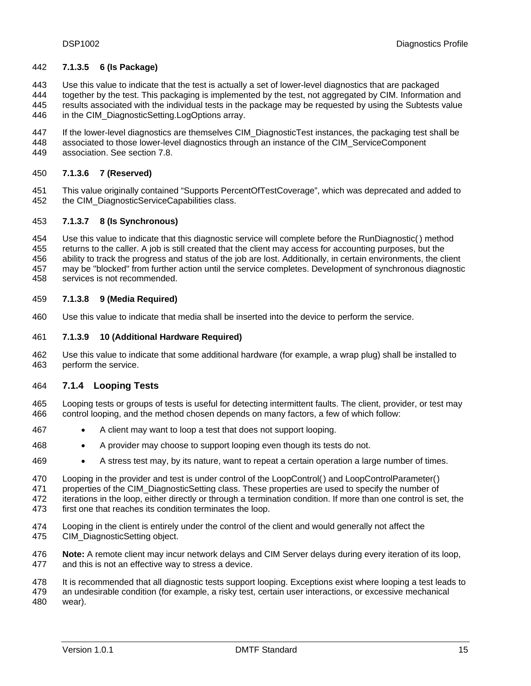### <span id="page-14-1"></span><span id="page-14-0"></span>442 **7.1.3.5 6 (Is Package)**

443 Use this value to indicate that the test is actually a set of lower-level diagnostics that are packaged

- 444 445 446 together by the test. This packaging is implemented by the test, not aggregated by CIM. Information and results associated with the individual tests in the package may be requested by using the Subtests value in the CIM\_DiagnosticSetting.LogOptions array.
- 447 448 If the lower-level diagnostics are themselves CIM\_DiagnosticTest instances, the packaging test shall be associated to those lower-level diagnostics through an instance of the CIM\_ServiceComponent
- 449 association. See section [7.8](#page-17-1).

#### 450 **7.1.3.6 7 (Reserved)**

451 452 This value originally contained "Supports PercentOfTestCoverage", which was deprecated and added to the CIM\_DiagnosticServiceCapabilities class.

#### 453 **7.1.3.7 8 (Is Synchronous)**

- 454 Use this value to indicate that this diagnostic service will complete before the RunDiagnostic( ) method
- 455 returns to the caller. A job is still created that the client may access for accounting purposes, but the
- 456 ability to track the progress and status of the job are lost. Additionally, in certain environments, the client
- 457 458 may be "blocked" from further action until the service completes. Development of synchronous diagnostic services is not recommended.

#### 459 **7.1.3.8 9 (Media Required)**

460 Use this value to indicate that media shall be inserted into the device to perform the service.

#### 461 **7.1.3.9 10 (Additional Hardware Required)**

462 463 Use this value to indicate that some additional hardware (for example, a wrap plug) shall be installed to perform the service.

#### 464 **7.1.4 Looping Tests**

- 465 466 Looping tests or groups of tests is useful for detecting intermittent faults. The client, provider, or test may control looping, and the method chosen depends on many factors, a few of which follow:
- 467 • A client may want to loop a test that does not support looping.
- 468 • A provider may choose to support looping even though its tests do not.
- 469 • A stress test may, by its nature, want to repeat a certain operation a large number of times.
- 470 Looping in the provider and test is under control of the LoopControl() and LoopControlParameter()
- 471 properties of the CIM\_DiagnosticSetting class. These properties are used to specify the number of

472 473 iterations in the loop, either directly or through a termination condition. If more than one control is set, the first one that reaches its condition terminates the loop.

- 474 475 Looping in the client is entirely under the control of the client and would generally not affect the CIM\_DiagnosticSetting object.
- 476 477 **Note:** A remote client may incur network delays and CIM Server delays during every iteration of its loop, and this is not an effective way to stress a device.
- 478 It is recommended that all diagnostic tests support looping. Exceptions exist where looping a test leads to
- 479 480 an undesirable condition (for example, a risky test, certain user interactions, or excessive mechanical wear).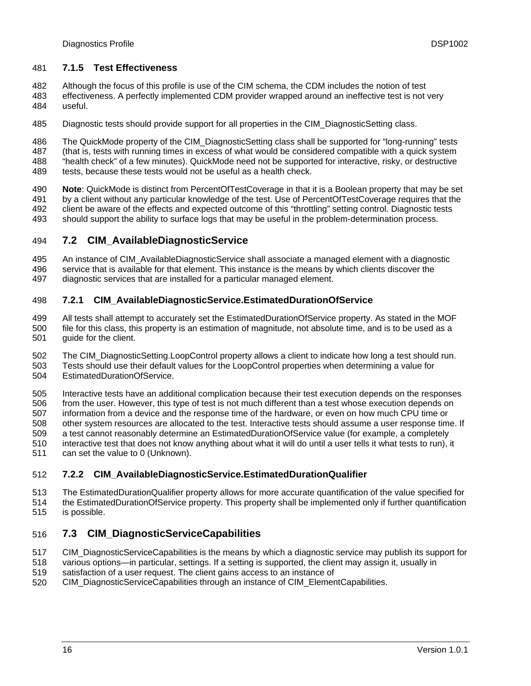# <span id="page-15-0"></span>481 **7.1.5 Test Effectiveness**

482 Although the focus of this profile is use of the CIM schema, the CDM includes the notion of test

- 483 484 effectiveness. A perfectly implemented CDM provider wrapped around an ineffective test is not very useful.
- 485 Diagnostic tests should provide support for all properties in the CIM\_DiagnosticSetting class.
- 486 The QuickMode property of the CIM\_DiagnosticSetting class shall be supported for "long-running" tests
- 487 (that is, tests with running times in excess of what would be considered compatible with a quick system
- 488 "health check" of a few minutes). QuickMode need not be supported for interactive, risky, or destructive
	- 489 tests, because these tests would not be useful as a health check.
	- 490 491 492 **Note**: QuickMode is distinct from PercentOfTestCoverage in that it is a Boolean property that may be set by a client without any particular knowledge of the test. Use of PercentOfTestCoverage requires that the client be aware of the effects and expected outcome of this "throttling" setting control. Diagnostic tests
	- 493 should support the ability to surface logs that may be useful in the problem-determination process.

#### <span id="page-15-1"></span>494 **7.2 CIM\_AvailableDiagnosticService**

495 496 An instance of CIM\_AvailableDiagnosticService shall associate a managed element with a diagnostic service that is available for that element. This instance is the means by which clients discover the

497 diagnostic services that are installed for a particular managed element.

#### 498 **7.2.1 CIM\_AvailableDiagnosticService.EstimatedDurationOfService**

499 500 501 All tests shall attempt to accurately set the EstimatedDurationOfService property. As stated in the MOF file for this class, this property is an estimation of magnitude, not absolute time, and is to be used as a guide for the client.

- 502 The CIM\_DiagnosticSetting.LoopControl property allows a client to indicate how long a test should run.
- 503 504 Tests should use their default values for the LoopControl properties when determining a value for EstimatedDurationOfService.

505 506 507 508 509 510 511 Interactive tests have an additional complication because their test execution depends on the responses from the user. However, this type of test is not much different than a test whose execution depends on information from a device and the response time of the hardware, or even on how much CPU time or other system resources are allocated to the test. Interactive tests should assume a user response time. If a test cannot reasonably determine an EstimatedDurationOfService value (for example, a completely interactive test that does not know anything about what it will do until a user tells it what tests to run), it can set the value to 0 (Unknown).

- 512 **7.2.2 CIM\_AvailableDiagnosticService.EstimatedDurationQualifier**
- 513 514 The EstimatedDurationQualifier property allows for more accurate quantification of the value specified for the EstimatedDurationOfService property. This property shall be implemented only if further quantification
- 515 is possible.

#### 516 **7.3 CIM\_DiagnosticServiceCapabilities**

517 CIM\_DiagnosticServiceCapabilities is the means by which a diagnostic service may publish its support for

- 518 various options—in particular, settings. If a setting is supported, the client may assign it, usually in
- 519 satisfaction of a user request. The client gains access to an instance of
- 520 CIM\_DiagnosticServiceCapabilities through an instance of CIM\_ElementCapabilities.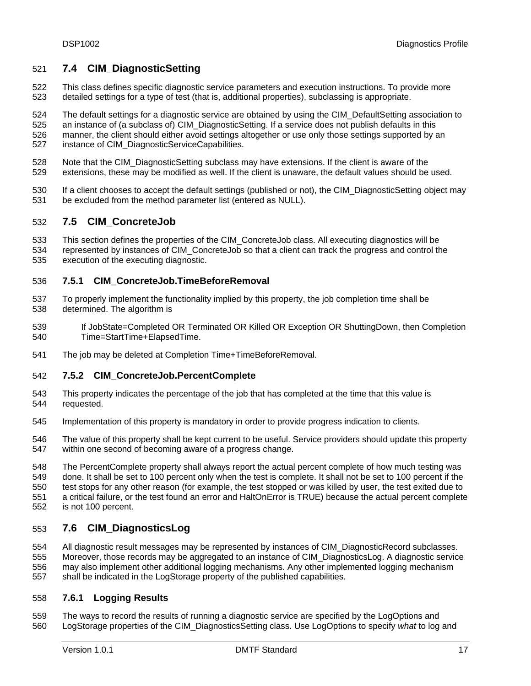# <span id="page-16-0"></span>521 **7.4 CIM\_DiagnosticSetting**

- 522 523 This class defines specific diagnostic service parameters and execution instructions. To provide more detailed settings for a type of test (that is, additional properties), subclassing is appropriate.
- 524 The default settings for a diagnostic service are obtained by using the CIM\_DefaultSetting association to
- 525 526 527 an instance of (a subclass of) CIM\_DiagnosticSetting. If a service does not publish defaults in this manner, the client should either avoid settings altogether or use only those settings supported by an instance of CIM\_DiagnosticServiceCapabilities.
- 528 529 Note that the CIM\_DiagnosticSetting subclass may have extensions. If the client is aware of the extensions, these may be modified as well. If the client is unaware, the default values should be used.
- 530 531 If a client chooses to accept the default settings (published or not), the CIM\_DiagnosticSetting object may be excluded from the method parameter list (entered as NULL).

#### 532 **7.5 CIM\_ConcreteJob**

- 533 This section defines the properties of the CIM\_ConcreteJob class. All executing diagnostics will be
- 534 535 represented by instances of CIM\_ConcreteJob so that a client can track the progress and control the execution of the executing diagnostic.

#### 536 **7.5.1 CIM\_ConcreteJob.TimeBeforeRemoval**

- 537 538 To properly implement the functionality implied by this property, the job completion time shall be determined. The algorithm is
- 539 540 If JobState=Completed OR Terminated OR Killed OR Exception OR ShuttingDown, then Completion Time=StartTime+ElapsedTime.
- 541 The job may be deleted at Completion Time+TimeBeforeRemoval.

#### 542 **7.5.2 CIM\_ConcreteJob.PercentComplete**

- 543 544 This property indicates the percentage of the job that has completed at the time that this value is requested.
- 545 Implementation of this property is mandatory in order to provide progress indication to clients.
- 546 547 The value of this property shall be kept current to be useful. Service providers should update this property within one second of becoming aware of a progress change.
- 548 549 550 551 552 The PercentComplete property shall always report the actual percent complete of how much testing was done. It shall be set to 100 percent only when the test is complete. It shall not be set to 100 percent if the test stops for any other reason (for example, the test stopped or was killed by user, the test exited due to a critical failure, or the test found an error and HaltOnError is TRUE) because the actual percent complete is not 100 percent.

#### 553 **7.6 CIM\_DiagnosticsLog**

554 555 556 557 All diagnostic result messages may be represented by instances of CIM\_DiagnosticRecord subclasses. Moreover, those records may be aggregated to an instance of CIM\_DiagnosticsLog. A diagnostic service may also implement other additional logging mechanisms. Any other implemented logging mechanism shall be indicated in the LogStorage property of the published capabilities.

#### 558 **7.6.1 Logging Results**

559 560 The ways to record the results of running a diagnostic service are specified by the LogOptions and LogStorage properties of the CIM\_DiagnosticsSetting class. Use LogOptions to specify *what* to log and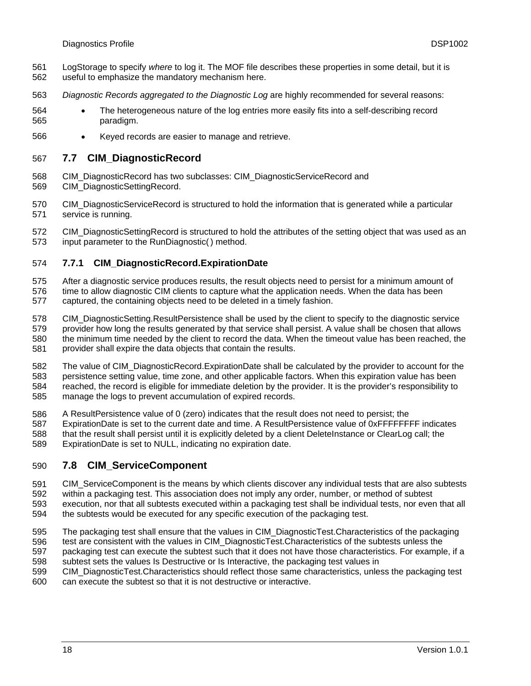- <span id="page-17-0"></span>LogStorage to specify *where* to log it. The MOF file describes these properties in some detail, but it is useful to emphasize the mandatory mechanism here. 561 562
- 563 *Diagnostic Records aggregated to the Diagnostic Log* are highly recommended for several reasons:
- 564 565 • The heterogeneous nature of the log entries more easily fits into a self-describing record paradigm.
- 566 • Keyed records are easier to manage and retrieve.

#### 567 **7.7 CIM\_DiagnosticRecord**

- 568 CIM\_DiagnosticRecord has two subclasses: CIM\_DiagnosticServiceRecord and
- 569 CIM\_DiagnosticSettingRecord.
- 570 571 CIM\_DiagnosticServiceRecord is structured to hold the information that is generated while a particular service is running.

572 573 CIM\_DiagnosticSettingRecord is structured to hold the attributes of the setting object that was used as an input parameter to the RunDiagnostic( ) method.

#### 574 **7.7.1 CIM\_DiagnosticRecord.ExpirationDate**

- 575 After a diagnostic service produces results, the result objects need to persist for a minimum amount of
- 576 577 time to allow diagnostic CIM clients to capture what the application needs. When the data has been captured, the containing objects need to be deleted in a timely fashion.
- 578 579 580 581 CIM\_DiagnosticSetting.ResultPersistence shall be used by the client to specify to the diagnostic service provider how long the results generated by that service shall persist. A value shall be chosen that allows the minimum time needed by the client to record the data. When the timeout value has been reached, the provider shall expire the data objects that contain the results.
- 582 583 584 585 The value of CIM\_DiagnosticRecord.ExpirationDate shall be calculated by the provider to account for the persistence setting value, time zone, and other applicable factors. When this expiration value has been reached, the record is eligible for immediate deletion by the provider. It is the provider's responsibility to manage the logs to prevent accumulation of expired records.
- 586 A ResultPersistence value of 0 (zero) indicates that the result does not need to persist; the
- 587 588 ExpirationDate is set to the current date and time. A ResultPersistence value of 0xFFFFFFFF indicates that the result shall persist until it is explicitly deleted by a client DeleteInstance or ClearLog call; the
- 589 ExpirationDate is set to NULL, indicating no expiration date.

#### <span id="page-17-1"></span>590 **7.8 CIM\_ServiceComponent**

- 591 CIM\_ServiceComponent is the means by which clients discover any individual tests that are also subtests
- 592 within a packaging test. This association does not imply any order, number, or method of subtest execution, nor that all subtests executed within a packaging test shall be individual tests, nor even that all
- 593 594 the subtests would be executed for any specific execution of the packaging test.
- 595 The packaging test shall ensure that the values in CIM\_DiagnosticTest.Characteristics of the packaging
- 596 test are consistent with the values in CIM\_DiagnosticTest.Characteristics of the subtests unless the
- 597 packaging test can execute the subtest such that it does not have those characteristics. For example, if a
- 598 subtest sets the values Is Destructive or Is Interactive, the packaging test values in CIM\_DiagnosticTest.Characteristics should reflect those same characteristics, unless the packaging test
- 599 600 can execute the subtest so that it is not destructive or interactive.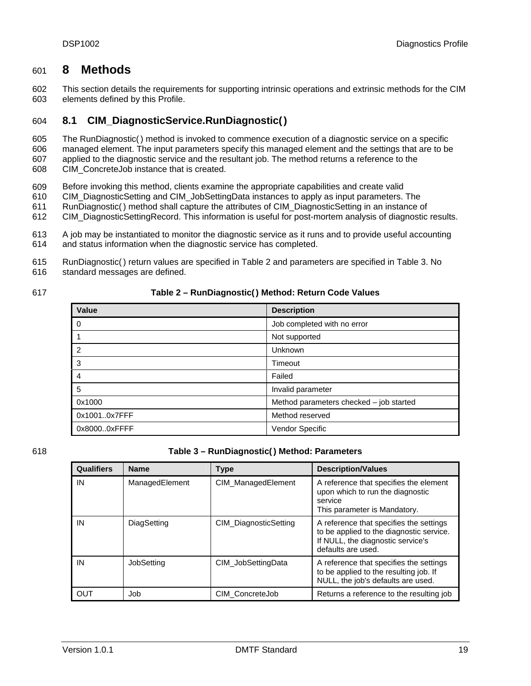# <span id="page-18-1"></span><span id="page-18-0"></span>601 **8 Methods**

602 603 This section details the requirements for supporting intrinsic operations and extrinsic methods for the CIM elements defined by this Profile.

#### <span id="page-18-4"></span>604 **8.1 CIM\_DiagnosticService.RunDiagnostic()**

605 606 The RunDiagnostic() method is invoked to commence execution of a diagnostic service on a specific managed element. The input parameters specify this managed element and the settings that are to be

607 applied to the diagnostic service and the resultant job. The method returns a reference to the

- 608 CIM\_ConcreteJob instance that is created.
- 609 Before invoking this method, clients examine the appropriate capabilities and create valid
- 610 CIM\_DiagnosticSetting and CIM\_JobSettingData instances to apply as input parameters. The
- 611 RunDiagnostic() method shall capture the attributes of CIM\_DiagnosticSetting in an instance of
- 612 CIM\_DiagnosticSettingRecord. This information is useful for post-mortem analysis of diagnostic results.
- 613 614 A job may be instantiated to monitor the diagnostic service as it runs and to provide useful accounting and status information when the diagnostic service has completed.
- 615 RunDiagnostic() return values are specified in [Table 2](#page-18-2) and parameters are specified in [Table 3](#page-18-3). No
- 616 standard messages are defined.

<span id="page-18-2"></span>

### **Table 2 – RunDiagnostic() Method: Return Code Values**

| Value        | <b>Description</b>                      |  |
|--------------|-----------------------------------------|--|
| $\Omega$     | Job completed with no error             |  |
|              | Not supported                           |  |
| 2            | Unknown                                 |  |
| 3            | Timeout                                 |  |
| 4            | Failed                                  |  |
| 5            | Invalid parameter                       |  |
| 0x1000       | Method parameters checked - job started |  |
| 0x10010x7FFF | Method reserved                         |  |
| 0x80000xFFFF | Vendor Specific                         |  |

<span id="page-18-3"></span>

### 618 **Table 3 – RunDiagnostic() Method: Parameters**

| <b>Qualifiers</b> | <b>Name</b>    | <b>Type</b>           | <b>Description/Values</b>                                                                                                                      |
|-------------------|----------------|-----------------------|------------------------------------------------------------------------------------------------------------------------------------------------|
| IN                | ManagedElement | CIM_ManagedElement    | A reference that specifies the element<br>upon which to run the diagnostic<br>service<br>This parameter is Mandatory.                          |
| IN                | DiagSetting    | CIM DiagnosticSetting | A reference that specifies the settings<br>to be applied to the diagnostic service.<br>If NULL, the diagnostic service's<br>defaults are used. |
| IN                | JobSetting     | CIM JobSettingData    | A reference that specifies the settings<br>to be applied to the resulting job. If<br>NULL, the job's defaults are used.                        |
| OUT               | Job            | CIM ConcreteJob       | Returns a reference to the resulting job                                                                                                       |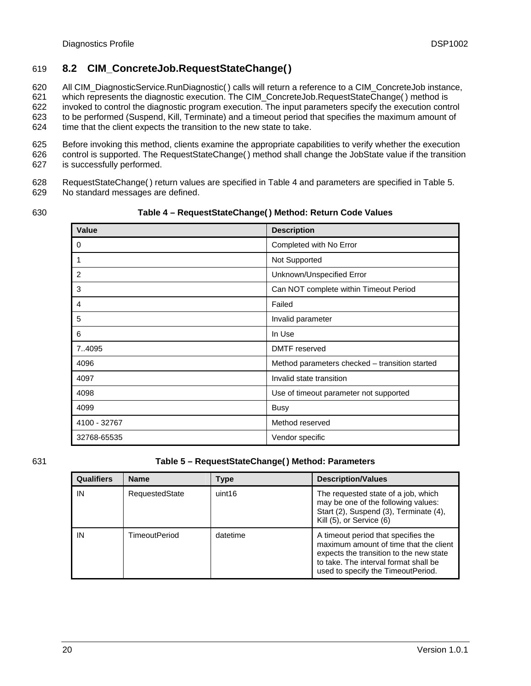# <span id="page-19-3"></span><span id="page-19-0"></span>619 **8.2 CIM\_ConcreteJob.RequestStateChange()**

620 All CIM\_DiagnosticService.RunDiagnostic( ) calls will return a reference to a CIM\_ConcreteJob instance,

621 which represents the diagnostic execution. The CIM\_ConcreteJob.RequestStateChange( ) method is

622 623 624 invoked to control the diagnostic program execution. The input parameters specify the execution control to be performed (Suspend, Kill, Terminate) and a timeout period that specifies the maximum amount of time that the client expects the transition to the new state to take.

625 626 627 Before invoking this method, clients examine the appropriate capabilities to verify whether the execution control is supported. The RequestStateChange() method shall change the JobState value if the transition is successfully performed.

628 629 RequestStateChange( ) return values are specified in [Table 4](#page-19-1) and parameters are specified in [Table 5.](#page-19-2) No standard messages are defined.

<span id="page-19-1"></span>630

**Table 4 – RequestStateChange( ) Method: Return Code Values** 

| <b>Value</b> | <b>Description</b>                             |
|--------------|------------------------------------------------|
| 0            | Completed with No Error                        |
| 1            | Not Supported                                  |
| 2            | Unknown/Unspecified Error                      |
| 3            | Can NOT complete within Timeout Period         |
| 4            | Failed                                         |
| 5            | Invalid parameter                              |
| 6            | In Use                                         |
| 7.4095       | DMTF reserved                                  |
| 4096         | Method parameters checked - transition started |
| 4097         | Invalid state transition                       |
| 4098         | Use of timeout parameter not supported         |
| 4099         | Busy                                           |
| 4100 - 32767 | Method reserved                                |
| 32768-65535  | Vendor specific                                |

# <span id="page-19-2"></span>631 **Table 5 – RequestStateChange( ) Method: Parameters**

| <b>Qualifiers</b> | <b>Name</b>          | Type     | <b>Description/Values</b>                                                                                                                                                                               |
|-------------------|----------------------|----------|---------------------------------------------------------------------------------------------------------------------------------------------------------------------------------------------------------|
| IN                | RequestedState       | uint16   | The requested state of a job, which<br>may be one of the following values:<br>Start (2), Suspend (3), Terminate (4),<br>Kill (5), or Service (6)                                                        |
| ΙN                | <b>TimeoutPeriod</b> | datetime | A timeout period that specifies the<br>maximum amount of time that the client<br>expects the transition to the new state<br>to take. The interval format shall be<br>used to specify the TimeoutPeriod. |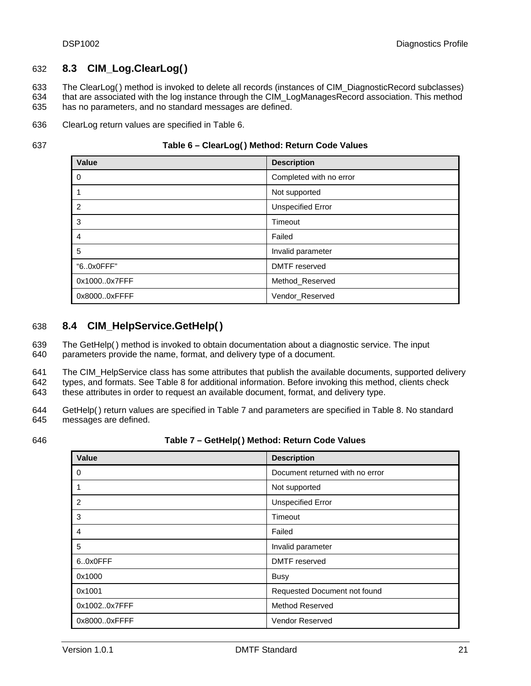# <span id="page-20-3"></span><span id="page-20-0"></span>632 **8.3 CIM\_Log.ClearLog()**

633 634 635 The ClearLog( ) method is invoked to delete all records (instances of CIM\_DiagnosticRecord subclasses) that are associated with the log instance through the CIM\_LogManagesRecord association. This method has no parameters, and no standard messages are defined.

636 ClearLog return values are specified in [Table 6](#page-20-1).

<span id="page-20-1"></span>637

### **Table 6 – ClearLog( ) Method: Return Code Values**

| Value        | <b>Description</b>       |
|--------------|--------------------------|
| 0            | Completed with no error  |
|              | Not supported            |
| 2            | <b>Unspecified Error</b> |
| 3            | Timeout                  |
| 4            | Failed                   |
| 5            | Invalid parameter        |
| "60x0FFF"    | <b>DMTF</b> reserved     |
| 0x10000x7FFF | Method_Reserved          |
| 0x80000xFFFF | Vendor_Reserved          |

# <span id="page-20-4"></span>638 **8.4 CIM\_HelpService.GetHelp()**

639 640 The GetHelp() method is invoked to obtain documentation about a diagnostic service. The input parameters provide the name, format, and delivery type of a document.

641 642 643 The CIM HelpService class has some attributes that publish the available documents, supported delivery types, and formats. See [Table 8](#page-21-1) for additional information. Before invoking this method, clients check these attributes in order to request an available document, format, and delivery type.

644 645 GetHelp() return values are specified in [Table 7](#page-20-2) and parameters are specified in [Table 8.](#page-21-1) No standard messages are defined.

<span id="page-20-2"></span>646

**Table 7 – GetHelp() Method: Return Code Values** 

| Value          | <b>Description</b>              |
|----------------|---------------------------------|
| - 0            | Document returned with no error |
| $\overline{1}$ | Not supported                   |
| $\overline{2}$ | <b>Unspecified Error</b>        |
| -3             | Timeout                         |
| $\overline{4}$ | Failed                          |
| 5              | Invalid parameter               |
| 60x0FFF        | <b>DMTF</b> reserved            |
| 0x1000         | <b>Busy</b>                     |
| 0x1001         | Requested Document not found    |
| 0x10020x7FFF   | <b>Method Reserved</b>          |
| 0x80000xFFFF   | <b>Vendor Reserved</b>          |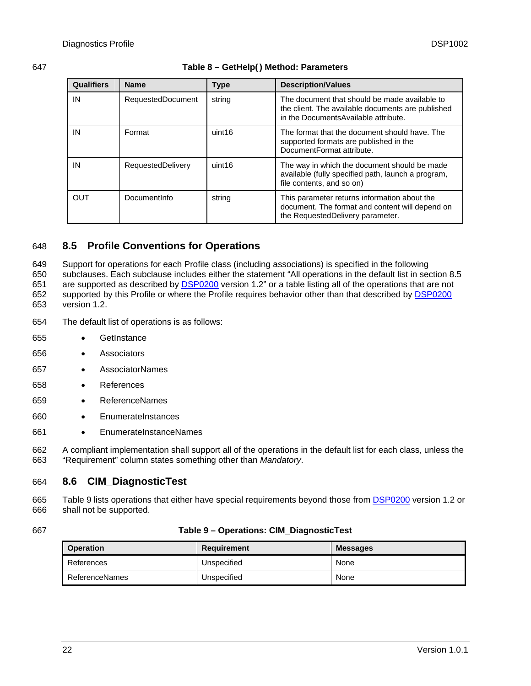# <span id="page-21-1"></span><span id="page-21-0"></span>647 **Table 8 – GetHelp() Method: Parameters**

| <b>Qualifiers</b> | <b>Name</b>              | <b>Type</b> | <b>Description/Values</b>                                                                                                                   |
|-------------------|--------------------------|-------------|---------------------------------------------------------------------------------------------------------------------------------------------|
| IN                | <b>RequestedDocument</b> | string      | The document that should be made available to<br>the client. The available documents are published<br>in the Documents Available attribute. |
| IN                | Format                   | uint16      | The format that the document should have. The<br>supported formats are published in the<br>DocumentFormat attribute.                        |
| IN                | RequestedDelivery        | uint16      | The way in which the document should be made<br>available (fully specified path, launch a program,<br>file contents, and so on)             |
| OUT               | DocumentInfo             | string      | This parameter returns information about the<br>document. The format and content will depend on<br>the RequestedDelivery parameter.         |

# <span id="page-21-2"></span>648 **8.5 Profile Conventions for Operations**

649 650 Support for operations for each Profile class (including associations) is specified in the following subclauses. Each subclause includes either the statement "All operations in the default list in section [8.5](#page-21-2) are supported as described by [DSP0200](#page-8-0) version 1.2" or a table listing all of the operations that are not supported by this Profile or where the Profile requires behavior other than that described by **[DSP0200](#page-8-0)** 651 version 1.2. 652 653

- 654 The default list of operations is as follows:
- 655 • GetInstance
- 656 • Associators
- 657 • AssociatorNames
- 658 • References
- 659 • ReferenceNames
- 660 • EnumerateInstances
- 661 • EnumerateInstanceNames

662 663 A compliant implementation shall support all of the operations in the default list for each class, unless the "Requirement" column states something other than *Mandatory*.

#### 664 **8.6 CIM\_DiagnosticTest**

[Table 9](#page-21-3) lists operations that either have special requirements beyond those from [DSP0200](#page-8-0) version 1.2 or shall not be supported. 665 666

### <span id="page-21-3"></span>667 **Table 9 – Operations: CIM\_DiagnosticTest**

| <b>Operation</b> | Requirement | <b>Messages</b> |
|------------------|-------------|-----------------|
| References       | Unspecified | None            |
| ReferenceNames   | Unspecified | None            |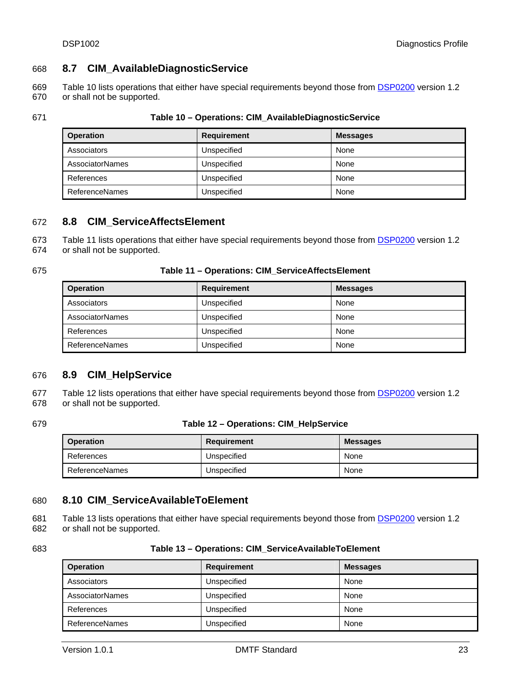# <span id="page-22-0"></span>668 **8.7 CIM\_AvailableDiagnosticService**

- [Table 10](#page-22-1) lists operations that either have special requirements beyond those from **[DSP0200](#page-8-0)** version 1.2 or shall not be supported. 669 670
- 

### <span id="page-22-1"></span>671 **Table 10 – Operations: CIM\_AvailableDiagnosticService**

| <b>Operation</b>       | <b>Requirement</b> | <b>Messages</b> |
|------------------------|--------------------|-----------------|
| Associators            | Unspecified        | None            |
| <b>AssociatorNames</b> | Unspecified        | None            |
| References             | Unspecified        | None            |
| ReferenceNames         | Unspecified        | None            |

# 672 **8.8 CIM\_ServiceAffectsElement**

[Table 11](#page-22-2) lists operations that either have special requirements beyond those from [DSP0200](#page-8-0) version 1.2 673

or shall not be supported. 674

<span id="page-22-2"></span>

### 675 **Table 11 – Operations: CIM\_ServiceAffectsElement**

| <b>Operation</b>       | Requirement | <b>Messages</b> |
|------------------------|-------------|-----------------|
| Associators            | Unspecified | None            |
| <b>AssociatorNames</b> | Unspecified | None            |
| References             | Unspecified | None            |
| ReferenceNames         | Unspecified | None            |

### 676 **8.9 CIM\_HelpService**

[Table 12](#page-22-3) lists operations that either have special requirements beyond those from **[DSP0200](#page-8-0)** version 1.2 or shall not be supported. 677 678

### <span id="page-22-3"></span>679 **Table 12 – Operations: CIM\_HelpService**

| <b>Operation</b> | Requirement | <b>Messages</b> |
|------------------|-------------|-----------------|
| References       | Unspecified | None            |
| ReferenceNames   | Unspecified | None            |

### 680 **8.10 CIM\_ServiceAvailableToElement**

[Table 13](#page-22-4) lists operations that either have special requirements beyond those from **[DSP0200](#page-8-0)** version 1.2 or shall not be supported. 681 682

<span id="page-22-4"></span>

| 683 | Table 13 – Operations: CIM ServiceAvailableToElement |
|-----|------------------------------------------------------|
|-----|------------------------------------------------------|

| <b>Operation</b> | <b>Requirement</b> | <b>Messages</b> |
|------------------|--------------------|-----------------|
| Associators      | Unspecified        | None            |
| AssociatorNames  | Unspecified        | None            |
| References       | Unspecified        | None            |
| ReferenceNames   | Unspecified        | None            |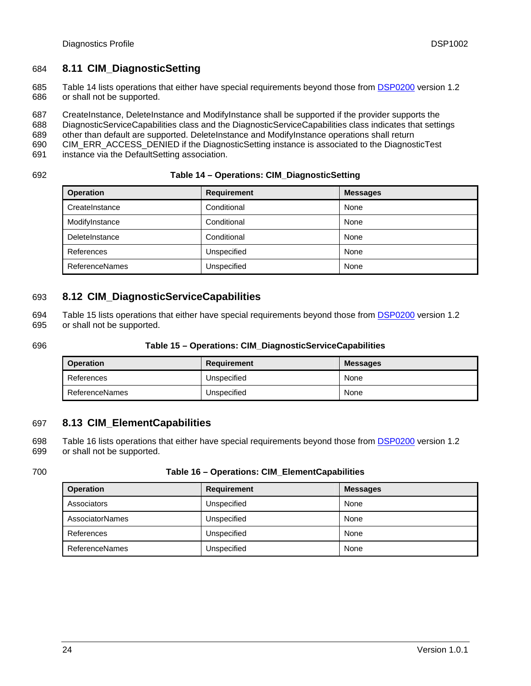# <span id="page-23-0"></span>684 **8.11 CIM\_DiagnosticSetting**

[Table 14](#page-23-1) lists operations that either have special requirements beyond those from [DSP0200](#page-8-0) version 1.2 or shall not be supported. 685 686

687 CreateInstance, DeleteInstance and ModifyInstance shall be supported if the provider supports the

- 688 DiagnosticServiceCapabilities class and the DiagnosticServiceCapabilities class indicates that settings
- 689 other than default are supported. DeleteInstance and ModifyInstance operations shall return
- 690 CIM\_ERR\_ACCESS\_DENIED if the DiagnosticSetting instance is associated to the DiagnosticTest
- 691 instance via the DefaultSetting association.

<span id="page-23-1"></span>692

### **Table 14 – Operations: CIM\_DiagnosticSetting**

| <b>Operation</b> | <b>Requirement</b> | <b>Messages</b> |
|------------------|--------------------|-----------------|
| CreateInstance   | Conditional        | None            |
| ModifyInstance   | Conditional        | None            |
| DeleteInstance   | Conditional        | None            |
| References       | Unspecified        | None            |
| ReferenceNames   | Unspecified        | None            |

# 693 **8.12 CIM\_DiagnosticServiceCapabilities**

[Table 15](#page-23-2) lists operations that either have special requirements beyond those from [DSP0200](#page-8-0) version 1.2 or shall not be supported. 694 695

### <span id="page-23-2"></span>696 **Table 15 – Operations: CIM\_DiagnosticServiceCapabilities**

| <b>Operation</b> | Requirement | <b>Messages</b> |
|------------------|-------------|-----------------|
| References       | Unspecified | None            |
| ReferenceNames   | Unspecified | None            |

# 697 **8.13 CIM\_ElementCapabilities**

[Table 16](#page-23-3) lists operations that either have special requirements beyond those from [DSP0200](#page-8-0) version 1.2 or shall not be supported. 698 699

### <span id="page-23-3"></span>700 **Table 16 – Operations: CIM\_ElementCapabilities**

| <b>Operation</b> | Requirement | <b>Messages</b> |
|------------------|-------------|-----------------|
| Associators      | Unspecified | None            |
| AssociatorNames  | Unspecified | None            |
| References       | Unspecified | None            |
| ReferenceNames   | Unspecified | None            |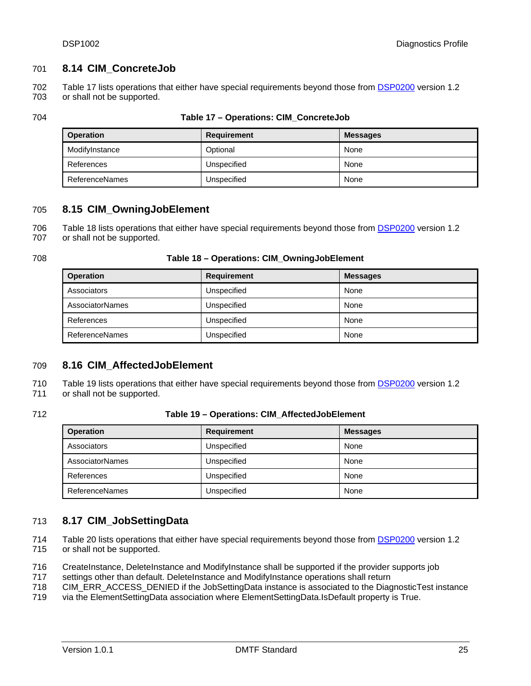# <span id="page-24-0"></span>701 **8.14 CIM\_ConcreteJob**

[Table 17](#page-24-1) lists operations that either have special requirements beyond those from [DSP0200](#page-8-0) version 1.2 or shall not be supported. 702 703

<span id="page-24-1"></span>

### 704 **Table 17 – Operations: CIM\_ConcreteJob**

| <b>Operation</b>      | <b>Requirement</b> | <b>Messages</b> |
|-----------------------|--------------------|-----------------|
| ModifyInstance        | Optional           | None            |
| References            | Unspecified        | None            |
| <b>ReferenceNames</b> | Unspecified        | None            |

# 705 **8.15 CIM\_OwningJobElement**

[Table 18](#page-24-2) lists operations that either have special requirements beyond those from **[DSP0200](#page-8-0)** version 1.2 or shall not be supported. 706 707

### <span id="page-24-2"></span>708 **Table 18 – Operations: CIM\_OwningJobElement**

| <b>Operation</b>       | <b>Requirement</b> | <b>Messages</b> |
|------------------------|--------------------|-----------------|
| Associators            | Unspecified        | None            |
| <b>AssociatorNames</b> | Unspecified        | None            |
| References             | Unspecified        | None            |
| ReferenceNames         | Unspecified        | None            |

### 709 **8.16 CIM\_AffectedJobElement**

[Table 19](#page-24-3) lists operations that either have special requirements beyond those from [DSP0200](#page-8-0) version 1.2 710

or shall not be supported. 711

### <span id="page-24-3"></span>712 **Table 19 – Operations: CIM\_AffectedJobElement**

| <b>Operation</b>       | Requirement | <b>Messages</b> |
|------------------------|-------------|-----------------|
| Associators            | Unspecified | None            |
| <b>AssociatorNames</b> | Unspecified | None            |
| References             | Unspecified | None            |
| <b>ReferenceNames</b>  | Unspecified | None            |

# 713 **8.17 CIM\_JobSettingData**

[Table 20](#page-25-1) lists operations that either have special requirements beyond those from [DSP0200](#page-8-0) version 1.2 or shall not be supported. 714 715

716 CreateInstance, DeleteInstance and ModifyInstance shall be supported if the provider supports job

717 settings other than default. DeleteInstance and ModifyInstance operations shall return

718 CIM\_ERR\_ACCESS\_DENIED if the JobSettingData instance is associated to the DiagnosticTest instance

719 via the ElementSettingData association where ElementSettingData.IsDefault property is True.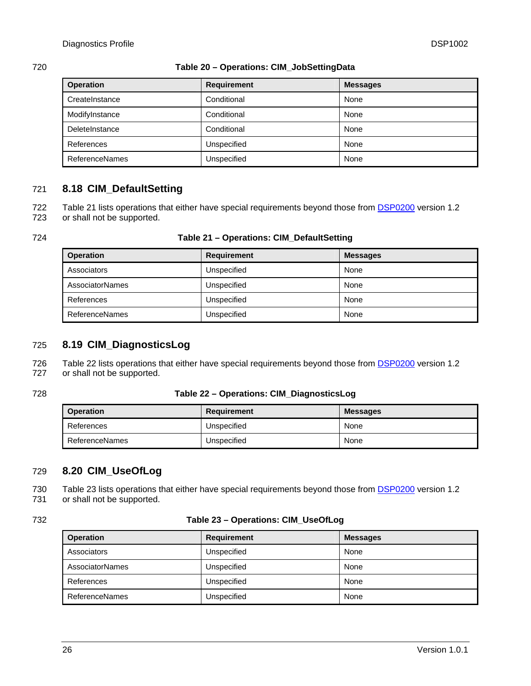### <span id="page-25-1"></span><span id="page-25-0"></span>720 **Table 20 – Operations: CIM\_JobSettingData**

| <b>Operation</b>      | <b>Requirement</b> | <b>Messages</b> |
|-----------------------|--------------------|-----------------|
| CreateInstance        | Conditional        | None            |
| ModifyInstance        | Conditional        | None            |
| DeleteInstance        | Conditional        | None            |
| References            | Unspecified        | None            |
| <b>ReferenceNames</b> | Unspecified        | None            |

# 721 **8.18 CIM\_DefaultSetting**

[Table 21](#page-25-2) lists operations that either have special requirements beyond those from **[DSP0200](#page-8-0)** version 1.2 or shall not be supported. 722 723

<span id="page-25-2"></span>

### 724 **Table 21 – Operations: CIM\_DefaultSetting**

| <b>Operation</b>       | <b>Requirement</b> | <b>Messages</b> |
|------------------------|--------------------|-----------------|
| Associators            | Unspecified        | None            |
| <b>AssociatorNames</b> | Unspecified        | None            |
| References             | Unspecified        | None            |
| <b>ReferenceNames</b>  | Unspecified        | None            |

# 725 **8.19 CIM\_DiagnosticsLog**

[Table 22](#page-25-3) lists operations that either have special requirements beyond those from **[DSP0200](#page-8-0)** version 1.2 or shall not be supported. 726 727

### <span id="page-25-3"></span>728 **Table 22 – Operations: CIM\_DiagnosticsLog**

| <b>Operation</b> | Requirement | <b>Messages</b> |
|------------------|-------------|-----------------|
| References       | Unspecified | None            |
| ReferenceNames   | Unspecified | None            |

# 729 **8.20 CIM\_UseOfLog**

[Table 23](#page-25-4) lists operations that either have special requirements beyond those from **[DSP0200](#page-8-0)** version 1.2 or shall not be supported. 730 731

### <span id="page-25-4"></span>732 **Table 23 – Operations: CIM\_UseOfLog**

| <b>Operation</b>       | <b>Requirement</b> | <b>Messages</b> |
|------------------------|--------------------|-----------------|
| Associators            | Unspecified        | None            |
| <b>AssociatorNames</b> | Unspecified        | None            |
| References             | Unspecified        | None            |
| <b>ReferenceNames</b>  | Unspecified        | None            |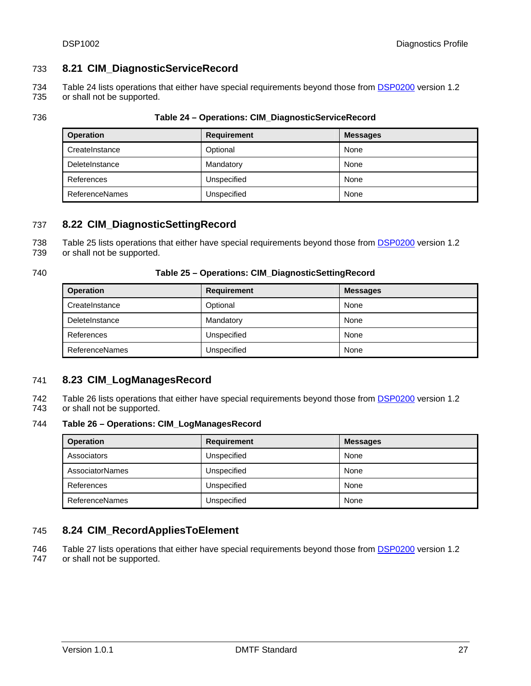# <span id="page-26-0"></span>733 **8.21 CIM\_DiagnosticServiceRecord**

[Table 24](#page-26-1) lists operations that either have special requirements beyond those from **[DSP0200](#page-8-0)** version 1.2 or shall not be supported. 734 735

<span id="page-26-1"></span>

| ×<br>۰, | ×<br>۰. |
|---------|---------|

### 736 **Table 24 – Operations: CIM\_DiagnosticServiceRecord**

| <b>Operation</b>      | Requirement | <b>Messages</b> |
|-----------------------|-------------|-----------------|
| CreateInstance        | Optional    | None            |
| DeleteInstance        | Mandatory   | None            |
| References            | Unspecified | None            |
| <b>ReferenceNames</b> | Unspecified | None            |

# 737 **8.22 CIM\_DiagnosticSettingRecord**

[Table 25](#page-26-2) lists operations that either have special requirements beyond those from [DSP0200](#page-8-0) version 1.2 738

or shall not be supported. 739

### <span id="page-26-2"></span>740 **Table 25 – Operations: CIM\_DiagnosticSettingRecord**

| <b>Operation</b>      | <b>Requirement</b> | <b>Messages</b> |
|-----------------------|--------------------|-----------------|
| CreateInstance        | Optional           | None            |
| DeleteInstance        | Mandatory          | None            |
| References            | Unspecified        | None            |
| <b>ReferenceNames</b> | Unspecified        | None            |

# 741 **8.23 CIM\_LogManagesRecord**

[Table 26](#page-26-3) lists operations that either have special requirements beyond those from **[DSP0200](#page-8-0)** version 1.2 or shall not be supported. 742 743

### <span id="page-26-3"></span>744 **Table 26 – Operations: CIM\_LogManagesRecord**

| <b>Operation</b>       | <b>Requirement</b> | <b>Messages</b> |
|------------------------|--------------------|-----------------|
| Associators            | Unspecified        | None            |
| <b>AssociatorNames</b> | Unspecified        | None            |
| References             | Unspecified        | None            |
| <b>ReferenceNames</b>  | Unspecified        | None            |

# 745 **8.24 CIM\_RecordAppliesToElement**

[Table 27](#page-27-1) lists operations that either have special requirements beyond those from [DSP0200](#page-8-0) version 1.2 or shall not be supported. 746 747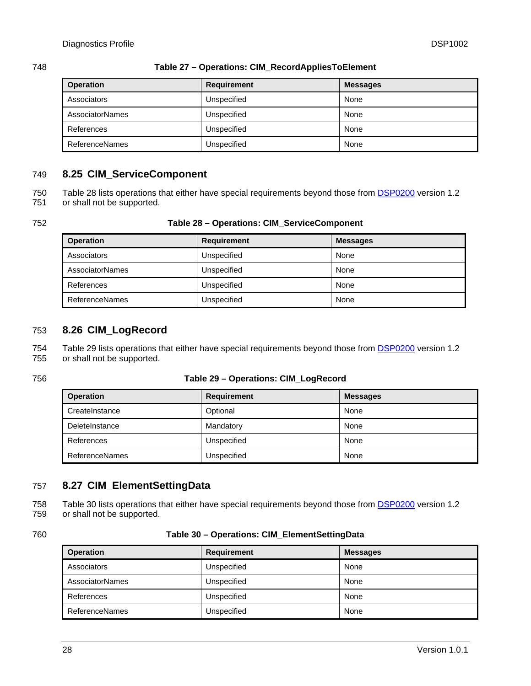<span id="page-27-1"></span>

### <span id="page-27-0"></span>748 **Table 27 – Operations: CIM\_RecordAppliesToElement**

| <b>Operation</b>       | <b>Requirement</b> | <b>Messages</b> |
|------------------------|--------------------|-----------------|
| Associators            | Unspecified        | None            |
| <b>AssociatorNames</b> | Unspecified        | None            |
| References             | Unspecified        | None            |
| <b>ReferenceNames</b>  | Unspecified        | None            |

# 749 **8.25 CIM\_ServiceComponent**

| 750 | Table 28 lists operations that either have special requirements beyond those from <b>DSP0200</b> version 1.2 |
|-----|--------------------------------------------------------------------------------------------------------------|
| 751 | or shall not be supported.                                                                                   |

### <span id="page-27-2"></span>752 **Table 28 – Operations: CIM\_ServiceComponent**

| <b>Operation</b>      | <b>Requirement</b> | <b>Messages</b> |
|-----------------------|--------------------|-----------------|
| Associators           | Unspecified        | None            |
| AssociatorNames       | Unspecified        | None            |
| References            | Unspecified        | None            |
| <b>ReferenceNames</b> | Unspecified        | None            |

# 753 **8.26 CIM\_LogRecord**

[Table 29](#page-27-3) lists operations that either have special requirements beyond those from **[DSP0200](#page-8-0)** version 1.2 or shall not be supported. 754 755

### <span id="page-27-3"></span>756 **Table 29 – Operations: CIM\_LogRecord**

| <b>Operation</b>      | Requirement | <b>Messages</b> |
|-----------------------|-------------|-----------------|
| CreateInstance        | Optional    | None            |
| DeleteInstance        | Mandatory   | None            |
| References            | Unspecified | None            |
| <b>ReferenceNames</b> | Unspecified | None            |

# 757 **8.27 CIM\_ElementSettingData**

[Table 30](#page-27-4) lists operations that either have special requirements beyond those from **[DSP0200](#page-8-0)** version 1.2 or shall not be supported. 758 759

### <span id="page-27-4"></span>760 **Table 30 – Operations: CIM\_ElementSettingData**

| <b>Operation</b> | <b>Requirement</b> | <b>Messages</b> |
|------------------|--------------------|-----------------|
| Associators      | Unspecified        | None            |
| AssociatorNames  | Unspecified        | None            |
| References       | Unspecified        | None            |
| ReferenceNames   | Unspecified        | None            |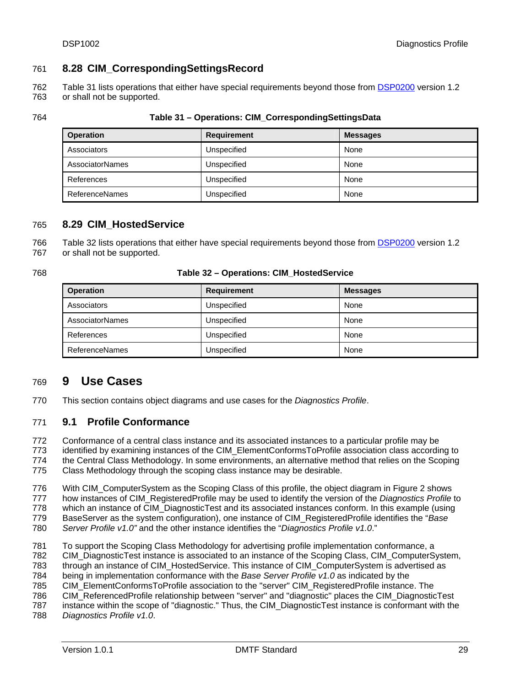# <span id="page-28-0"></span>761 **8.28 CIM\_CorrespondingSettingsRecord**

[Table 31](#page-28-1) lists operations that either have special requirements beyond those from [DSP0200](#page-8-0) version 1.2 or shall not be supported. 762 763

<span id="page-28-1"></span>

| ×<br>۰. |
|---------|
|---------|

### 764 **Table 31 – Operations: CIM\_CorrespondingSettingsData**

| <b>Operation</b>       | <b>Requirement</b> | <b>Messages</b> |
|------------------------|--------------------|-----------------|
| Associators            | Unspecified        | None            |
| <b>AssociatorNames</b> | Unspecified        | None            |
| References             | Unspecified        | None            |
| ReferenceNames         | Unspecified        | None            |

# 765 **8.29 CIM\_HostedService**

[Table 32](#page-28-2) lists operations that either have special requirements beyond those from [DSP0200](#page-8-0) version 1.2 or shall not be supported. 766 767

### <span id="page-28-2"></span>768 **Table 32 – Operations: CIM\_HostedService**

| <b>Operation</b>       | <b>Requirement</b> | <b>Messages</b> |
|------------------------|--------------------|-----------------|
| Associators            | Unspecified        | None            |
| <b>AssociatorNames</b> | Unspecified        | None            |
| References             | Unspecified        | None            |
| ReferenceNames         | Unspecified        | None            |

# 769 **9 Use Cases**

770 This section contains object diagrams and use cases for the *Diagnostics Profile*.

#### 771 **9.1 Profile Conformance**

772 773 Conformance of a central class instance and its associated instances to a particular profile may be identified by examining instances of the CIM\_ElementConformsToProfile association class according to

774 the Central Class Methodology. In some environments, an alternative method that relies on the Scoping

775 Class Methodology through the scoping class instance may be desirable.

776 With CIM ComputerSystem as the Scoping Class of this profile, the object diagram in [Figure 2](#page-29-1) shows

777 how instances of CIM\_RegisteredProfile may be used to identify the version of the *Diagnostics Profile* to

778 779 which an instance of CIM DiagnosticTest and its associated instances conform. In this example (using BaseServer as the system configuration), one instance of CIM\_RegisteredProfile identifies the "*Base* 

780 *Server Profile v1.0"* and the other instance identifies the "*Diagnostics Profile v1.0*."

781 To support the Scoping Class Methodology for advertising profile implementation conformance, a

782 CIM\_DiagnosticTest instance is associated to an instance of the Scoping Class, CIM\_ComputerSystem,

783 through an instance of CIM\_HostedService. This instance of CIM\_ComputerSystem is advertised as

784 being in implementation conformance with the *Base Server Profile v1.0* as indicated by the

785 CIM\_ElementConformsToProfile association to the "server" CIM\_RegisteredProfile instance. The

786 CIM\_ReferencedProfile relationship between "server" and "diagnostic" places the CIM\_DiagnosticTest

787 instance within the scope of "diagnostic." Thus, the CIM\_DiagnosticTest instance is conformant with the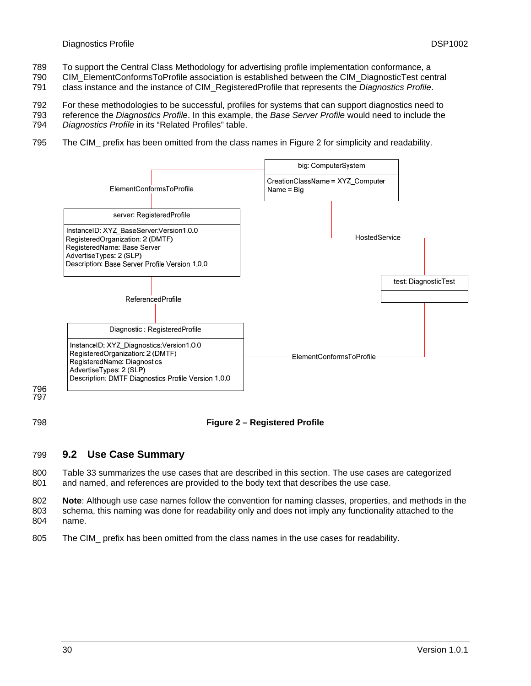- <span id="page-29-0"></span>789 To support the Central Class Methodology for advertising profile implementation conformance, a
- 790 CIM\_ElementConformsToProfile association is established between the CIM\_DiagnosticTest central
- 791 class instance and the instance of CIM\_RegisteredProfile that represents the *Diagnostics Profile*.
- 792 For these methodologies to be successful, profiles for systems that can support diagnostics need to
- 793 reference the *Diagnostics Profile*. In this example, the *Base Server Profile* would need to include the
- 794 *Diagnostics Profile* in its "Related Profiles" table.
- 795 The CIM\_ prefix has been omitted from the class names in [Figure 2](#page-29-1) for simplicity and readability.



<span id="page-29-1"></span>798

# **Figure 2 – Registered Profile**

#### 799 **9.2 Use Case Summary**

800 801 [Table 33](#page-30-1) summarizes the use cases that are described in this section. The use cases are categorized and named, and references are provided to the body text that describes the use case.

802 803 804 **Note**: Although use case names follow the convention for naming classes, properties, and methods in the schema, this naming was done for readability only and does not imply any functionality attached to the name.

805 The CIM\_ prefix has been omitted from the class names in the use cases for readability.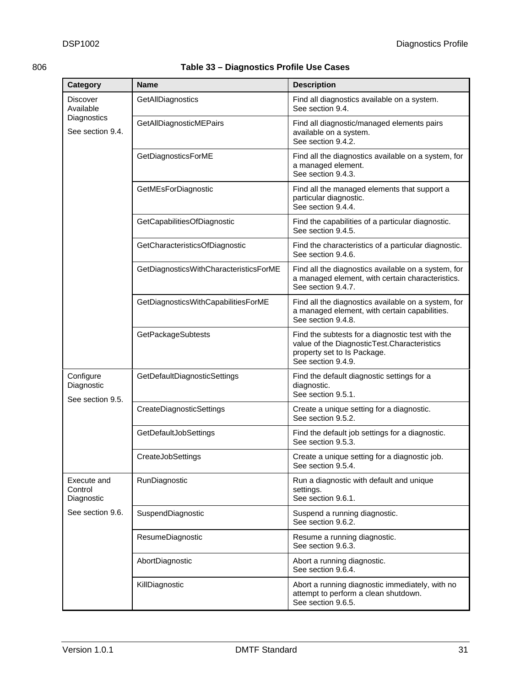<span id="page-30-1"></span><span id="page-30-0"></span>

| Category                                    | Name                                   | <b>Description</b>                                                                                                                                   |
|---------------------------------------------|----------------------------------------|------------------------------------------------------------------------------------------------------------------------------------------------------|
| <b>Discover</b><br>Available                | GetAllDiagnostics                      | Find all diagnostics available on a system.<br>See section 9.4.                                                                                      |
| Diagnostics<br>See section 9.4.             | GetAllDiagnosticMEPairs                | Find all diagnostic/managed elements pairs<br>available on a system.<br>See section 9.4.2.                                                           |
|                                             | GetDiagnosticsForME                    | Find all the diagnostics available on a system, for<br>a managed element.<br>See section 9.4.3.                                                      |
|                                             | GetMEsForDiagnostic                    | Find all the managed elements that support a<br>particular diagnostic.<br>See section 9.4.4.                                                         |
|                                             | GetCapabilitiesOfDiagnostic            | Find the capabilities of a particular diagnostic.<br>See section 9.4.5.                                                                              |
|                                             | GetCharacteristicsOfDiagnostic         | Find the characteristics of a particular diagnostic.<br>See section 9.4.6.                                                                           |
|                                             | GetDiagnosticsWithCharacteristicsForME | Find all the diagnostics available on a system, for<br>a managed element, with certain characteristics.<br>See section 9.4.7.                        |
|                                             | GetDiagnosticsWithCapabilitiesForME    | Find all the diagnostics available on a system, for<br>a managed element, with certain capabilities.<br>See section 9.4.8.                           |
|                                             | <b>GetPackageSubtests</b>              | Find the subtests for a diagnostic test with the<br>value of the DiagnosticTest.Characteristics<br>property set to Is Package.<br>See section 9.4.9. |
| Configure<br>Diagnostic<br>See section 9.5. | GetDefaultDiagnosticSettings           | Find the default diagnostic settings for a<br>diagnostic.<br>See section 9.5.1.                                                                      |
|                                             | CreateDiagnosticSettings               | Create a unique setting for a diagnostic.<br>See section 9.5.2.                                                                                      |
|                                             | GetDefaultJobSettings                  | Find the default job settings for a diagnostic.<br>See section 9.5.3.                                                                                |
|                                             | CreateJobSettings                      | Create a unique setting for a diagnostic job.<br>See section 9.5.4.                                                                                  |
| Execute and<br>Control<br>Diagnostic        | RunDiagnostic                          | Run a diagnostic with default and unique<br>settings.<br>See section 9.6.1.                                                                          |
| See section 9.6.                            | SuspendDiagnostic                      | Suspend a running diagnostic.<br>See section 9.6.2.                                                                                                  |
|                                             | ResumeDiagnostic                       | Resume a running diagnostic.<br>See section 9.6.3.                                                                                                   |
|                                             | AbortDiagnostic                        | Abort a running diagnostic.<br>See section 9.6.4.                                                                                                    |
|                                             | KillDiagnostic                         | Abort a running diagnostic immediately, with no<br>attempt to perform a clean shutdown.<br>See section 9.6.5.                                        |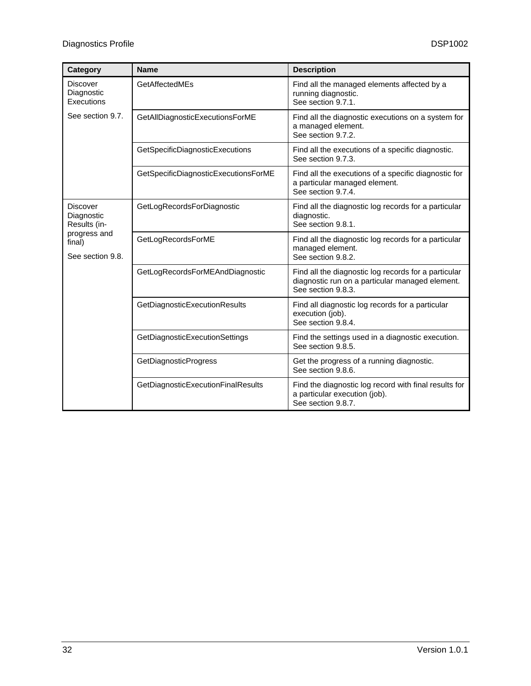| Category                                                                                    | <b>Name</b>                          | <b>Description</b>                                                                                                            |
|---------------------------------------------------------------------------------------------|--------------------------------------|-------------------------------------------------------------------------------------------------------------------------------|
| <b>Discover</b><br>Diagnostic<br>Executions                                                 | GetAffectedMEs                       | Find all the managed elements affected by a<br>running diagnostic.<br>See section 9.7.1.                                      |
| See section 9.7.                                                                            | GetAllDiagnosticExecutionsForME      | Find all the diagnostic executions on a system for<br>a managed element.<br>See section 9.7.2.                                |
|                                                                                             | GetSpecificDiagnosticExecutions      | Find all the executions of a specific diagnostic.<br>See section 9.7.3.                                                       |
|                                                                                             | GetSpecificDiagnosticExecutionsForME | Find all the executions of a specific diagnostic for<br>a particular managed element.<br>See section 9.7.4.                   |
| <b>Discover</b><br>Diagnostic<br>Results (in-<br>progress and<br>final)<br>See section 9.8. | GetLogRecordsForDiagnostic           | Find all the diagnostic log records for a particular<br>diagnostic.<br>See section 9.8.1.                                     |
|                                                                                             | GetLogRecordsForME                   | Find all the diagnostic log records for a particular<br>managed element.<br>See section 9.8.2.                                |
|                                                                                             | GetLogRecordsForMEAndDiagnostic      | Find all the diagnostic log records for a particular<br>diagnostic run on a particular managed element.<br>See section 9.8.3. |
|                                                                                             | GetDiagnosticExecutionResults        | Find all diagnostic log records for a particular<br>execution (job).<br>See section 9.8.4.                                    |
|                                                                                             | GetDiagnosticExecutionSettings       | Find the settings used in a diagnostic execution.<br>See section 9.8.5.                                                       |
|                                                                                             | GetDiagnosticProgress                | Get the progress of a running diagnostic.<br>See section 9.8.6.                                                               |
|                                                                                             | GetDiagnosticExecutionFinalResults   | Find the diagnostic log record with final results for<br>a particular execution (job).<br>See section 9.8.7.                  |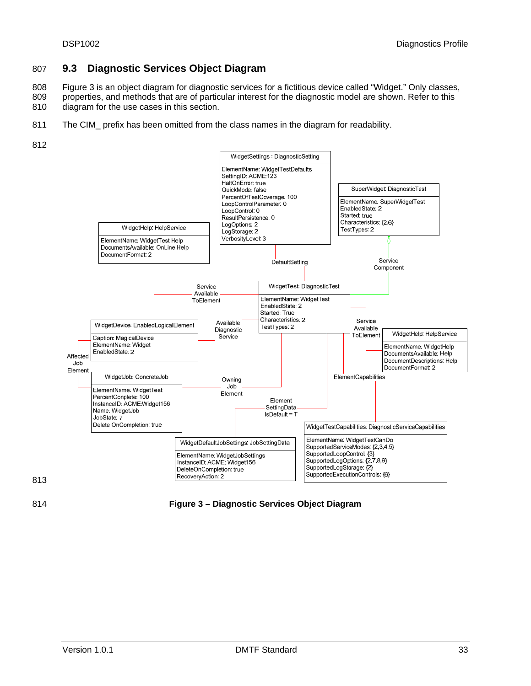# <span id="page-32-0"></span>807 **9.3 Diagnostic Services Object Diagram**

808 809 [Figure 3](#page-32-1) is an object diagram for diagnostic services for a fictitious device called "Widget." Only classes, properties, and methods that are of particular interest for the diagnostic model are shown. Refer to this

- 810 diagram for the use cases in this section.
- 811 The CIM\_ prefix has been omitted from the class names in the diagram for readability.
- 812



813

<span id="page-32-1"></span>814 **Figure 3 – Diagnostic Services Object Diagram**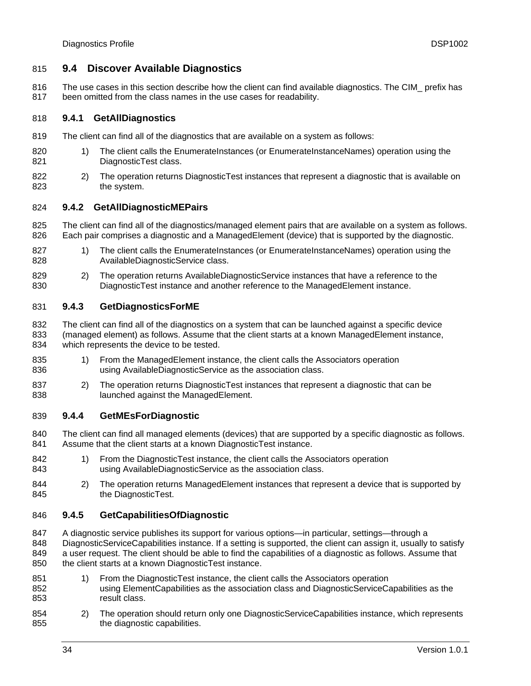# <span id="page-33-1"></span><span id="page-33-0"></span>815 **9.4 Discover Available Diagnostics**

816 817 The use cases in this section describe how the client can find available diagnostics. The CIM\_ prefix has been omitted from the class names in the use cases for readability.

#### 818 **9.4.1 GetAllDiagnostics**

- 819 The client can find all of the diagnostics that are available on a system as follows:
- 820 821 1) The client calls the EnumerateInstances (or EnumerateInstanceNames) operation using the DiagnosticTest class.
- 822 823 2) The operation returns DiagnosticTest instances that represent a diagnostic that is available on the system.

#### <span id="page-33-2"></span>824 **9.4.2 GetAllDiagnosticMEPairs**

825 826 The client can find all of the diagnostics/managed element pairs that are available on a system as follows. Each pair comprises a diagnostic and a ManagedElement (device) that is supported by the diagnostic.

- 827 828 1) The client calls the EnumerateInstances (or EnumerateInstanceNames) operation using the AvailableDiagnosticService class.
- 829 830 2) The operation returns AvailableDiagnosticService instances that have a reference to the DiagnosticTest instance and another reference to the ManagedElement instance.

#### <span id="page-33-3"></span>831 **9.4.3 GetDiagnosticsForME**

832 833 834 The client can find all of the diagnostics on a system that can be launched against a specific device (managed element) as follows. Assume that the client starts at a known ManagedElement instance, which represents the device to be tested.

- 835 836 1) From the ManagedElement instance, the client calls the Associators operation using AvailableDiagnosticService as the association class.
- 837 838 2) The operation returns DiagnosticTest instances that represent a diagnostic that can be launched against the ManagedElement.

#### <span id="page-33-4"></span>839 **9.4.4 GetMEsForDiagnostic**

840 841 The client can find all managed elements (devices) that are supported by a specific diagnostic as follows. Assume that the client starts at a known DiagnosticTest instance.

- 842 843 1) From the DiagnosticTest instance, the client calls the Associators operation using AvailableDiagnosticService as the association class.
- 844 845 2) The operation returns ManagedElement instances that represent a device that is supported by the DiagnosticTest.

#### <span id="page-33-5"></span>846 **9.4.5 GetCapabilitiesOfDiagnostic**

847 848 849 850 A diagnostic service publishes its support for various options—in particular, settings—through a DiagnosticServiceCapabilities instance. If a setting is supported, the client can assign it, usually to satisfy a user request. The client should be able to find the capabilities of a diagnostic as follows. Assume that the client starts at a known DiagnosticTest instance.

- 851 852 853 1) From the DiagnosticTest instance, the client calls the Associators operation using ElementCapabilities as the association class and DiagnosticServiceCapabilities as the result class.
- 854 855 2) The operation should return only one DiagnosticServiceCapabilities instance, which represents the diagnostic capabilities.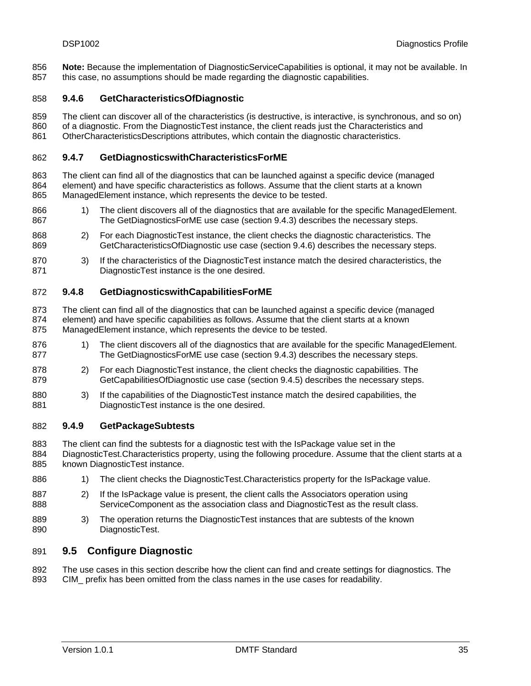<span id="page-34-0"></span>**Note:** Because the implementation of DiagnosticServiceCapabilities is optional, it may not be available. In this case, no assumptions should be made regarding the diagnostic capabilities. 856 857

#### <span id="page-34-1"></span>858 **9.4.6 GetCharacteristicsOfDiagnostic**

859 860 861 The client can discover all of the characteristics (is destructive, is interactive, is synchronous, and so on) of a diagnostic. From the DiagnosticTest instance, the client reads just the Characteristics and OtherCharacteristicsDescriptions attributes, which contain the diagnostic characteristics.

### <span id="page-34-2"></span>862 **9.4.7 GetDiagnosticswithCharacteristicsForME**

863 864 865 The client can find all of the diagnostics that can be launched against a specific device (managed element) and have specific characteristics as follows. Assume that the client starts at a known ManagedElement instance, which represents the device to be tested.

- 866 867 1) The client discovers all of the diagnostics that are available for the specific ManagedElement. The GetDiagnosticsForME use case (section [9.4.3\)](#page-33-3) describes the necessary steps.
- 868 869 2) For each DiagnosticTest instance, the client checks the diagnostic characteristics. The GetCharacteristicsOfDiagnostic use case (section [9.4.6](#page-34-1)) describes the necessary steps.
- 870 871 3) If the characteristics of the DiagnosticTest instance match the desired characteristics, the DiagnosticTest instance is the one desired.

#### <span id="page-34-3"></span>872 **9.4.8 GetDiagnosticswithCapabilitiesForME**

873 874 875 The client can find all of the diagnostics that can be launched against a specific device (managed element) and have specific capabilities as follows. Assume that the client starts at a known ManagedElement instance, which represents the device to be tested.

- 876 877 1) The client discovers all of the diagnostics that are available for the specific ManagedElement. The GetDiagnosticsForME use case (section [9.4.3\)](#page-33-3) describes the necessary steps.
- 878 879 2) For each DiagnosticTest instance, the client checks the diagnostic capabilities. The GetCapabilitiesOfDiagnostic use case (section [9.4.5\)](#page-33-5) describes the necessary steps.
- 880 881 3) If the capabilities of the DiagnosticTest instance match the desired capabilities, the DiagnosticTest instance is the one desired.

#### <span id="page-34-4"></span>882 **9.4.9 GetPackageSubtests**

883 The client can find the subtests for a diagnostic test with the IsPackage value set in the

884 885 DiagnosticTest.Characteristics property, using the following procedure. Assume that the client starts at a known DiagnosticTest instance.

- 886 1) The client checks the DiagnosticTest.Characteristics property for the IsPackage value.
- 887 888 2) If the IsPackage value is present, the client calls the Associators operation using ServiceComponent as the association class and DiagnosticTest as the result class.
- 889 890 3) The operation returns the DiagnosticTest instances that are subtests of the known DiagnosticTest.

#### <span id="page-34-5"></span>891 **9.5 Configure Diagnostic**

892 893 The use cases in this section describe how the client can find and create settings for diagnostics. The CIM\_ prefix has been omitted from the class names in the use cases for readability.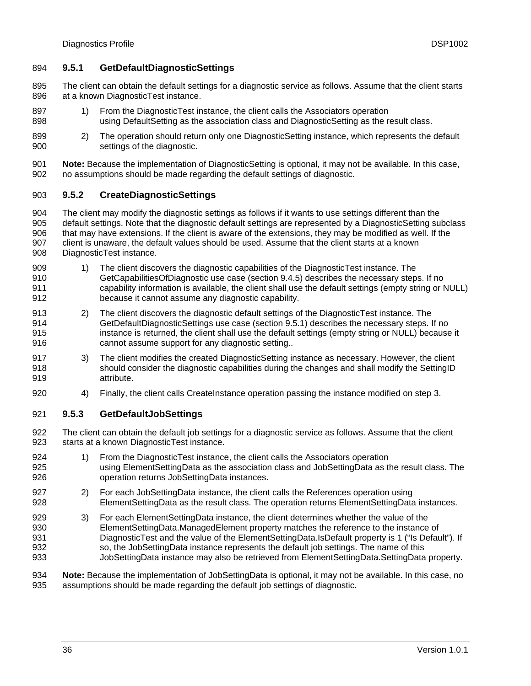# <span id="page-35-1"></span><span id="page-35-0"></span>894 **9.5.1 GetDefaultDiagnosticSettings**

- 895 896 The client can obtain the default settings for a diagnostic service as follows. Assume that the client starts at a known DiagnosticTest instance.
- 897 898 1) From the DiagnosticTest instance, the client calls the Associators operation using DefaultSetting as the association class and DiagnosticSetting as the result class.
- 899 900 2) The operation should return only one DiagnosticSetting instance, which represents the default settings of the diagnostic.
- 901 902 **Note:** Because the implementation of DiagnosticSetting is optional, it may not be available. In this case, no assumptions should be made regarding the default settings of diagnostic.

#### <span id="page-35-2"></span>903 **9.5.2 CreateDiagnosticSettings**

904 905 906 907 908 The client may modify the diagnostic settings as follows if it wants to use settings different than the default settings. Note that the diagnostic default settings are represented by a DiagnosticSetting subclass that may have extensions. If the client is aware of the extensions, they may be modified as well. If the client is unaware, the default values should be used. Assume that the client starts at a known DiagnosticTest instance.

- 909 910 911 912 1) The client discovers the diagnostic capabilities of the DiagnosticTest instance. The GetCapabilitiesOfDiagnostic use case (section [9.4.5\)](#page-33-5) describes the necessary steps. If no capability information is available, the client shall use the default settings (empty string or NULL) because it cannot assume any diagnostic capability.
- 913 914 915 916 2) The client discovers the diagnostic default settings of the DiagnosticTest instance. The GetDefaultDiagnosticSettings use case (section [9.5.1](#page-35-1)) describes the necessary steps. If no instance is returned, the client shall use the default settings (empty string or NULL) because it cannot assume support for any diagnostic setting..
- 917 918 919 3) The client modifies the created DiagnosticSetting instance as necessary. However, the client should consider the diagnostic capabilities during the changes and shall modify the SettingID attribute.
- 920 4) Finally, the client calls CreateInstance operation passing the instance modified on step 3.

#### <span id="page-35-3"></span>921 **9.5.3 GetDefaultJobSettings**

- 922 923 The client can obtain the default job settings for a diagnostic service as follows. Assume that the client starts at a known DiagnosticTest instance.
- 924 925 926 1) From the DiagnosticTest instance, the client calls the Associators operation using ElementSettingData as the association class and JobSettingData as the result class. The operation returns JobSettingData instances.
- 927 928 2) For each JobSettingData instance, the client calls the References operation using ElementSettingData as the result class. The operation returns ElementSettingData instances.
- 929 930 931 932 933 3) For each ElementSettingData instance, the client determines whether the value of the ElementSettingData.ManagedElement property matches the reference to the instance of DiagnosticTest and the value of the ElementSettingData.IsDefault property is 1 ("Is Default"). If so, the JobSettingData instance represents the default job settings. The name of this JobSettingData instance may also be retrieved from ElementSettingData.SettingData property.

934 935 **Note:** Because the implementation of JobSettingData is optional, it may not be available. In this case, no assumptions should be made regarding the default job settings of diagnostic.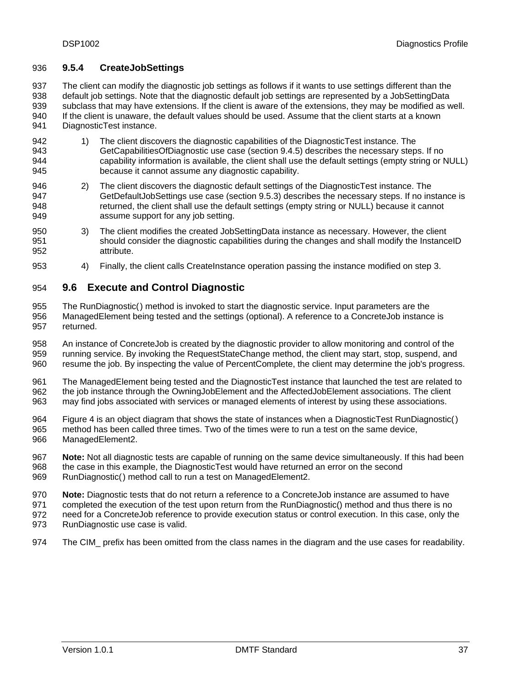# <span id="page-36-1"></span><span id="page-36-0"></span>936 **9.5.4 CreateJobSettings**

937 938 939 940 941 The client can modify the diagnostic job settings as follows if it wants to use settings different than the default job settings. Note that the diagnostic default job settings are represented by a JobSettingData subclass that may have extensions. If the client is aware of the extensions, they may be modified as well. If the client is unaware, the default values should be used. Assume that the client starts at a known DiagnosticTest instance.

- 942 943 944 945 1) The client discovers the diagnostic capabilities of the DiagnosticTest instance. The GetCapabilitiesOfDiagnostic use case (section [9.4.5\)](#page-33-5) describes the necessary steps. If no capability information is available, the client shall use the default settings (empty string or NULL) because it cannot assume any diagnostic capability.
- 946 947 948 949 2) The client discovers the diagnostic default settings of the DiagnosticTest instance. The GetDefaultJobSettings use case (section [9.5.3\)](#page-35-3) describes the necessary steps. If no instance is returned, the client shall use the default settings (empty string or NULL) because it cannot assume support for any job setting.
- 950 951 952 3) The client modifies the created JobSettingData instance as necessary. However, the client should consider the diagnostic capabilities during the changes and shall modify the InstanceID attribute.
- 953 4) Finally, the client calls CreateInstance operation passing the instance modified on step 3.

#### <span id="page-36-2"></span>954 **9.6 Execute and Control Diagnostic**

955 956 957 The RunDiagnostic() method is invoked to start the diagnostic service. Input parameters are the ManagedElement being tested and the settings (optional). A reference to a ConcreteJob instance is returned.

958 959 960 An instance of ConcreteJob is created by the diagnostic provider to allow monitoring and control of the running service. By invoking the RequestStateChange method, the client may start, stop, suspend, and resume the job. By inspecting the value of PercentComplete, the client may determine the job's progress.

961 962 963 The ManagedElement being tested and the DiagnosticTest instance that launched the test are related to the job instance through the OwningJobElement and the AffectedJobElement associations. The client may find jobs associated with services or managed elements of interest by using these associations.

- 964 965 966 [Figure 4](#page-37-3) is an object diagram that shows the state of instances when a DiagnosticTest RunDiagnostic() method has been called three times. Two of the times were to run a test on the same device, ManagedElement2.
- 967 968 **Note:** Not all diagnostic tests are capable of running on the same device simultaneously. If this had been the case in this example, the DiagnosticTest would have returned an error on the second
- 969 RunDiagnostic() method call to run a test on ManagedElement2.
- 970 **Note:** Diagnostic tests that do not return a reference to a ConcreteJob instance are assumed to have
- 971 completed the execution of the test upon return from the RunDiagnostic() method and thus there is no
- 972 need for a ConcreteJob reference to provide execution status or control execution. In this case, only the
- 973 RunDiagnostic use case is valid.
- 974 The CIM\_ prefix has been omitted from the class names in the diagram and the use cases for readability.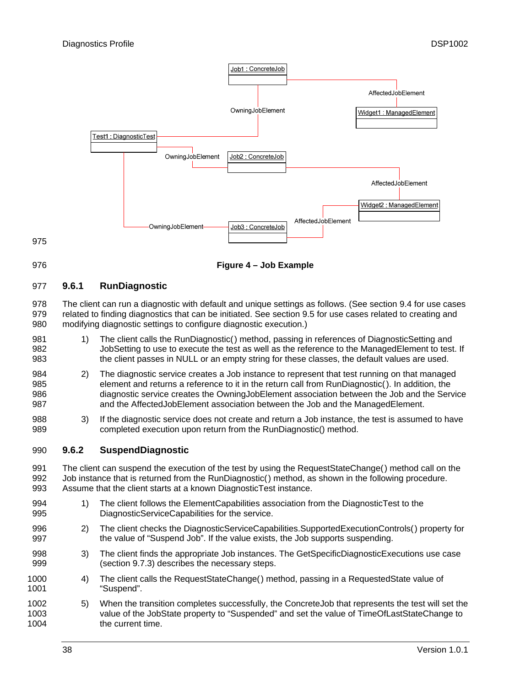<span id="page-37-0"></span>

<span id="page-37-3"></span>976

**Figure 4 – Job Example** 

#### <span id="page-37-1"></span>977 **9.6.1 RunDiagnostic**

978 979 980 The client can run a diagnostic with default and unique settings as follows. (See section [9.4](#page-33-1) for use cases related to finding diagnostics that can be initiated. See section [9.5](#page-34-5) for use cases related to creating and modifying diagnostic settings to configure diagnostic execution.)

- 981 982 983 1) The client calls the RunDiagnostic() method, passing in references of DiagnosticSetting and JobSetting to use to execute the test as well as the reference to the ManagedElement to test. If the client passes in NULL or an empty string for these classes, the default values are used.
- 984 985 986 987 2) The diagnostic service creates a Job instance to represent that test running on that managed element and returns a reference to it in the return call from RunDiagnostic(). In addition, the diagnostic service creates the OwningJobElement association between the Job and the Service and the AffectedJobElement association between the Job and the ManagedElement.
- 988 989 3) If the diagnostic service does not create and return a Job instance, the test is assumed to have completed execution upon return from the RunDiagnostic() method.

#### <span id="page-37-2"></span>990 **9.6.2 SuspendDiagnostic**

991 992 993 The client can suspend the execution of the test by using the RequestStateChange() method call on the Job instance that is returned from the RunDiagnostic() method, as shown in the following procedure. Assume that the client starts at a known DiagnosticTest instance.

- 994 995 1) The client follows the ElementCapabilities association from the DiagnosticTest to the DiagnosticServiceCapabilities for the service.
- 996 997 2) The client checks the DiagnosticServiceCapabilities.SupportedExecutionControls() property for the value of "Suspend Job". If the value exists, the Job supports suspending.
- 998 999 3) The client finds the appropriate Job instances. The GetSpecificDiagnosticExecutions use case (section [9.7.3](#page-39-4)) describes the necessary steps.
- 1000 1001 4) The client calls the RequestStateChange() method, passing in a RequestedState value of "Suspend".
- 1002 1003 1004 5) When the transition completes successfully, the ConcreteJob that represents the test will set the value of the JobState property to "Suspended" and set the value of TimeOfLastStateChange to the current time.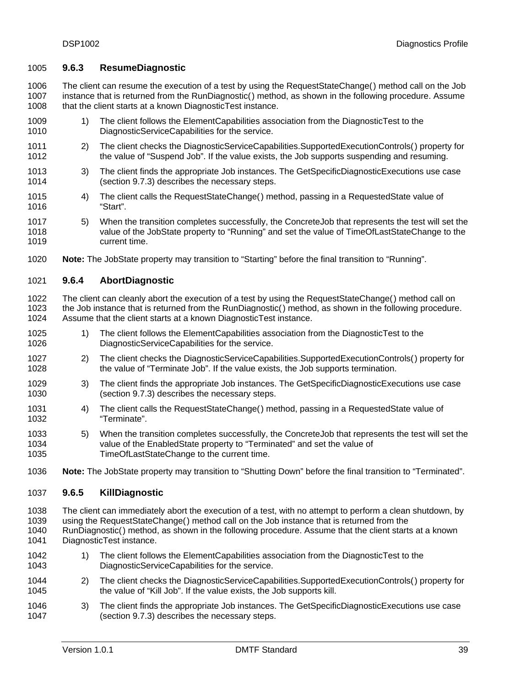## <span id="page-38-1"></span><span id="page-38-0"></span>1005 **9.6.3 ResumeDiagnostic**

1006 1007 1008 The client can resume the execution of a test by using the RequestStateChange() method call on the Job instance that is returned from the RunDiagnostic() method, as shown in the following procedure. Assume that the client starts at a known DiagnosticTest instance.

- 1009 1010 1) The client follows the ElementCapabilities association from the DiagnosticTest to the DiagnosticServiceCapabilities for the service.
- 1011 1012 2) The client checks the DiagnosticServiceCapabilities.SupportedExecutionControls() property for the value of "Suspend Job". If the value exists, the Job supports suspending and resuming.
- 1013 1014 3) The client finds the appropriate Job instances. The GetSpecificDiagnosticExecutions use case (section [9.7.3](#page-39-4)) describes the necessary steps.
- 1015 1016 4) The client calls the RequestStateChange() method, passing in a RequestedState value of "Start".
- 1017 1018 1019 5) When the transition completes successfully, the ConcreteJob that represents the test will set the value of the JobState property to "Running" and set the value of TimeOfLastStateChange to the current time.
- 1020 **Note:** The JobState property may transition to "Starting" before the final transition to "Running".

#### <span id="page-38-2"></span>1021 **9.6.4 AbortDiagnostic**

1022 1023 1024 The client can cleanly abort the execution of a test by using the RequestStateChange() method call on the Job instance that is returned from the RunDiagnostic() method, as shown in the following procedure. Assume that the client starts at a known DiagnosticTest instance.

- 1025 1026 1) The client follows the ElementCapabilities association from the DiagnosticTest to the DiagnosticServiceCapabilities for the service.
- 1027 1028 2) The client checks the DiagnosticServiceCapabilities.SupportedExecutionControls() property for the value of "Terminate Job". If the value exists, the Job supports termination.
- 1029 1030 3) The client finds the appropriate Job instances. The GetSpecificDiagnosticExecutions use case (section [9.7.3](#page-39-4)) describes the necessary steps.
- 1031 1032 4) The client calls the RequestStateChange() method, passing in a RequestedState value of "Terminate".
- 1033 1034 1035 5) When the transition completes successfully, the ConcreteJob that represents the test will set the value of the EnabledState property to "Terminated" and set the value of TimeOfLastStateChange to the current time.
- 1036 **Note:** The JobState property may transition to "Shutting Down" before the final transition to "Terminated".

#### <span id="page-38-3"></span>1037 **9.6.5 KillDiagnostic**

- 1038 The client can immediately abort the execution of a test, with no attempt to perform a clean shutdown, by
- 1039 using the RequestStateChange() method call on the Job instance that is returned from the
- 1040 1041 RunDiagnostic() method, as shown in the following procedure. Assume that the client starts at a known DiagnosticTest instance.
- 1042 1043 1) The client follows the ElementCapabilities association from the DiagnosticTest to the DiagnosticServiceCapabilities for the service.
- 1044 1045 2) The client checks the DiagnosticServiceCapabilities.SupportedExecutionControls() property for the value of "Kill Job". If the value exists, the Job supports kill.
- 1046 1047 3) The client finds the appropriate Job instances. The GetSpecificDiagnosticExecutions use case (section [9.7.3](#page-39-4)) describes the necessary steps.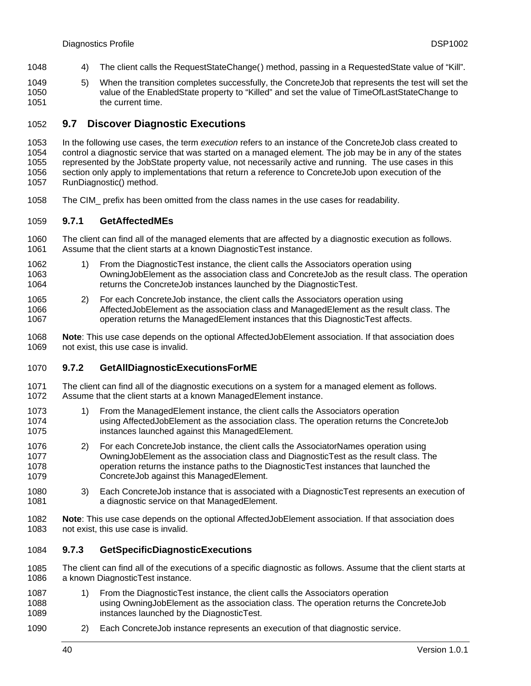- <span id="page-39-0"></span>1048 4) The client calls the RequestStateChange() method, passing in a RequestedState value of "Kill".
- 1049 1050 1051 5) When the transition completes successfully, the ConcreteJob that represents the test will set the value of the EnabledState property to "Killed" and set the value of TimeOfLastStateChange to the current time.

#### <span id="page-39-1"></span>1052 **9.7 Discover Diagnostic Executions**

1053 1054 1055 1056 1057 In the following use cases, the term *execution* refers to an instance of the ConcreteJob class created to control a diagnostic service that was started on a managed element. The job may be in any of the states represented by the JobState property value, not necessarily active and running. The use cases in this section only apply to implementations that return a reference to ConcreteJob upon execution of the RunDiagnostic() method.

1058 The CIM\_ prefix has been omitted from the class names in the use cases for readability.

#### <span id="page-39-2"></span>1059 **9.7.1 GetAffectedMEs**

1060 1061 The client can find all of the managed elements that are affected by a diagnostic execution as follows. Assume that the client starts at a known DiagnosticTest instance.

- 1062 1063 1064 1) From the DiagnosticTest instance, the client calls the Associators operation using OwningJobElement as the association class and ConcreteJob as the result class. The operation returns the ConcreteJob instances launched by the DiagnosticTest.
- 1065 1066 1067 2) For each ConcreteJob instance, the client calls the Associators operation using AffectedJobElement as the association class and ManagedElement as the result class. The operation returns the ManagedElement instances that this DiagnosticTest affects.

1068 1069 **Note**: This use case depends on the optional AffectedJobElement association. If that association does not exist, this use case is invalid.

#### <span id="page-39-3"></span>1070 **9.7.2 GetAllDiagnosticExecutionsForME**

1071 1072 The client can find all of the diagnostic executions on a system for a managed element as follows. Assume that the client starts at a known ManagedElement instance.

- 1073 1074 1075 1) From the ManagedElement instance, the client calls the Associators operation using AffectedJobElement as the association class. The operation returns the ConcreteJob instances launched against this ManagedElement.
- 1076 1077 1078 1079 2) For each ConcreteJob instance, the client calls the AssociatorNames operation using OwningJobElement as the association class and DiagnosticTest as the result class. The operation returns the instance paths to the DiagnosticTest instances that launched the ConcreteJob against this ManagedElement.
- 1080 1081 3) Each ConcreteJob instance that is associated with a DiagnosticTest represents an execution of a diagnostic service on that ManagedElement.
- 1082 1083 **Note**: This use case depends on the optional AffectedJobElement association. If that association does not exist, this use case is invalid.

#### <span id="page-39-4"></span>1084 **9.7.3 GetSpecificDiagnosticExecutions**

1085 1086 The client can find all of the executions of a specific diagnostic as follows. Assume that the client starts at a known DiagnosticTest instance.

- 1087 1088 1089 1) From the DiagnosticTest instance, the client calls the Associators operation using OwningJobElement as the association class. The operation returns the ConcreteJob instances launched by the DiagnosticTest.
- 1090 2) Each ConcreteJob instance represents an execution of that diagnostic service.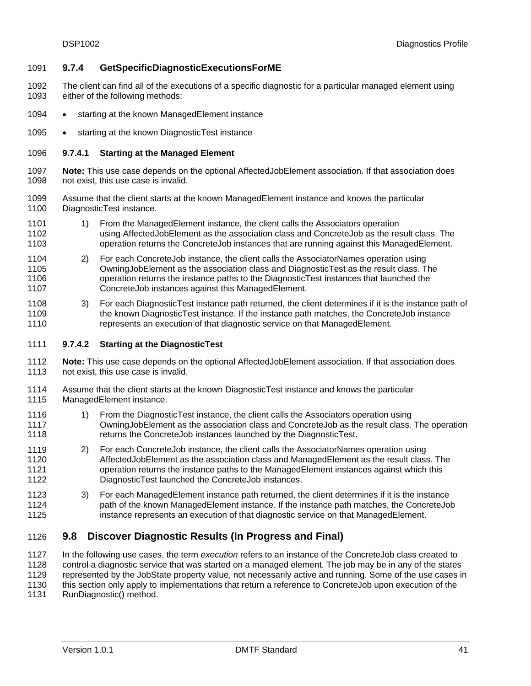# <span id="page-40-1"></span><span id="page-40-0"></span>1091 **9.7.4 GetSpecificDiagnosticExecutionsForME**

- 1092 1093 The client can find all of the executions of a specific diagnostic for a particular managed element using either of the following methods:
- 1094 • starting at the known ManagedElement instance
- 1095 • starting at the known DiagnosticTest instance

#### 1096 **9.7.4.1 Starting at the Managed Element**

- 1097 1098 **Note:** This use case depends on the optional AffectedJobElement association. If that association does not exist, this use case is invalid.
- 1099 1100 Assume that the client starts at the known ManagedElement instance and knows the particular DiagnosticTest instance.
- 1101 1102 1103 1) From the ManagedElement instance, the client calls the Associators operation using AffectedJobElement as the association class and ConcreteJob as the result class. The operation returns the ConcreteJob instances that are running against this ManagedElement.
- 1104 1105 1106 1107 2) For each ConcreteJob instance, the client calls the AssociatorNames operation using OwningJobElement as the association class and DiagnosticTest as the result class. The operation returns the instance paths to the DiagnosticTest instances that launched the ConcreteJob instances against this ManagedElement.
- 1108 1109 1110 3) For each DiagnosticTest instance path returned, the client determines if it is the instance path of the known DiagnosticTest instance. If the instance path matches, the ConcreteJob instance represents an execution of that diagnostic service on that ManagedElement.
- 1111 **9.7.4.2 Starting at the DiagnosticTest**
- 1112 1113 **Note:** This use case depends on the optional AffectedJobElement association. If that association does not exist, this use case is invalid.
- 1114 1115 Assume that the client starts at the known DiagnosticTest instance and knows the particular ManagedElement instance.
- 1116 1117 1118 1) From the DiagnosticTest instance, the client calls the Associators operation using OwningJobElement as the association class and ConcreteJob as the result class. The operation returns the ConcreteJob instances launched by the DiagnosticTest.
- 1119 1120 1121 1122 2) For each ConcreteJob instance, the client calls the AssociatorNames operation using AffectedJobElement as the association class and ManagedElement as the result class. The operation returns the instance paths to the ManagedElement instances against which this DiagnosticTest launched the ConcreteJob instances.
- 1123 1124 1125 3) For each ManagedElement instance path returned, the client determines if it is the instance path of the known ManagedElement instance. If the instance path matches, the ConcreteJob instance represents an execution of that diagnostic service on that ManagedElement.

#### <span id="page-40-2"></span>1126 **9.8 Discover Diagnostic Results (In Progress and Final)**

1127 1128 1129 1130 1131 In the following use cases, the term *execution* refers to an instance of the ConcreteJob class created to control a diagnostic service that was started on a managed element. The job may be in any of the states represented by the JobState property value, not necessarily active and running. Some of the use cases in this section only apply to implementations that return a reference to ConcreteJob upon execution of the RunDiagnostic() method.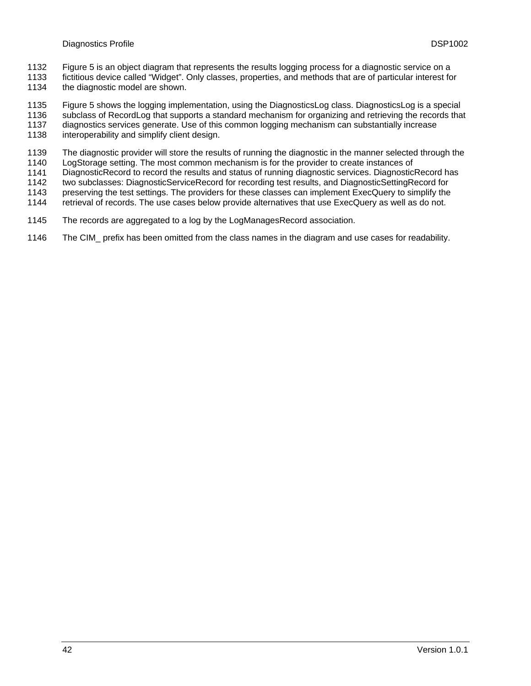- [Figure 5](#page-42-2) is an object diagram that represents the results logging process for a diagnostic service on a 1132
- fictitious device called "Widget". Only classes, properties, and methods that are of particular interest for the diagnostic model are shown. 1133 1134
- 1135 [Figure 5](#page-42-2) shows the logging implementation, using the DiagnosticsLog class. DiagnosticsLog is a special
- 1136 subclass of RecordLog that supports a standard mechanism for organizing and retrieving the records that
- 1137 1138 diagnostics services generate. Use of this common logging mechanism can substantially increase interoperability and simplify client design.
- 1139 The diagnostic provider will store the results of running the diagnostic in the manner selected through the
- 1140 LogStorage setting. The most common mechanism is for the provider to create instances of
- 1141 DiagnosticRecord to record the results and status of running diagnostic services. DiagnosticRecord has
- 1142 two subclasses: DiagnosticServiceRecord for recording test results, and DiagnosticSettingRecord for
- 1143 preserving the test settings. The providers for these classes can implement ExecQuery to simplify the
- 1144 retrieval of records. The use cases below provide alternatives that use ExecQuery as well as do not.
- 1145 The records are aggregated to a log by the LogManagesRecord association.
- 1146 The CIM\_ prefix has been omitted from the class names in the diagram and use cases for readability.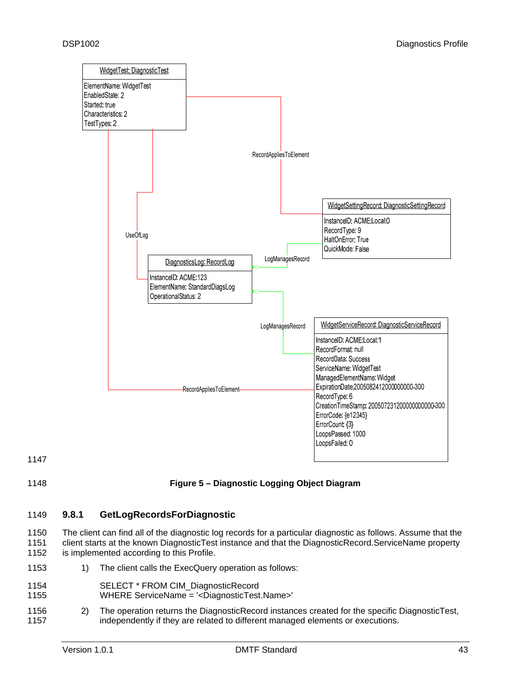<span id="page-42-0"></span>

<span id="page-42-2"></span>1148

# **Figure 5 – Diagnostic Logging Object Diagram**

#### <span id="page-42-1"></span>1149 **9.8.1 GetLogRecordsForDiagnostic**

1150 1151 1152 The client can find all of the diagnostic log records for a particular diagnostic as follows. Assume that the client starts at the known DiagnosticTest instance and that the DiagnosticRecord.ServiceName property is implemented according to this Profile.

- 1153 1) The client calls the ExecQuery operation as follows:
- 1154 SELECT \* FROM CIM\_DiagnosticRecord
- 1155 WHERE ServiceName = '<DiagnosticTest.Name>'
- 1156 1157 2) The operation returns the DiagnosticRecord instances created for the specific DiagnosticTest, independently if they are related to different managed elements or executions.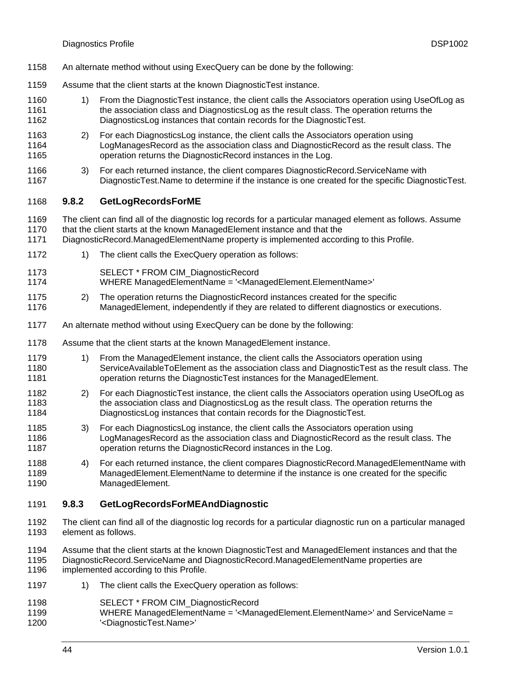- <span id="page-43-0"></span>1158 An alternate method without using ExecQuery can be done by the following:
- 1159 Assume that the client starts at the known DiagnosticTest instance.
- 1160 1161 1162 1) From the DiagnosticTest instance, the client calls the Associators operation using UseOfLog as the association class and DiagnosticsLog as the result class. The operation returns the DiagnosticsLog instances that contain records for the DiagnosticTest.
- 1163 1164 1165 2) For each DiagnosticsLog instance, the client calls the Associators operation using LogManagesRecord as the association class and DiagnosticRecord as the result class. The operation returns the DiagnosticRecord instances in the Log.
- 1166 1167 3) For each returned instance, the client compares DiagnosticRecord.ServiceName with DiagnosticTest.Name to determine if the instance is one created for the specific DiagnosticTest.

#### <span id="page-43-1"></span>1168 **9.8.2 GetLogRecordsForME**

- 1169 1170 The client can find all of the diagnostic log records for a particular managed element as follows. Assume that the client starts at the known ManagedElement instance and that the
- 1171 DiagnosticRecord.ManagedElementName property is implemented according to this Profile.
- 1172 1) The client calls the ExecQuery operation as follows:
- 1173 SELECT \* FROM CIM\_DiagnosticRecord
- 1174 WHERE ManagedElementName = '<ManagedElement.ElementName>'
- 1175 1176 2) The operation returns the DiagnosticRecord instances created for the specific ManagedElement, independently if they are related to different diagnostics or executions.
- 1177 An alternate method without using ExecQuery can be done by the following:
- 1178 Assume that the client starts at the known ManagedElement instance.
- 1179 1180 1181 1) From the ManagedElement instance, the client calls the Associators operation using ServiceAvailableToElement as the association class and DiagnosticTest as the result class. The operation returns the DiagnosticTest instances for the ManagedElement.
- 1182 1183 1184 2) For each DiagnosticTest instance, the client calls the Associators operation using UseOfLog as the association class and DiagnosticsLog as the result class. The operation returns the DiagnosticsLog instances that contain records for the DiagnosticTest.
- 1185 1186 1187 3) For each DiagnosticsLog instance, the client calls the Associators operation using LogManagesRecord as the association class and DiagnosticRecord as the result class. The operation returns the DiagnosticRecord instances in the Log.
- 1188 1189 1190 4) For each returned instance, the client compares DiagnosticRecord.ManagedElementName with ManagedElement.ElementName to determine if the instance is one created for the specific ManagedElement.

#### <span id="page-43-2"></span>1191 **9.8.3 GetLogRecordsForMEAndDiagnostic**

- 1192 1193 The client can find all of the diagnostic log records for a particular diagnostic run on a particular managed element as follows.
- 1194 1195 Assume that the client starts at the known DiagnosticTest and ManagedElement instances and that the DiagnosticRecord.ServiceName and DiagnosticRecord.ManagedElementName properties are
- 1196 implemented according to this Profile.
- 1197 1) The client calls the ExecQuery operation as follows:
- 1198 SELECT \* FROM CIM\_DiagnosticRecord
- 1199 1200 WHERE ManagedElementName = '<ManagedElement.ElementName>' and ServiceName = '<DiagnosticTest.Name>'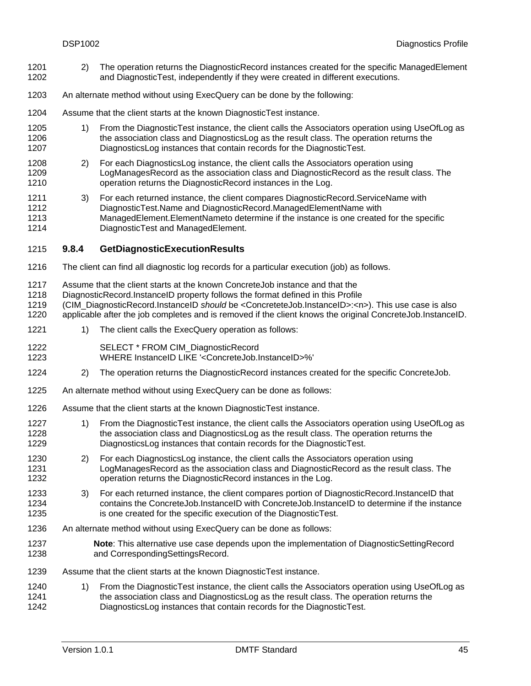- <span id="page-44-0"></span>2) The operation returns the DiagnosticRecord instances created for the specific ManagedElement and DiagnosticTest, independently if they were created in different executions. 1201 1202
- 1203 An alternate method without using ExecQuery can be done by the following:
- 1204 Assume that the client starts at the known DiagnosticTest instance.
- 1205 1206 1207 1) From the DiagnosticTest instance, the client calls the Associators operation using UseOfLog as the association class and DiagnosticsLog as the result class. The operation returns the DiagnosticsLog instances that contain records for the DiagnosticTest.
- 1208 1209 1210 2) For each DiagnosticsLog instance, the client calls the Associators operation using LogManagesRecord as the association class and DiagnosticRecord as the result class. The operation returns the DiagnosticRecord instances in the Log.
- 1211 1212 1213 1214 3) For each returned instance, the client compares DiagnosticRecord.ServiceName with DiagnosticTest.Name and DiagnosticRecord.ManagedElementName with ManagedElement.ElementNameto determine if the instance is one created for the specific DiagnosticTest and ManagedElement.
- <span id="page-44-1"></span>1215 **9.8.4 GetDiagnosticExecutionResults**
- 1216 The client can find all diagnostic log records for a particular execution (job) as follows.
- 1217 Assume that the client starts at the known ConcreteJob instance and that the
- 1218 DiagnosticRecord.InstanceID property follows the format defined in this Profile
- 1219 (CIM\_DiagnosticRecord.InstanceID *should* be <ConcreteteJob.InstanceID>:<n>). This use case is also
- 1220 applicable after the job completes and is removed if the client knows the original ConcreteJob.InstanceID.
- 1221 1) The client calls the ExecQuery operation as follows:
- 1222 SELECT \* FROM CIM\_DiagnosticRecord
- 1223 WHERE InstanceID LIKE '<ConcreteJob.InstanceID>%'
- 1224 2) The operation returns the DiagnosticRecord instances created for the specific ConcreteJob.
- 1225 An alternate method without using ExecQuery can be done as follows:
- 1226 Assume that the client starts at the known DiagnosticTest instance.
- 1227 1228 1229 1) From the DiagnosticTest instance, the client calls the Associators operation using UseOfLog as the association class and DiagnosticsLog as the result class. The operation returns the DiagnosticsLog instances that contain records for the DiagnosticTest.
- 1230 1231 1232 2) For each DiagnosticsLog instance, the client calls the Associators operation using LogManagesRecord as the association class and DiagnosticRecord as the result class. The operation returns the DiagnosticRecord instances in the Log.
- 1233 1234 1235 3) For each returned instance, the client compares portion of DiagnosticRecord.InstanceID that contains the ConcreteJob.InstanceID with ConcreteJob.InstanceID to determine if the instance is one created for the specific execution of the DiagnosticTest.
- 1236 An alternate method without using ExecQuery can be done as follows:
- 1237 1238 **Note**: This alternative use case depends upon the implementation of DiagnosticSettingRecord and CorrespondingSettingsRecord.
- 1239 Assume that the client starts at the known DiagnosticTest instance.
- 1240 1241 1242 1) From the DiagnosticTest instance, the client calls the Associators operation using UseOfLog as the association class and DiagnosticsLog as the result class. The operation returns the DiagnosticsLog instances that contain records for the DiagnosticTest.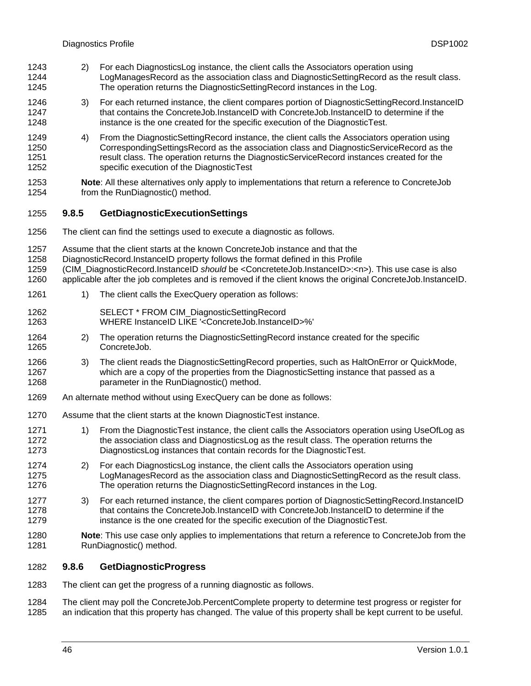- <span id="page-45-0"></span>2) For each DiagnosticsLog instance, the client calls the Associators operation using LogManagesRecord as the association class and DiagnosticSettingRecord as the result class. The operation returns the DiagnosticSettingRecord instances in the Log. 1243 1244 1245
- 1246 1247 1248 3) For each returned instance, the client compares portion of DiagnosticSettingRecord.InstanceID that contains the ConcreteJob.InstanceID with ConcreteJob.InstanceID to determine if the instance is the one created for the specific execution of the DiagnosticTest.
- 1249 1250 1251 1252 4) From the DiagnosticSettingRecord instance, the client calls the Associators operation using CorrespondingSettingsRecord as the association class and DiagnosticServiceRecord as the result class. The operation returns the DiagnosticServiceRecord instances created for the specific execution of the DiagnosticTest
- 1253 1254 **Note**: All these alternatives only apply to implementations that return a reference to ConcreteJob from the RunDiagnostic() method.

#### <span id="page-45-1"></span>1255 **9.8.5 GetDiagnosticExecutionSettings**

- 1256 The client can find the settings used to execute a diagnostic as follows.
- 1257 Assume that the client starts at the known ConcreteJob instance and that the
- 1258 DiagnosticRecord.InstanceID property follows the format defined in this Profile
- 1259 (CIM\_DiagnosticRecord.InstanceID *should* be <ConcreteteJob.InstanceID>:<n>). This use case is also
- 1260 applicable after the job completes and is removed if the client knows the original ConcreteJob.InstanceID.
- 1261 1) The client calls the ExecQuery operation as follows:
- 1262 SELECT \* FROM CIM\_DiagnosticSettingRecord
- 1263 WHERE InstanceID LIKE '<ConcreteJob.InstanceID>%'
- 1264 1265 2) The operation returns the DiagnosticSettingRecord instance created for the specific ConcreteJob.
- 1266 1267 1268 3) The client reads the DiagnosticSettingRecord properties, such as HaltOnError or QuickMode, which are a copy of the properties from the DiagnosticSetting instance that passed as a parameter in the RunDiagnostic() method.
- 1269 An alternate method without using ExecQuery can be done as follows:
- 1270 Assume that the client starts at the known DiagnosticTest instance.
- 1271 1272 1273 1) From the DiagnosticTest instance, the client calls the Associators operation using UseOfLog as the association class and DiagnosticsLog as the result class. The operation returns the DiagnosticsLog instances that contain records for the DiagnosticTest.
- 1274 1275 1276 2) For each DiagnosticsLog instance, the client calls the Associators operation using LogManagesRecord as the association class and DiagnosticSettingRecord as the result class. The operation returns the DiagnosticSettingRecord instances in the Log.
- 1277 1278 1279 3) For each returned instance, the client compares portion of DiagnosticSettingRecord.InstanceID that contains the ConcreteJob.InstanceID with ConcreteJob.InstanceID to determine if the instance is the one created for the specific execution of the DiagnosticTest.
- 1280 1281 **Note**: This use case only applies to implementations that return a reference to ConcreteJob from the RunDiagnostic() method.

#### <span id="page-45-2"></span>1282 **9.8.6 GetDiagnosticProgress**

- 1283 The client can get the progress of a running diagnostic as follows.
- 1284 1285 The client may poll the ConcreteJob.PercentComplete property to determine test progress or register for an indication that this property has changed. The value of this property shall be kept current to be useful.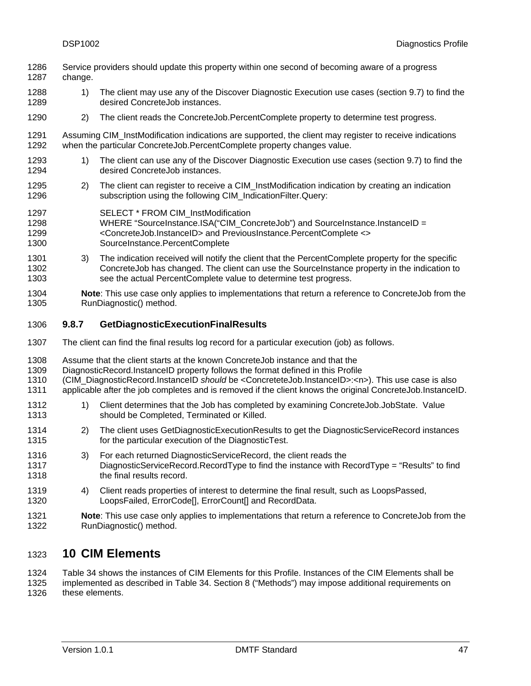- <span id="page-46-0"></span>Service providers should update this property within one second of becoming aware of a progress change. 1286 1287
- 1288 1289 1) The client may use any of the Discover Diagnostic Execution use cases (section [9.7\)](#page-39-1) to find the desired ConcreteJob instances.
- 1290 2) The client reads the ConcreteJob.PercentComplete property to determine test progress.
- 1291 1292 Assuming CIM\_InstModification indications are supported, the client may register to receive indications when the particular ConcreteJob.PercentComplete property changes value.
- 1293 1294 1) The client can use any of the Discover Diagnostic Execution use cases (section [9.7](#page-39-1)) to find the desired ConcreteJob instances.
- 1295 1296 2) The client can register to receive a CIM\_InstModification indication by creating an indication subscription using the following CIM\_IndicationFilter.Query:
- 1297 SELECT \* FROM CIM\_InstModification
- 1298 1299 1300 WHERE "SourceInstance.ISA("CIM\_ConcreteJob") and SourceInstance.InstanceID = <ConcreteJob.InstanceID> and PreviousInstance.PercentComplete <> SourceInstance.PercentComplete
- 1301 1302 1303 3) The indication received will notify the client that the PercentComplete property for the specific ConcreteJob has changed. The client can use the SourceInstance property in the indication to see the actual PercentComplete value to determine test progress.
- 1304 1305 **Note**: This use case only applies to implementations that return a reference to ConcreteJob from the RunDiagnostic() method.
- <span id="page-46-2"></span>1306 **9.8.7 GetDiagnosticExecutionFinalResults**
- 1307 The client can find the final results log record for a particular execution (job) as follows.
- 1308 Assume that the client starts at the known ConcreteJob instance and that the
- 1309 DiagnosticRecord.InstanceID property follows the format defined in this Profile
- 1310 (CIM\_DiagnosticRecord.InstanceID *should* be <ConcreteteJob.InstanceID>:<n>). This use case is also
- 1311 applicable after the job completes and is removed if the client knows the original ConcreteJob.InstanceID.
- 1312 1313 1) Client determines that the Job has completed by examining ConcreteJob.JobState. Value should be Completed, Terminated or Killed.
- 1314 1315 2) The client uses GetDiagnosticExecutionResults to get the DiagnosticServiceRecord instances for the particular execution of the DiagnosticTest.
- 1316 1317 1318 3) For each returned DiagnosticServiceRecord, the client reads the DiagnosticServiceRecord.RecordType to find the instance with RecordType = "Results" to find the final results record.
- 1319 1320 4) Client reads properties of interest to determine the final result, such as LoopsPassed, LoopsFailed, ErrorCode[], ErrorCount[] and RecordData.
- 1321 1322 **Note**: This use case only applies to implementations that return a reference to ConcreteJob from the RunDiagnostic() method.

### <span id="page-46-1"></span>1323 **10 CIM Elements**

1324 1325 1326 [Table 34](#page-47-1) shows the instances of CIM Elements for this Profile. Instances of the CIM Elements shall be implemented as described in [Table 34.](#page-47-1) Section [8](#page-18-1) ("Methods") may impose additional requirements on these elements.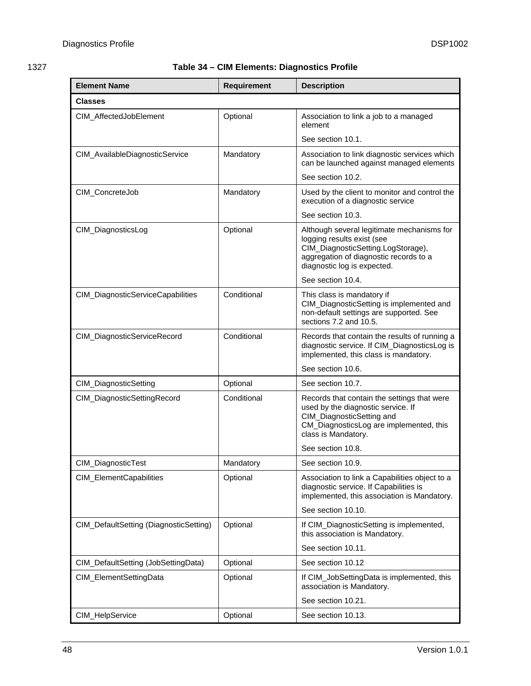# <span id="page-47-1"></span><span id="page-47-0"></span>1327 **Table 34 – CIM Elements: Diagnostics Profile**

| <b>Element Name</b>                    | <b>Requirement</b> | <b>Description</b>                                                                                                                                                                      |
|----------------------------------------|--------------------|-----------------------------------------------------------------------------------------------------------------------------------------------------------------------------------------|
| <b>Classes</b>                         |                    |                                                                                                                                                                                         |
| CIM_AffectedJobElement                 | Optional           | Association to link a job to a managed<br>element                                                                                                                                       |
|                                        |                    | See section 10.1.                                                                                                                                                                       |
| CIM_AvailableDiagnosticService         | Mandatory          | Association to link diagnostic services which<br>can be launched against managed elements                                                                                               |
|                                        |                    | See section 10.2.                                                                                                                                                                       |
| CIM_ConcreteJob                        | Mandatory          | Used by the client to monitor and control the<br>execution of a diagnostic service                                                                                                      |
|                                        |                    | See section 10.3.                                                                                                                                                                       |
| CIM_DiagnosticsLog                     | Optional           | Although several legitimate mechanisms for<br>logging results exist (see<br>CIM_DiagnosticSetting.LogStorage),<br>aggregation of diagnostic records to a<br>diagnostic log is expected. |
|                                        |                    | See section 10.4.                                                                                                                                                                       |
| CIM_DiagnosticServiceCapabilities      | Conditional        | This class is mandatory if<br>CIM_DiagnosticSetting is implemented and<br>non-default settings are supported. See<br>sections 7.2 and 10.5.                                             |
| CIM_DiagnosticServiceRecord            | Conditional        | Records that contain the results of running a<br>diagnostic service. If CIM_DiagnosticsLog is<br>implemented, this class is mandatory.                                                  |
|                                        |                    | See section 10.6.                                                                                                                                                                       |
| CIM_DiagnosticSetting                  | Optional           | See section 10.7.                                                                                                                                                                       |
| CIM_DiagnosticSettingRecord            | Conditional        | Records that contain the settings that were<br>used by the diagnostic service. If<br>CIM_DiagnosticSetting and<br>CM_DiagnosticsLog are implemented, this<br>class is Mandatory.        |
|                                        |                    | See section 10.8.                                                                                                                                                                       |
| CIM_DiagnosticTest                     | Mandatory          | See section 10.9.                                                                                                                                                                       |
| CIM_ElementCapabilities                | Optional           | Association to link a Capabilities object to a<br>diagnostic service. If Capabilities is<br>implemented, this association is Mandatory.                                                 |
|                                        |                    | See section 10.10.                                                                                                                                                                      |
| CIM_DefaultSetting (DiagnosticSetting) | Optional           | If CIM_DiagnosticSetting is implemented,<br>this association is Mandatory.                                                                                                              |
|                                        |                    | See section 10.11.                                                                                                                                                                      |
| CIM_DefaultSetting (JobSettingData)    | Optional           | See section 10.12                                                                                                                                                                       |
| CIM_ElementSettingData                 | Optional           | If CIM_JobSettingData is implemented, this<br>association is Mandatory.                                                                                                                 |
|                                        |                    | See section 10.21.                                                                                                                                                                      |
| CIM_HelpService                        | Optional           | See section 10.13.                                                                                                                                                                      |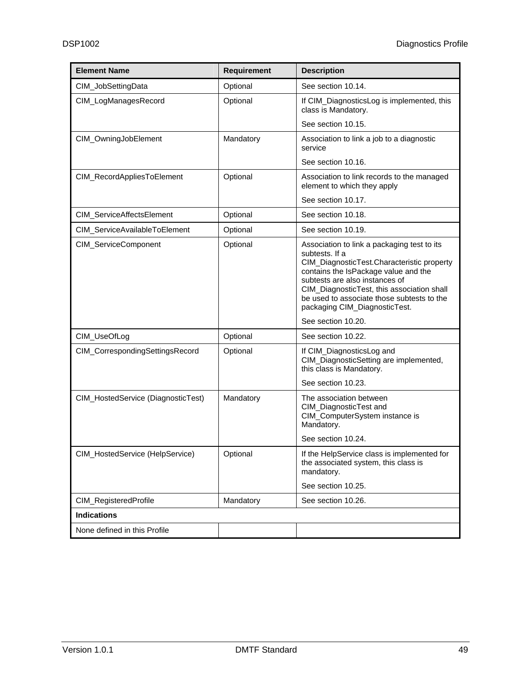| <b>Element Name</b>                | <b>Requirement</b> | <b>Description</b>                                                                                                                                                                                                                                                                                                                       |
|------------------------------------|--------------------|------------------------------------------------------------------------------------------------------------------------------------------------------------------------------------------------------------------------------------------------------------------------------------------------------------------------------------------|
| CIM_JobSettingData                 | Optional           | See section 10.14.                                                                                                                                                                                                                                                                                                                       |
| CIM_LogManagesRecord               | Optional           | If CIM_DiagnosticsLog is implemented, this<br>class is Mandatory.                                                                                                                                                                                                                                                                        |
|                                    |                    | See section 10.15.                                                                                                                                                                                                                                                                                                                       |
| CIM_OwningJobElement               | Mandatory          | Association to link a job to a diagnostic<br>service                                                                                                                                                                                                                                                                                     |
|                                    |                    | See section 10.16.                                                                                                                                                                                                                                                                                                                       |
| CIM_RecordAppliesToElement         | Optional           | Association to link records to the managed<br>element to which they apply                                                                                                                                                                                                                                                                |
|                                    |                    | See section 10.17.                                                                                                                                                                                                                                                                                                                       |
| CIM_ServiceAffectsElement          | Optional           | See section 10.18.                                                                                                                                                                                                                                                                                                                       |
| CIM_ServiceAvailableToElement      | Optional           | See section 10.19.                                                                                                                                                                                                                                                                                                                       |
| CIM_ServiceComponent               | Optional           | Association to link a packaging test to its<br>subtests. If a<br>CIM_DiagnosticTest.Characteristic property<br>contains the IsPackage value and the<br>subtests are also instances of<br>CIM_DiagnosticTest, this association shall<br>be used to associate those subtests to the<br>packaging CIM_DiagnosticTest.<br>See section 10.20. |
| CIM_UseOfLog                       | Optional           | See section 10.22.                                                                                                                                                                                                                                                                                                                       |
| CIM_CorrespondingSettingsRecord    | Optional           | If CIM_DiagnosticsLog and<br>CIM_DiagnosticSetting are implemented,<br>this class is Mandatory.<br>See section 10.23.                                                                                                                                                                                                                    |
| CIM_HostedService (DiagnosticTest) | Mandatory          | The association between<br>CIM_DiagnosticTest and<br>CIM_ComputerSystem instance is<br>Mandatory.<br>See section 10.24.                                                                                                                                                                                                                  |
| CIM_HostedService (HelpService)    | Optional           | If the HelpService class is implemented for<br>the associated system, this class is<br>mandatory.<br>See section 10.25.                                                                                                                                                                                                                  |
| CIM_RegisteredProfile              | Mandatory          | See section 10.26.                                                                                                                                                                                                                                                                                                                       |
| <b>Indications</b>                 |                    |                                                                                                                                                                                                                                                                                                                                          |
| None defined in this Profile       |                    |                                                                                                                                                                                                                                                                                                                                          |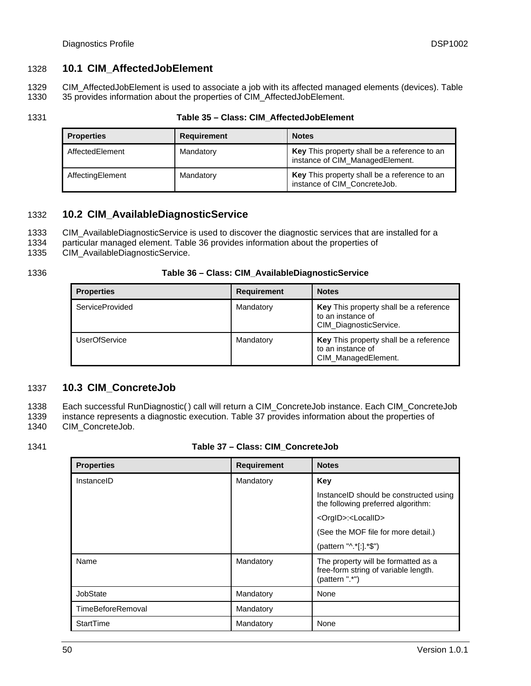# <span id="page-49-1"></span><span id="page-49-0"></span>1328 **10.1 CIM\_AffectedJobElement**

1329 1330 CIM\_AffectedJobElement is used to associate a job with its affected managed elements (devices). [Table](#page-49-4)  [35](#page-49-4) provides information about the properties of CIM\_AffectedJobElement.

<span id="page-49-4"></span>1331

### **Table 35 – Class: CIM\_AffectedJobElement**

| <b>Properties</b> | <b>Requirement</b> | <b>Notes</b>                                                                    |
|-------------------|--------------------|---------------------------------------------------------------------------------|
| AffectedElement   | Mandatory          | Key This property shall be a reference to an<br>instance of CIM_ManagedElement. |
| AffectingElement  | Mandatory          | Key This property shall be a reference to an<br>instance of CIM_ConcreteJob.    |

# <span id="page-49-2"></span>1332 **10.2 CIM\_AvailableDiagnosticService**

- 1333 CIM\_AvailableDiagnosticService is used to discover the diagnostic services that are installed for a
- 1334 particular managed element. [Table 36](#page-49-5) provides information about the properties of
- 1335 CIM\_AvailableDiagnosticService.
- <span id="page-49-5"></span>1336

|  | Table 36 – Class: CIM_AvailableDiagnosticService |
|--|--------------------------------------------------|
|--|--------------------------------------------------|

| <b>Properties</b>      | Requirement | <b>Notes</b>                                                                          |
|------------------------|-------------|---------------------------------------------------------------------------------------|
| <b>ServiceProvided</b> | Mandatory   | Key This property shall be a reference<br>to an instance of<br>CIM_DiagnosticService. |
| <b>UserOfService</b>   | Mandatory   | Key This property shall be a reference<br>to an instance of<br>CIM_ManagedElement.    |

# <span id="page-49-3"></span>1337 **10.3 CIM\_ConcreteJob**

1338 1339 1340 Each successful RunDiagnostic( ) call will return a CIM\_ConcreteJob instance. Each CIM\_ConcreteJob instance represents a diagnostic execution. [Table 37](#page-49-6) provides information about the properties of CIM\_ConcreteJob.

<span id="page-49-6"></span>1341

### **Table 37 – Class: CIM\_ConcreteJob**

| <b>Properties</b> | <b>Requirement</b> | <b>Notes</b>                                                                                  |
|-------------------|--------------------|-----------------------------------------------------------------------------------------------|
| InstanceID        | Mandatory          | Key                                                                                           |
|                   |                    | Instance ID should be constructed using<br>the following preferred algorithm:                 |
|                   |                    | <orgid>:<localid></localid></orgid>                                                           |
|                   |                    | (See the MOF file for more detail.)                                                           |
|                   |                    | (pattern "^ *[:] *\$")                                                                        |
| Name              | Mandatory          | The property will be formatted as a<br>free-form string of variable length.<br>(pattern ".*") |
| JobState          | Mandatory          | None                                                                                          |
| TimeBeforeRemoval | Mandatory          |                                                                                               |
| StartTime         | Mandatory          | None                                                                                          |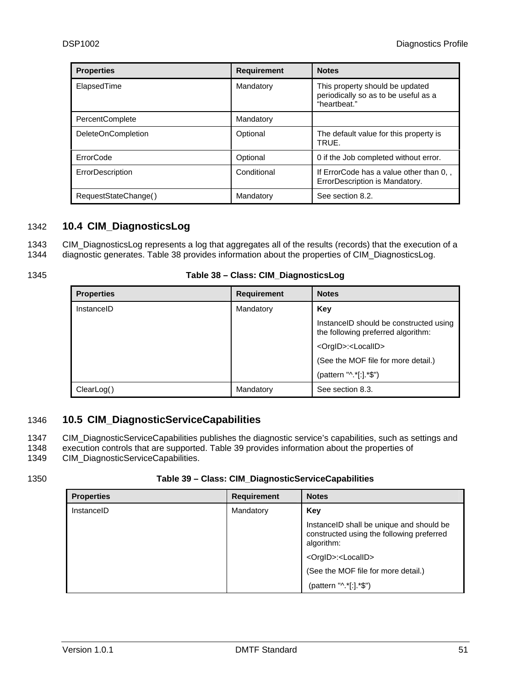<span id="page-50-0"></span>

| <b>Properties</b>         | <b>Requirement</b> | <b>Notes</b>                                                                            |
|---------------------------|--------------------|-----------------------------------------------------------------------------------------|
| ElapsedTime               | Mandatory          | This property should be updated<br>periodically so as to be useful as a<br>"heartbeat." |
| <b>PercentComplete</b>    | Mandatory          |                                                                                         |
| <b>DeleteOnCompletion</b> | Optional           | The default value for this property is<br>TRUE.                                         |
| ErrorCode                 | Optional           | 0 if the Job completed without error.                                                   |
| ErrorDescription          | Conditional        | If ErrorCode has a value other than 0,,<br>ErrorDescription is Mandatory.               |
| RequestStateChange()      | Mandatory          | See section 8.2.                                                                        |

# <span id="page-50-1"></span>1342 **10.4 CIM\_DiagnosticsLog**

1343 1344 CIM\_DiagnosticsLog represents a log that aggregates all of the results (records) that the execution of a diagnostic generates. [Table 38](#page-50-3) provides information about the properties of CIM\_DiagnosticsLog.

<span id="page-50-3"></span>1345

| Table 38 - Class: CIM_DiagnosticsLog |  |
|--------------------------------------|--|
|--------------------------------------|--|

| <b>Properties</b> | <b>Requirement</b> | <b>Notes</b>                                                                  |
|-------------------|--------------------|-------------------------------------------------------------------------------|
| InstanceID        | Mandatory          | Kev                                                                           |
|                   |                    | Instance ID should be constructed using<br>the following preferred algorithm: |
|                   |                    | <orgid>:<localid></localid></orgid>                                           |
|                   |                    | (See the MOF file for more detail.)                                           |
|                   |                    | (pattern "^.*[:].*\$")                                                        |
| ClearLog()        | Mandatory          | See section 8.3.                                                              |

# <span id="page-50-2"></span>1346 **10.5 CIM\_DiagnosticServiceCapabilities**

1347 CIM\_DiagnosticServiceCapabilities publishes the diagnostic service's capabilities, such as settings and

1348 execution controls that are supported. [Table 39](#page-50-4) provides information about the properties of

1349 CIM\_DiagnosticServiceCapabilities.

### **Table 39 – Class: CIM\_DiagnosticServiceCapabilities**

| <b>Properties</b> | <b>Requirement</b> | <b>Notes</b>                                                                                         |
|-------------------|--------------------|------------------------------------------------------------------------------------------------------|
| InstanceID        | Mandatory          | Key                                                                                                  |
|                   |                    | Instance ID shall be unique and should be<br>constructed using the following preferred<br>algorithm: |
|                   |                    | <orgid>:<localid></localid></orgid>                                                                  |
|                   |                    | (See the MOF file for more detail.)                                                                  |
|                   |                    | (pattern "^.*[:].*\$")                                                                               |

<span id="page-50-4"></span><sup>1350</sup>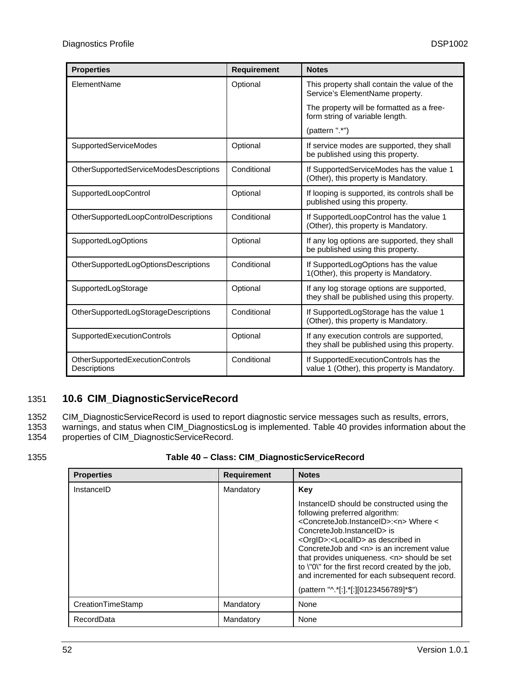<span id="page-51-0"></span>

| <b>Properties</b>                               | <b>Requirement</b> | <b>Notes</b>                                                                              |
|-------------------------------------------------|--------------------|-------------------------------------------------------------------------------------------|
| ElementName                                     | Optional           | This property shall contain the value of the<br>Service's ElementName property.           |
|                                                 |                    | The property will be formatted as a free-<br>form string of variable length.              |
|                                                 |                    | (pattern ".*")                                                                            |
| <b>SupportedServiceModes</b>                    | Optional           | If service modes are supported, they shall<br>be published using this property.           |
| OtherSupportedServiceModesDescriptions          | Conditional        | If SupportedServiceModes has the value 1<br>(Other), this property is Mandatory.          |
| SupportedLoopControl                            | Optional           | If looping is supported, its controls shall be<br>published using this property.          |
| OtherSupportedLoopControlDescriptions           | Conditional        | If SupportedLoopControl has the value 1<br>(Other), this property is Mandatory.           |
| <b>SupportedLogOptions</b>                      | Optional           | If any log options are supported, they shall<br>be published using this property.         |
| OtherSupportedLogOptionsDescriptions            | Conditional        | If SupportedLogOptions has the value<br>1(Other), this property is Mandatory.             |
| SupportedLogStorage                             | Optional           | If any log storage options are supported,<br>they shall be published using this property. |
| OtherSupportedLogStorageDescriptions            | Conditional        | If SupportedLogStorage has the value 1<br>(Other), this property is Mandatory.            |
| SupportedExecutionControls                      | Optional           | If any execution controls are supported,<br>they shall be published using this property.  |
| OtherSupportedExecutionControls<br>Descriptions | Conditional        | If SupportedExecutionControls has the<br>value 1 (Other), this property is Mandatory.     |

# <span id="page-51-1"></span>1351 **10.6 CIM\_DiagnosticServiceRecord**

1352 1353 CIM\_DiagnosticServiceRecord is used to report diagnostic service messages such as results, errors, warnings, and status when CIM\_DiagnosticsLog is implemented. [Table 40](#page-51-2) provides information about the

1354 properties of CIM\_DiagnosticServiceRecord.

<span id="page-51-2"></span>1355

**Table 40 – Class: CIM\_DiagnosticServiceRecord** 

| <b>Properties</b> | <b>Requirement</b> | <b>Notes</b>                                                                                                                                                                                                                                                                                                                                                                                                                                                                                          |
|-------------------|--------------------|-------------------------------------------------------------------------------------------------------------------------------------------------------------------------------------------------------------------------------------------------------------------------------------------------------------------------------------------------------------------------------------------------------------------------------------------------------------------------------------------------------|
| InstanceID        | Mandatory          | Key                                                                                                                                                                                                                                                                                                                                                                                                                                                                                                   |
|                   |                    | Instance ID should be constructed using the<br>following preferred algorithm:<br><concretejob.instanceid>:<n>Where &lt;<br/>ConcreteJob.InstanceID&gt; is<br/><orgid>:<localid> as described in<br/>ConcreteJob and <n> is an increment value<br/>that provides uniqueness. <n> should be set<br/>to \"0\" for the first record created by the job,<br/>and incremented for each subsequent record.<br/>(pattern "^.*[:].*[:][0123456789]*\$")</n></n></localid></orgid></n></concretejob.instanceid> |
| CreationTimeStamp | Mandatory          | None                                                                                                                                                                                                                                                                                                                                                                                                                                                                                                  |
| RecordData        | Mandatory          | None                                                                                                                                                                                                                                                                                                                                                                                                                                                                                                  |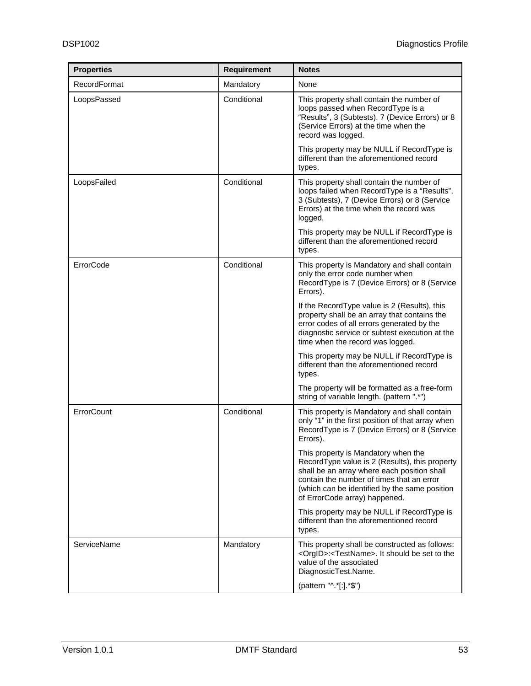| <b>Properties</b>   | <b>Requirement</b> | <b>Notes</b>                                                                                                                                                                                                                                                        |
|---------------------|--------------------|---------------------------------------------------------------------------------------------------------------------------------------------------------------------------------------------------------------------------------------------------------------------|
| <b>RecordFormat</b> | Mandatory          | None                                                                                                                                                                                                                                                                |
| LoopsPassed         | Conditional        | This property shall contain the number of<br>loops passed when RecordType is a<br>"Results", 3 (Subtests), 7 (Device Errors) or 8<br>(Service Errors) at the time when the<br>record was logged.                                                                    |
|                     |                    | This property may be NULL if RecordType is<br>different than the aforementioned record<br>types.                                                                                                                                                                    |
| LoopsFailed         | Conditional        | This property shall contain the number of<br>loops failed when RecordType is a "Results",<br>3 (Subtests), 7 (Device Errors) or 8 (Service<br>Errors) at the time when the record was<br>logged.                                                                    |
|                     |                    | This property may be NULL if RecordType is<br>different than the aforementioned record<br>types.                                                                                                                                                                    |
| ErrorCode           | Conditional        | This property is Mandatory and shall contain<br>only the error code number when<br>RecordType is 7 (Device Errors) or 8 (Service<br>Errors).                                                                                                                        |
|                     |                    | If the RecordType value is 2 (Results), this<br>property shall be an array that contains the<br>error codes of all errors generated by the<br>diagnostic service or subtest execution at the<br>time when the record was logged.                                    |
|                     |                    | This property may be NULL if RecordType is<br>different than the aforementioned record<br>types.                                                                                                                                                                    |
|                     |                    | The property will be formatted as a free-form<br>string of variable length. (pattern ".*")                                                                                                                                                                          |
| ErrorCount          | Conditional        | This property is Mandatory and shall contain<br>only "1" in the first position of that array when<br>RecordType is 7 (Device Errors) or 8 (Service<br>Errors).                                                                                                      |
|                     |                    | This property is Mandatory when the<br>RecordType value is 2 (Results), this property<br>shall be an array where each position shall<br>contain the number of times that an error<br>(which can be identified by the same position<br>of ErrorCode array) happened. |
|                     |                    | This property may be NULL if RecordType is<br>different than the aforementioned record<br>types.                                                                                                                                                                    |
| ServiceName         | Mandatory          | This property shall be constructed as follows:<br><orgid>:<testname>. It should be set to the<br/>value of the associated<br/>DiagnosticTest.Name.</testname></orgid>                                                                                               |
|                     |                    | (pattern "^.*[:].*\$")                                                                                                                                                                                                                                              |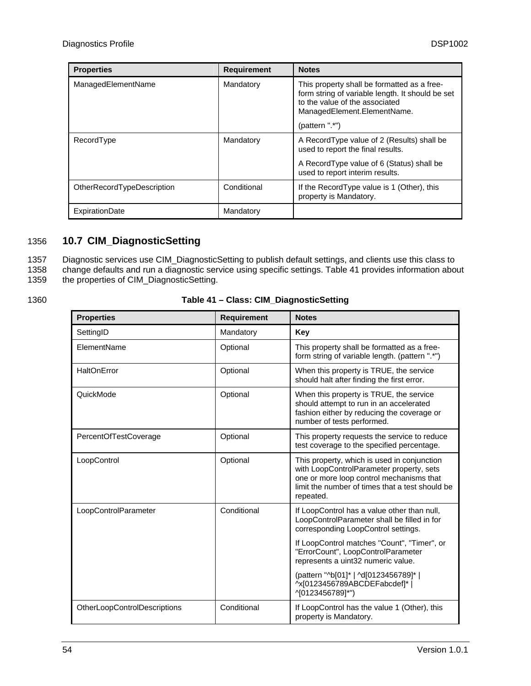<span id="page-53-0"></span>

| <b>Properties</b>          | <b>Requirement</b> | <b>Notes</b>                                                                                                                                                                       |
|----------------------------|--------------------|------------------------------------------------------------------------------------------------------------------------------------------------------------------------------------|
| ManagedElementName         | Mandatory          | This property shall be formatted as a free-<br>form string of variable length. It should be set<br>to the value of the associated<br>ManagedElement.ElementName.<br>(pattern ".*") |
| RecordType                 | Mandatory          | A Record Type value of 2 (Results) shall be<br>used to report the final results.                                                                                                   |
|                            |                    | A RecordType value of 6 (Status) shall be<br>used to report interim results.                                                                                                       |
| OtherRecordTypeDescription | Conditional        | If the RecordType value is 1 (Other), this<br>property is Mandatory.                                                                                                               |
| ExpirationDate             | Mandatory          |                                                                                                                                                                                    |

# <span id="page-53-1"></span>1356 **10.7 CIM\_DiagnosticSetting**

1357 1358 1359 Diagnostic services use CIM\_DiagnosticSetting to publish default settings, and clients use this class to change defaults and run a diagnostic service using specific settings. [Table 41](#page-53-2) provides information about the properties of CIM\_DiagnosticSetting.

<span id="page-53-2"></span>1360

# **Table 41 – Class: CIM\_DiagnosticSetting**

| <b>Properties</b>            | <b>Requirement</b> | <b>Notes</b>                                                                                                                                                                                        |
|------------------------------|--------------------|-----------------------------------------------------------------------------------------------------------------------------------------------------------------------------------------------------|
| SettingID                    | Mandatory          | Key                                                                                                                                                                                                 |
| ElementName                  | Optional           | This property shall be formatted as a free-<br>form string of variable length. (pattern ".*")                                                                                                       |
| HaltOnError                  | Optional           | When this property is TRUE, the service<br>should halt after finding the first error.                                                                                                               |
| QuickMode                    | Optional           | When this property is TRUE, the service<br>should attempt to run in an accelerated<br>fashion either by reducing the coverage or<br>number of tests performed.                                      |
| PercentOfTestCoverage        | Optional           | This property requests the service to reduce<br>test coverage to the specified percentage.                                                                                                          |
| LoopControl                  | Optional           | This property, which is used in conjunction<br>with LoopControlParameter property, sets<br>one or more loop control mechanisms that<br>limit the number of times that a test should be<br>repeated. |
| LoopControlParameter         | Conditional        | If LoopControl has a value other than null,<br>LoopControlParameter shall be filled in for<br>corresponding LoopControl settings.                                                                   |
|                              |                    | If LoopControl matches "Count", "Timer", or<br>"ErrorCount", LoopControlParameter<br>represents a uint32 numeric value.                                                                             |
|                              |                    | (pattern "^b[01]*   ^d[0123456789]*  <br>^x[0123456789ABCDEFabcdef]*  <br>^[0123456789]*")                                                                                                          |
| OtherLoopControlDescriptions | Conditional        | If LoopControl has the value 1 (Other), this<br>property is Mandatory.                                                                                                                              |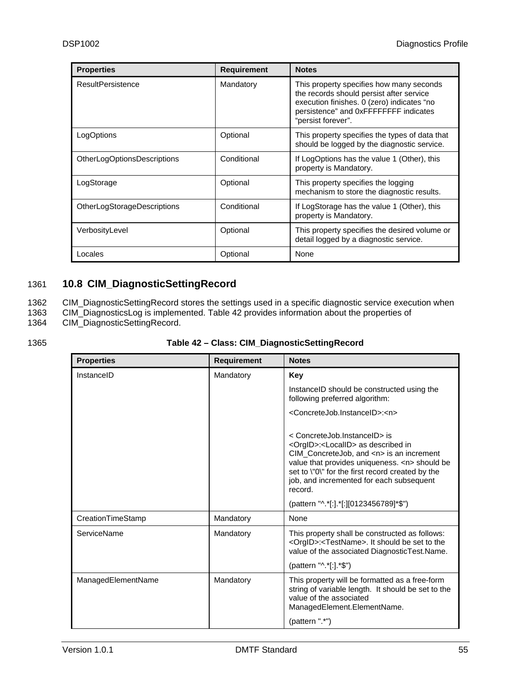<span id="page-54-0"></span>

| <b>Properties</b>                  | <b>Requirement</b> | <b>Notes</b>                                                                                                                                                                                      |
|------------------------------------|--------------------|---------------------------------------------------------------------------------------------------------------------------------------------------------------------------------------------------|
| ResultPersistence                  | Mandatory          | This property specifies how many seconds<br>the records should persist after service<br>execution finishes. 0 (zero) indicates "no<br>persistence" and 0xFFFFFFFF indicates<br>"persist forever". |
| LogOptions                         | Optional           | This property specifies the types of data that<br>should be logged by the diagnostic service.                                                                                                     |
| OtherLogOptionsDescriptions        | Conditional        | If LogOptions has the value 1 (Other), this<br>property is Mandatory.                                                                                                                             |
| LogStorage                         | Optional           | This property specifies the logging<br>mechanism to store the diagnostic results.                                                                                                                 |
| <b>OtherLogStorageDescriptions</b> | Conditional        | If LogStorage has the value 1 (Other), this<br>property is Mandatory.                                                                                                                             |
| VerbosityLevel                     | Optional           | This property specifies the desired volume or<br>detail logged by a diagnostic service.                                                                                                           |
| Locales                            | Optional           | None                                                                                                                                                                                              |

# <span id="page-54-1"></span>1361 **10.8 CIM\_DiagnosticSettingRecord**

1362 1363 CIM\_DiagnosticSettingRecord stores the settings used in a specific diagnostic service execution when CIM\_DiagnosticsLog is implemented. [Table 42](#page-54-2) provides information about the properties of

1364 CIM\_DiagnosticSettingRecord.

<span id="page-54-2"></span>1365

# **Table 42 – Class: CIM\_DiagnosticSettingRecord**

| <b>Properties</b>  | <b>Requirement</b> | <b>Notes</b>                                                                                                                                                                                                                                                                                             |
|--------------------|--------------------|----------------------------------------------------------------------------------------------------------------------------------------------------------------------------------------------------------------------------------------------------------------------------------------------------------|
| InstanceID         | Mandatory          | Key                                                                                                                                                                                                                                                                                                      |
|                    |                    | Instance ID should be constructed using the<br>following preferred algorithm:                                                                                                                                                                                                                            |
|                    |                    | <concretejob.instanceid>:<n></n></concretejob.instanceid>                                                                                                                                                                                                                                                |
|                    |                    | < ConcreteJob.InstanceID> is<br><orgid>:<localid> as described in<br/>CIM_ConcreteJob, and <n> is an increment<br/>value that provides uniqueness. <n> should be<br/>set to \"0\" for the first record created by the<br/>job, and incremented for each subsequent<br/>record.</n></n></localid></orgid> |
|                    |                    | (pattern "^.*[:].*[:][0123456789]*\$")                                                                                                                                                                                                                                                                   |
| CreationTimeStamp  | Mandatory          | None                                                                                                                                                                                                                                                                                                     |
| ServiceName        | Mandatory          | This property shall be constructed as follows:<br><orgid>:<testname>. It should be set to the<br/>value of the associated DiagnosticTest.Name.</testname></orgid>                                                                                                                                        |
|                    |                    | (pattern "^.*[:].*\$")                                                                                                                                                                                                                                                                                   |
| ManagedElementName | Mandatory          | This property will be formatted as a free-form<br>string of variable length. It should be set to the<br>value of the associated<br>ManagedElement.ElementName.                                                                                                                                           |
|                    |                    | (pattern ".*")                                                                                                                                                                                                                                                                                           |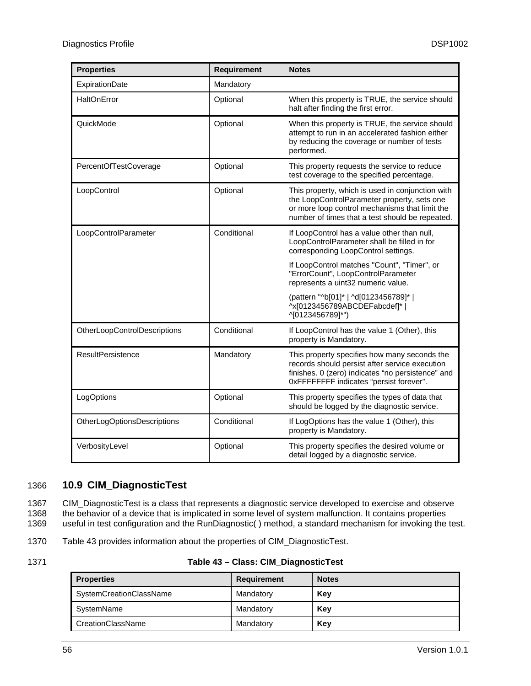<span id="page-55-0"></span>

| <b>Properties</b>            | <b>Requirement</b> | <b>Notes</b>                                                                                                                                                                                         |
|------------------------------|--------------------|------------------------------------------------------------------------------------------------------------------------------------------------------------------------------------------------------|
| ExpirationDate               | Mandatory          |                                                                                                                                                                                                      |
| HaltOnError                  | Optional           | When this property is TRUE, the service should<br>halt after finding the first error.                                                                                                                |
| QuickMode                    | Optional           | When this property is TRUE, the service should<br>attempt to run in an accelerated fashion either<br>by reducing the coverage or number of tests<br>performed.                                       |
| PercentOfTestCoverage        | Optional           | This property requests the service to reduce<br>test coverage to the specified percentage.                                                                                                           |
| LoopControl                  | Optional           | This property, which is used in conjunction with<br>the LoopControlParameter property, sets one<br>or more loop control mechanisms that limit the<br>number of times that a test should be repeated. |
| LoopControlParameter         | Conditional        | If LoopControl has a value other than null,<br>LoopControlParameter shall be filled in for<br>corresponding LoopControl settings.                                                                    |
|                              |                    | If LoopControl matches "Count", "Timer", or<br>"ErrorCount", LoopControlParameter<br>represents a uint32 numeric value.                                                                              |
|                              |                    | (pattern "^b[01]*   ^d[0123456789]*  <br>^x[0123456789ABCDEFabcdef]*  <br>^[0123456789]*")                                                                                                           |
| OtherLoopControlDescriptions | Conditional        | If LoopControl has the value 1 (Other), this<br>property is Mandatory.                                                                                                                               |
| <b>ResultPersistence</b>     | Mandatory          | This property specifies how many seconds the<br>records should persist after service execution<br>finishes. 0 (zero) indicates "no persistence" and<br>OxFFFFFFFF indicates "persist forever".       |
| LogOptions                   | Optional           | This property specifies the types of data that<br>should be logged by the diagnostic service.                                                                                                        |
| OtherLogOptionsDescriptions  | Conditional        | If LogOptions has the value 1 (Other), this<br>property is Mandatory.                                                                                                                                |
| VerbosityLevel               | Optional           | This property specifies the desired volume or<br>detail logged by a diagnostic service.                                                                                                              |

# <span id="page-55-1"></span>1366 **10.9 CIM\_DiagnosticTest**

1367 1368 1369 CIM\_DiagnosticTest is a class that represents a diagnostic service developed to exercise and observe the behavior of a device that is implicated in some level of system malfunction. It contains properties useful in test configuration and the RunDiagnostic( ) method, a standard mechanism for invoking the test.

- 1370 [Table 43](#page-55-2) provides information about the properties of CIM\_DiagnosticTest.
- <span id="page-55-2"></span>1371

### **Table 43 – Class: CIM\_DiagnosticTest**

| <b>Properties</b>        | <b>Requirement</b> | <b>Notes</b> |
|--------------------------|--------------------|--------------|
| SystemCreationClassName  | Mandatory          | Kev          |
| SystemName               | Mandatory          | Kev          |
| <b>CreationClassName</b> | Mandatory          | Key          |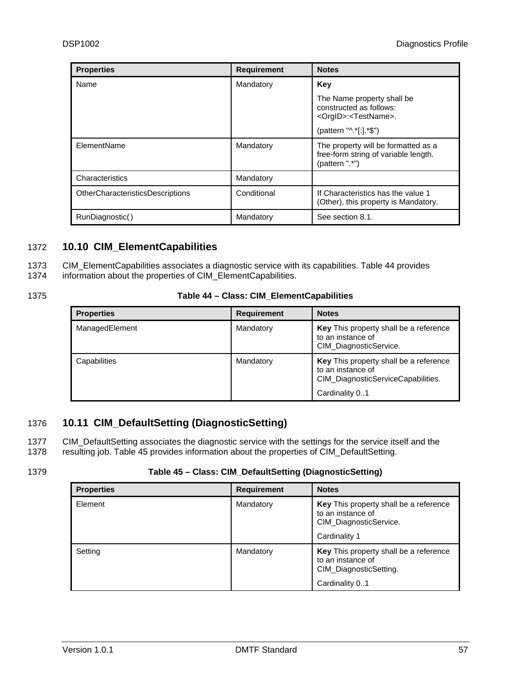<span id="page-56-0"></span>

| <b>Properties</b>                       | <b>Requirement</b> | <b>Notes</b>                                                                                                               |
|-----------------------------------------|--------------------|----------------------------------------------------------------------------------------------------------------------------|
| Name                                    | Mandatory          | Key                                                                                                                        |
|                                         |                    | The Name property shall be<br>constructed as follows:<br><orgid>:<testname>.<br/>(pattern "^.*[:].*\$")</testname></orgid> |
| ElementName                             | Mandatory          | The property will be formatted as a<br>free-form string of variable length.<br>(pattern ".*")                              |
| Characteristics                         | Mandatory          |                                                                                                                            |
| <b>OtherCharacteristicsDescriptions</b> | Conditional        | If Characteristics has the value 1<br>(Other), this property is Mandatory.                                                 |
| RunDiagnostic()                         | Mandatory          | See section 8.1.                                                                                                           |

# <span id="page-56-1"></span>1372 **10.10 CIM\_ElementCapabilities**

1373 CIM\_ElementCapabilities associates a diagnostic service with its capabilities. [Table 44](#page-56-3) provides

1374 information about the properties of CIM\_ElementCapabilities.

<span id="page-56-3"></span>1375

# **Table 44 – Class: CIM\_ElementCapabilities**

| <b>Properties</b> | <b>Requirement</b> | <b>Notes</b>                                                                                                        |
|-------------------|--------------------|---------------------------------------------------------------------------------------------------------------------|
| ManagedElement    | Mandatory          | Key This property shall be a reference<br>to an instance of<br>CIM_DiagnosticService.                               |
| Capabilities      | Mandatory          | Key This property shall be a reference<br>to an instance of<br>CIM DiagnosticServiceCapabilities.<br>Cardinality 01 |

# <span id="page-56-2"></span>1376 **10.11 CIM\_DefaultSetting (DiagnosticSetting)**

1377 1378 CIM\_DefaultSetting associates the diagnostic service with the settings for the service itself and the resulting job. [Table 45](#page-56-4) provides information about the properties of CIM\_DefaultSetting.

### <span id="page-56-4"></span>1379

# **Table 45 – Class: CIM\_DefaultSetting (DiagnosticSetting)**

| <b>Properties</b> | <b>Requirement</b> | <b>Notes</b>                                                                                            |
|-------------------|--------------------|---------------------------------------------------------------------------------------------------------|
| Element           | Mandatory          | Key This property shall be a reference<br>to an instance of<br>CIM_DiagnosticService.<br>Cardinality 1  |
| Setting           | Mandatory          | Key This property shall be a reference<br>to an instance of<br>CIM_DiagnosticSetting.<br>Cardinality 01 |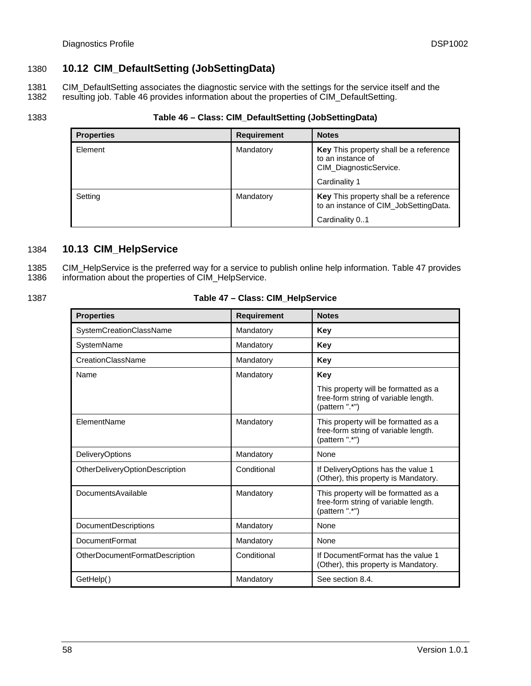# <span id="page-57-1"></span><span id="page-57-0"></span>1380 **10.12 CIM\_DefaultSetting (JobSettingData)**

1381 1382 CIM\_DefaultSetting associates the diagnostic service with the settings for the service itself and the resulting job. [Table 46](#page-57-3) provides information about the properties of CIM\_DefaultSetting.

<span id="page-57-3"></span>1383

### **Table 46 – Class: CIM\_DefaultSetting (JobSettingData)**

| <b>Properties</b> | <b>Requirement</b> | <b>Notes</b>                                                                                             |
|-------------------|--------------------|----------------------------------------------------------------------------------------------------------|
| Element           | Mandatory          | Key This property shall be a reference<br>to an instance of<br>CIM_DiagnosticService.<br>Cardinality 1   |
| Setting           | Mandatory          | <b>Key</b> This property shall be a reference<br>to an instance of CIM_JobSettingData.<br>Cardinality 01 |

# <span id="page-57-2"></span>1384 **10.13 CIM\_HelpService**

1385 1386 CIM\_HelpService is the preferred way for a service to publish online help information. [Table 47](#page-57-4) provides information about the properties of CIM\_HelpService.

<span id="page-57-4"></span>1387

### **Table 47 – Class: CIM\_HelpService**

| <b>Properties</b>              | <b>Requirement</b> | <b>Notes</b>                                                                                   |
|--------------------------------|--------------------|------------------------------------------------------------------------------------------------|
| SystemCreationClassName        | Mandatory          | Key                                                                                            |
| SystemName                     | Mandatory          | Key                                                                                            |
| CreationClassName              | Mandatory          | Key                                                                                            |
| Name                           | Mandatory          | Key                                                                                            |
|                                |                    | This property will be formatted as a<br>free-form string of variable length.<br>(pattern ".*") |
| ElementName                    | Mandatory          | This property will be formatted as a<br>free-form string of variable length.<br>(pattern ".*") |
| <b>DeliveryOptions</b>         | Mandatory          | None                                                                                           |
| OtherDeliveryOptionDescription | Conditional        | If DeliveryOptions has the value 1<br>(Other), this property is Mandatory.                     |
| DocumentsAvailable             | Mandatory          | This property will be formatted as a<br>free-form string of variable length.<br>(pattern ".*") |
| <b>DocumentDescriptions</b>    | Mandatory          | <b>None</b>                                                                                    |
| DocumentFormat                 | Mandatory          | None                                                                                           |
| OtherDocumentFormatDescription | Conditional        | If DocumentFormat has the value 1<br>(Other), this property is Mandatory.                      |
| GetHelp()                      | Mandatory          | See section 8.4.                                                                               |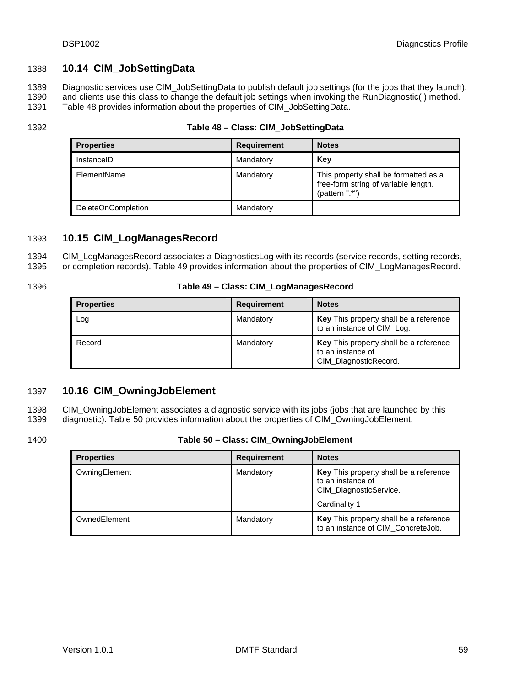# <span id="page-58-1"></span><span id="page-58-0"></span>1388 **10.14 CIM\_JobSettingData**

1389 1390 Diagnostic services use CIM\_JobSettingData to publish default job settings (for the jobs that they launch), and clients use this class to change the default job settings when invoking the RunDiagnostic( ) method.

1391 [Table 48](#page-58-4) provides information about the properties of CIM\_JobSettingData.

<span id="page-58-4"></span>1392

### **Table 48 – Class: CIM\_JobSettingData**

| <b>Properties</b>         | <b>Requirement</b> | <b>Notes</b>                                                                                    |
|---------------------------|--------------------|-------------------------------------------------------------------------------------------------|
| InstanceID                | Mandatory          | Kev                                                                                             |
| ElementName               | Mandatory          | This property shall be formatted as a<br>free-form string of variable length.<br>(pattern ".*") |
| <b>DeleteOnCompletion</b> | Mandatory          |                                                                                                 |

## <span id="page-58-2"></span>1393 **10.15 CIM\_LogManagesRecord**

1394 1395 CIM\_LogManagesRecord associates a DiagnosticsLog with its records (service records, setting records, or completion records). [Table 49](#page-58-5) provides information about the properties of CIM\_LogManagesRecord.

<span id="page-58-5"></span>1396

### **Table 49 – Class: CIM\_LogManagesRecord**

| <b>Properties</b> | <b>Requirement</b> | <b>Notes</b>                                                                         |
|-------------------|--------------------|--------------------------------------------------------------------------------------|
| Log               | Mandatory          | <b>Key</b> This property shall be a reference<br>to an instance of CIM_Log.          |
| Record            | Mandatory          | Key This property shall be a reference<br>to an instance of<br>CIM_DiagnosticRecord. |

# <span id="page-58-3"></span>1397 **10.16 CIM\_OwningJobElement**

1398 1399 CIM\_OwningJobElement associates a diagnostic service with its jobs (jobs that are launched by this diagnostic). [Table 50](#page-58-6) provides information about the properties of CIM\_OwningJobElement.

<span id="page-58-6"></span>1400

### **Table 50 – Class: CIM\_OwningJobElement**

| <b>Properties</b> | <b>Requirement</b> | <b>Notes</b>                                                                                           |
|-------------------|--------------------|--------------------------------------------------------------------------------------------------------|
| OwningElement     | Mandatory          | Key This property shall be a reference<br>to an instance of<br>CIM_DiagnosticService.<br>Cardinality 1 |
|                   |                    |                                                                                                        |
| OwnedElement      | Mandatory          | Key This property shall be a reference<br>to an instance of CIM_ConcreteJob.                           |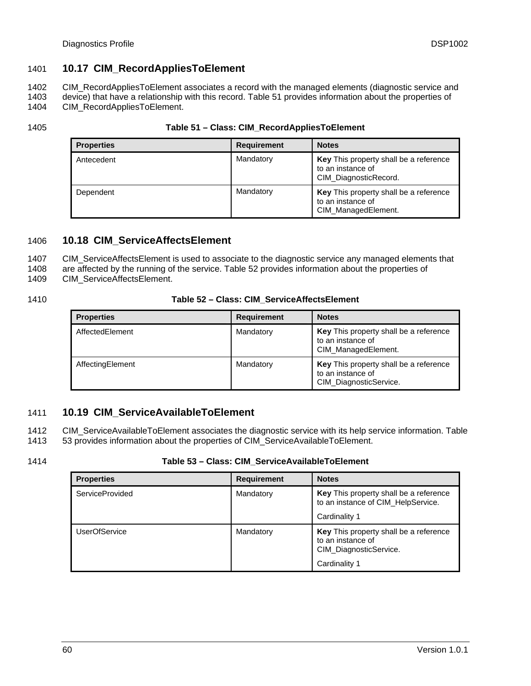# <span id="page-59-1"></span><span id="page-59-0"></span>1401 **10.17 CIM\_RecordAppliesToElement**

1402 CIM\_RecordAppliesToElement associates a record with the managed elements (diagnostic service and

1403 device) that have a relationship with this record. [Table 51](#page-59-4) provides information about the properties of

1404 CIM\_RecordAppliesToElement.

<span id="page-59-4"></span>1405

| <b>Properties</b> | <b>Requirement</b> | <b>Notes</b>                                                                         |
|-------------------|--------------------|--------------------------------------------------------------------------------------|
| Antecedent        | Mandatory          | Key This property shall be a reference<br>to an instance of<br>CIM_DiagnosticRecord. |
| Dependent         | Mandatory          | Key This property shall be a reference<br>to an instance of<br>CIM_ManagedElement.   |

# <span id="page-59-2"></span>1406 **10.18 CIM\_ServiceAffectsElement**

1407 CIM\_ServiceAffectsElement is used to associate to the diagnostic service any managed elements that

1408 are affected by the running of the service. [Table 52](#page-59-5) provides information about the properties of

1409 CIM\_ServiceAffectsElement.

<span id="page-59-5"></span>1410

### **Table 52 – Class: CIM\_ServiceAffectsElement**

| <b>Properties</b> | <b>Requirement</b> | <b>Notes</b>                                                                              |
|-------------------|--------------------|-------------------------------------------------------------------------------------------|
| AffectedElement   | Mandatory          | <b>Key</b> This property shall be a reference<br>to an instance of<br>CIM_ManagedElement. |
| AffectingElement  | Mandatory          | Key This property shall be a reference<br>to an instance of<br>CIM_DiagnosticService.     |

# <span id="page-59-3"></span>1411 **10.19 CIM\_ServiceAvailableToElement**

1412 1413 CIM\_ServiceAvailableToElement associates the diagnostic service with its help service information. [Table](#page-59-6)  [53](#page-59-6) provides information about the properties of CIM\_ServiceAvailableToElement.

<span id="page-59-6"></span>1414

### **Table 53 – Class: CIM\_ServiceAvailableToElement**

| <b>Properties</b>      | <b>Requirement</b> | <b>Notes</b>                                                                                           |
|------------------------|--------------------|--------------------------------------------------------------------------------------------------------|
| <b>ServiceProvided</b> | Mandatory          | Key This property shall be a reference<br>to an instance of CIM_HelpService.<br>Cardinality 1          |
| <b>UserOfService</b>   | Mandatory          | Key This property shall be a reference<br>to an instance of<br>CIM_DiagnosticService.<br>Cardinality 1 |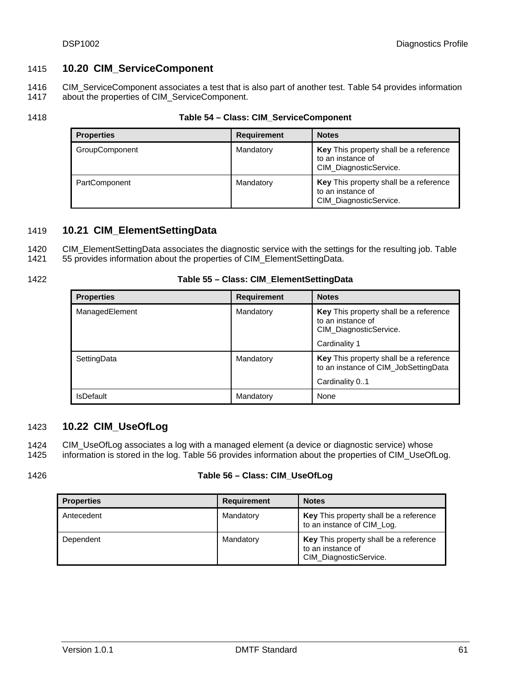# <span id="page-60-2"></span><span id="page-60-0"></span>1415 **10.20 CIM\_ServiceComponent**

1416 1417 CIM\_ServiceComponent associates a test that is also part of another test. [Table 54](#page-60-4) provides information about the properties of CIM\_ServiceComponent.

<span id="page-60-4"></span>1418

### **Table 54 – Class: CIM\_ServiceComponent**

| <b>Properties</b> | <b>Requirement</b> | <b>Notes</b>                                                                          |
|-------------------|--------------------|---------------------------------------------------------------------------------------|
| GroupComponent    | Mandatory          | Key This property shall be a reference<br>to an instance of<br>CIM_DiagnosticService. |
| PartComponent     | Mandatory          | Key This property shall be a reference<br>to an instance of<br>CIM_DiagnosticService. |

# <span id="page-60-1"></span>1419 **10.21 CIM\_ElementSettingData**

1420 CIM\_ElementSettingData associates the diagnostic service with the settings for the resulting job. [Table](#page-60-5) 

1421 [55](#page-60-5) provides information about the properties of CIM\_ElementSettingData.

<span id="page-60-5"></span>1422

### **Table 55 – Class: CIM\_ElementSettingData**

| <b>Properties</b> | <b>Requirement</b> | <b>Notes</b>                                                                                           |
|-------------------|--------------------|--------------------------------------------------------------------------------------------------------|
| ManagedElement    | Mandatory          | Key This property shall be a reference<br>to an instance of<br>CIM_DiagnosticService.<br>Cardinality 1 |
| SettingData       | Mandatory          | Key This property shall be a reference<br>to an instance of CIM JobSettingData<br>Cardinality 01       |
| <b>IsDefault</b>  | Mandatory          | None                                                                                                   |

# <span id="page-60-3"></span>1423 **10.22 CIM\_UseOfLog**

1424 1425 CIM\_UseOfLog associates a log with a managed element (a device or diagnostic service) whose information is stored in the log. [Table 56](#page-60-6) provides information about the properties of CIM\_UseOfLog.

<span id="page-60-6"></span>1426

### **Table 56 – Class: CIM\_UseOfLog**

| <b>Properties</b> | <b>Requirement</b> | <b>Notes</b>                                                                          |
|-------------------|--------------------|---------------------------------------------------------------------------------------|
| Antecedent        | Mandatory          | Key This property shall be a reference<br>to an instance of CIM Log.                  |
| Dependent         | Mandatory          | Key This property shall be a reference<br>to an instance of<br>CIM_DiagnosticService. |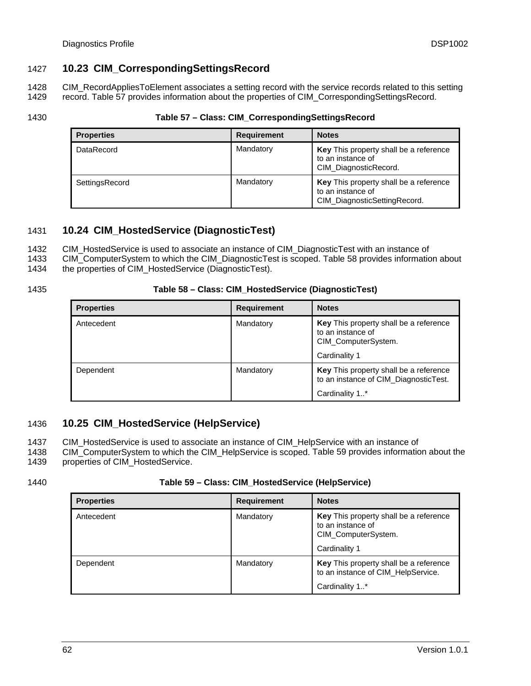# <span id="page-61-1"></span><span id="page-61-0"></span>1427 **10.23 CIM\_CorrespondingSettingsRecord**

1428 1429 CIM\_RecordAppliesToElement associates a setting record with the service records related to this setting record. [Table 57](#page-61-4) provides information about the properties of CIM\_CorrespondingSettingsRecord.

<span id="page-61-4"></span>1430

### **Table 57 – Class: CIM\_CorrespondingSettingsRecord**

| <b>Properties</b> | <b>Requirement</b> | <b>Notes</b>                                                                                |
|-------------------|--------------------|---------------------------------------------------------------------------------------------|
| DataRecord        | Mandatory          | <b>Key</b> This property shall be a reference<br>to an instance of<br>CIM_DiagnosticRecord. |
| SettingsRecord    | Mandatory          | Key This property shall be a reference<br>to an instance of<br>CIM_DiagnosticSettingRecord. |

# <span id="page-61-2"></span>1431 **10.24 CIM\_HostedService (DiagnosticTest)**

1432 CIM\_HostedService is used to associate an instance of CIM\_DiagnosticTest with an instance of

1433 CIM\_ComputerSystem to which the CIM\_DiagnosticTest is scoped. [Table 58](#page-61-5) provides information about

1434 the properties of CIM\_HostedService (DiagnosticTest).

<span id="page-61-5"></span>1435

### **Table 58 – Class: CIM\_HostedService (DiagnosticTest)**

| <b>Properties</b> | <b>Requirement</b> | <b>Notes</b>                                                                                        |
|-------------------|--------------------|-----------------------------------------------------------------------------------------------------|
| Antecedent        | Mandatory          | Key This property shall be a reference<br>to an instance of<br>CIM_ComputerSystem.<br>Cardinality 1 |
| Dependent         | Mandatory          | Key This property shall be a reference<br>to an instance of CIM_DiagnosticTest.<br>Cardinality 1*   |

# <span id="page-61-3"></span>1436 **10.25 CIM\_HostedService (HelpService)**

1437 CIM\_HostedService is used to associate an instance of CIM\_HelpService with an instance of

1438 1439 CIM\_ComputerSystem to which the CIM\_HelpService is scoped. [Table 59](#page-61-6) provides information about the properties of CIM\_HostedService.

<span id="page-61-6"></span>1440

### **Table 59 – Class: CIM\_HostedService (HelpService)**

| <b>Properties</b> | <b>Requirement</b> | <b>Notes</b>                                                                                               |
|-------------------|--------------------|------------------------------------------------------------------------------------------------------------|
| Antecedent        | Mandatory          | <b>Key</b> This property shall be a reference<br>to an instance of<br>CIM ComputerSystem.<br>Cardinality 1 |
| Dependent         | Mandatory          | Key This property shall be a reference<br>to an instance of CIM_HelpService.<br>Cardinality 1*             |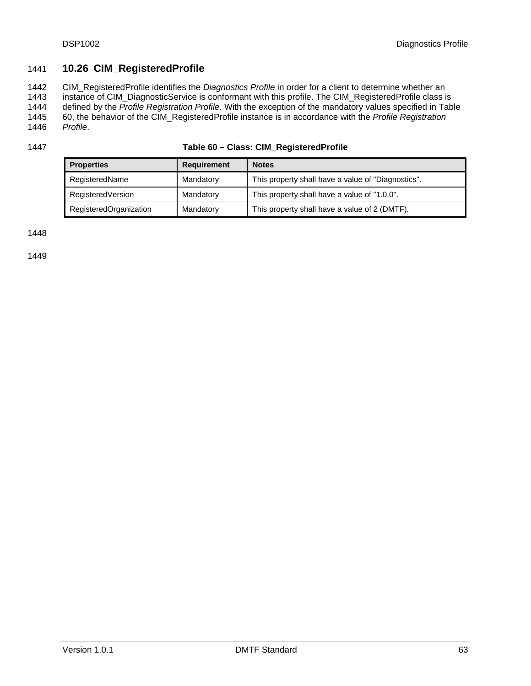# <span id="page-62-1"></span><span id="page-62-0"></span>1441 **10.26 CIM\_RegisteredProfile**

1442 1443 1444 1445 1446 CIM\_RegisteredProfile identifies the *Diagnostics Profile* in order for a client to determine whether an instance of CIM\_DiagnosticService is conformant with this profile. The CIM\_RegisteredProfile class is defined by the *Profile Registration Profile*. With the exception of the mandatory values specified in [Table](#page-62-2)  [60](#page-62-2), the behavior of the CIM\_RegisteredProfile instance is in accordance with the *Profile Registration Profile*.

<span id="page-62-2"></span>1447

| <b>Properties</b>      | <b>Requirement</b> | <b>Notes</b>                                       |
|------------------------|--------------------|----------------------------------------------------|
| RegisteredName         | Mandatory          | This property shall have a value of "Diagnostics". |
| RegisteredVersion      | Mandatory          | This property shall have a value of "1.0.0".       |
| RegisteredOrganization | Mandatory          | This property shall have a value of 2 (DMTF).      |

1448

1449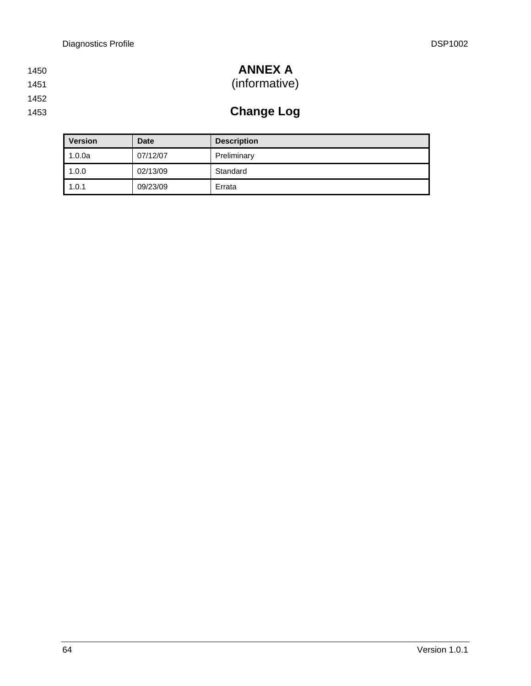| 1450 | <b>ANNEX A</b> |
|------|----------------|
| 1451 | (informative)  |

- 
- 1452
- 1453

**Change Log** 

| <b>Version</b> | <b>Date</b> | <b>Description</b> |
|----------------|-------------|--------------------|
| 1.0.0a         | 07/12/07    | Preliminary        |
| 1.0.0          | 02/13/09    | Standard           |
| 1.0.1          | 09/23/09    | Errata             |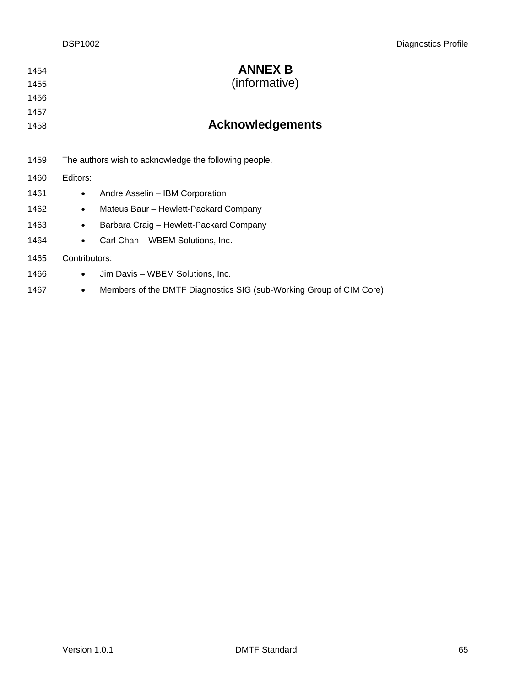| 1454<br>1455 | <b>ANNEX B</b><br>(informative)                                          |
|--------------|--------------------------------------------------------------------------|
| 1456         |                                                                          |
| 1457         |                                                                          |
| 1458         | <b>Acknowledgements</b>                                                  |
|              |                                                                          |
| 1459         | The authors wish to acknowledge the following people.                    |
| 1460         | Editors:                                                                 |
| 1461         | Andre Asselin - IBM Corporation<br>٠                                     |
| 1462         | Mateus Baur - Hewlett-Packard Company<br>$\bullet$                       |
| 1463         | Barbara Craig - Hewlett-Packard Company<br>$\bullet$                     |
| 1464         | Carl Chan - WBEM Solutions, Inc.<br>$\bullet$                            |
| 1465         | Contributors:                                                            |
| 1466         | Jim Davis - WBEM Solutions, Inc.<br>$\bullet$                            |
| 1467         | Members of the DMTF Diagnostics SIG (sub-Working Group of CIM Core)<br>٠ |